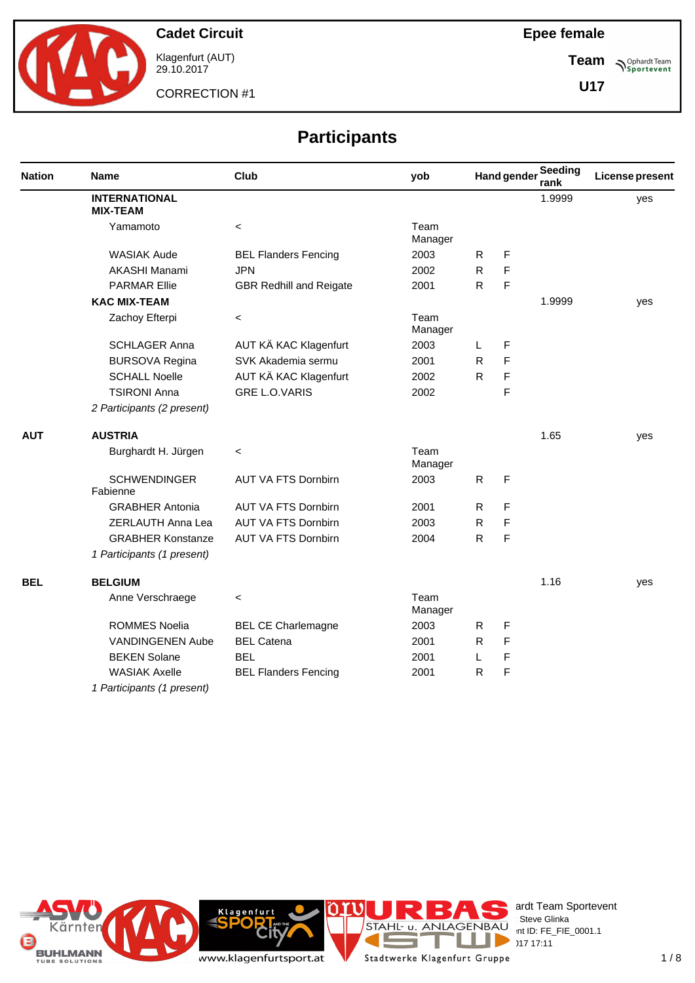

Klagenfurt (AUT) 29.10.2017

CORRECTION #1

**Epee female**

**Team Sportevent** 

**U17**

# **Participants**

| <b>Nation</b><br><b>AUT</b><br><b>BEL</b> | <b>Name</b>                             | Club                           | yob             |              | <b>Hand gender</b> | Seeding<br>rank | License present |
|-------------------------------------------|-----------------------------------------|--------------------------------|-----------------|--------------|--------------------|-----------------|-----------------|
|                                           | <b>INTERNATIONAL</b><br><b>MIX-TEAM</b> |                                |                 |              |                    | 1.9999          | yes             |
|                                           | Yamamoto                                | $\,<\,$                        | Team<br>Manager |              |                    |                 |                 |
|                                           | <b>WASIAK Aude</b>                      | <b>BEL Flanders Fencing</b>    | 2003            | R.           | F                  |                 |                 |
|                                           | AKASHI Manami                           | <b>JPN</b>                     | 2002            | $\mathsf{R}$ | F                  |                 |                 |
|                                           | <b>PARMAR Ellie</b>                     | <b>GBR Redhill and Reigate</b> | 2001            | $\mathsf{R}$ | F                  |                 |                 |
|                                           | <b>KAC MIX-TEAM</b>                     |                                |                 |              |                    | 1.9999          | yes             |
|                                           | Zachoy Efterpi                          | $\,<\,$                        | Team<br>Manager |              |                    |                 |                 |
|                                           | <b>SCHLAGER Anna</b>                    | AUT KÄ KAC Klagenfurt          | 2003            | L            | F                  |                 |                 |
|                                           | <b>BURSOVA Regina</b>                   | SVK Akademia sermu             | 2001            | $\mathsf{R}$ | $\mathsf{F}$       |                 |                 |
|                                           | <b>SCHALL Noelle</b>                    | AUT KÄ KAC Klagenfurt          | 2002            | $\mathsf{R}$ | F                  |                 |                 |
|                                           | <b>TSIRONI Anna</b>                     | <b>GRE L.O.VARIS</b>           | 2002            |              | $\mathsf{F}$       |                 |                 |
|                                           | 2 Participants (2 present)              |                                |                 |              |                    |                 |                 |
|                                           | <b>AUSTRIA</b>                          |                                |                 |              |                    | 1.65            | yes             |
|                                           | Burghardt H. Jürgen                     | $\,<\,$                        | Team<br>Manager |              |                    |                 |                 |
|                                           | <b>SCHWENDINGER</b><br>Fabienne         | AUT VA FTS Dornbirn            | 2003            | R            | F                  |                 |                 |
|                                           | <b>GRABHER Antonia</b>                  | <b>AUT VA FTS Dornbirn</b>     | 2001            | R            | F                  |                 |                 |
|                                           | ZERLAUTH Anna Lea                       | <b>AUT VA FTS Dornbirn</b>     | 2003            | R            | F                  |                 |                 |
|                                           | <b>GRABHER Konstanze</b>                | <b>AUT VA FTS Dornbirn</b>     | 2004            | $\mathsf{R}$ | F                  |                 |                 |
|                                           | 1 Participants (1 present)              |                                |                 |              |                    |                 |                 |
|                                           | <b>BELGIUM</b>                          |                                |                 |              |                    | 1.16            | yes             |
|                                           | Anne Verschraege                        | $\,<\,$                        | Team<br>Manager |              |                    |                 |                 |
|                                           | <b>ROMMES Noelia</b>                    | <b>BEL CE Charlemagne</b>      | 2003            | R            | F                  |                 |                 |
|                                           | VANDINGENEN Aube                        | <b>BEL Catena</b>              | 2001            | R            | $\mathsf{F}$       |                 |                 |
|                                           | <b>BEKEN Solane</b>                     | <b>BEL</b>                     | 2001            | L            | F                  |                 |                 |
|                                           | <b>WASIAK Axelle</b>                    | <b>BEL Flanders Fencing</b>    | 2001            | $\mathsf{R}$ | F                  |                 |                 |
|                                           | 1 Participants (1 present)              |                                |                 |              |                    |                 |                 |



erdt Team Sportevent **License:** Steve Glinka  $P^{\text{LO}}$  int ID: FE\_FIE\_0001.1  $29.17 \times 17:11$ 

Е

T a.

Stadtwerke Klagenfurt Gruppe

**IC** 

**Rit** 

Klagenfurt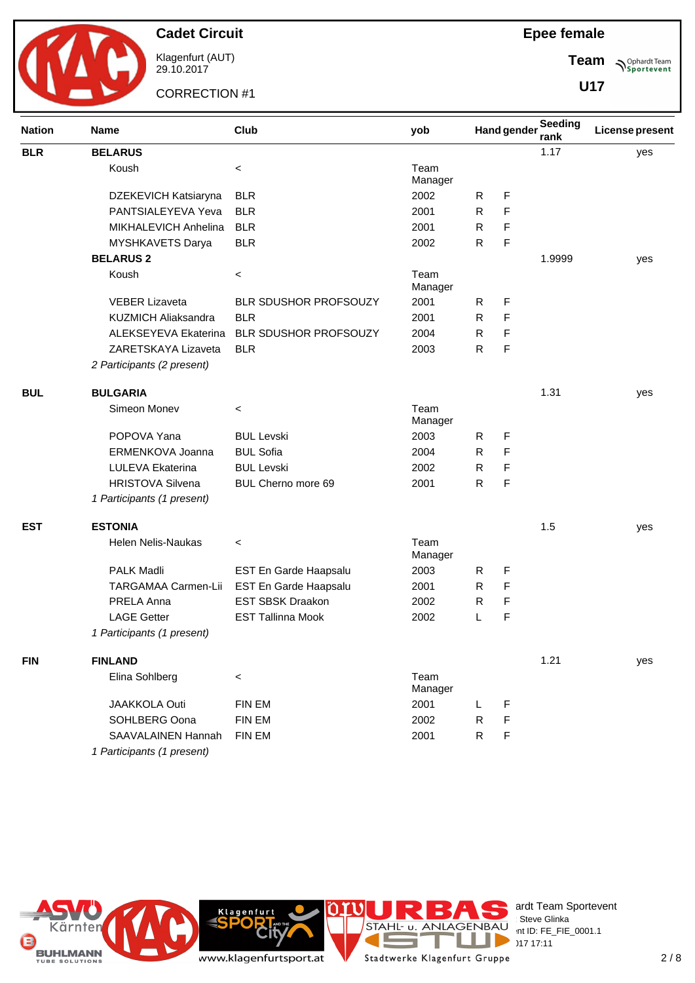

Klagenfurt (AUT) 29.10.2017

CORRECTION #1

**Team Sportevent** 

**U17**

| <b>Nation</b> | <b>Name</b>                | Club                         | yob             |              | <b>Hand gender</b> | <b>Seeding</b><br>rank | <b>License present</b> |
|---------------|----------------------------|------------------------------|-----------------|--------------|--------------------|------------------------|------------------------|
| <b>BLR</b>    | <b>BELARUS</b>             |                              |                 |              |                    | 1.17                   | yes                    |
|               | Koush                      | $\,<\,$                      | Team<br>Manager |              |                    |                        |                        |
|               | DZEKEVICH Katsiaryna       | <b>BLR</b>                   | 2002            | R            | F                  |                        |                        |
|               | PANTSIALEYEVA Yeva         | <b>BLR</b>                   | 2001            | R            | F                  |                        |                        |
|               | MIKHALEVICH Anhelina       | <b>BLR</b>                   | 2001            | R            | F                  |                        |                        |
|               | MYSHKAVETS Darya           | <b>BLR</b>                   | 2002            | $\mathsf{R}$ | F                  |                        |                        |
|               | <b>BELARUS 2</b>           |                              |                 |              |                    | 1.9999                 | yes                    |
|               | Koush                      | $\,<\,$                      | Team<br>Manager |              |                    |                        |                        |
|               | <b>VEBER Lizaveta</b>      | BLR SDUSHOR PROFSOUZY        | 2001            | $\mathsf{R}$ | F                  |                        |                        |
|               | <b>KUZMICH Aliaksandra</b> | <b>BLR</b>                   | 2001            | R            | F                  |                        |                        |
|               | ALEKSEYEVA Ekaterina       | <b>BLR SDUSHOR PROFSOUZY</b> | 2004            | R            | F                  |                        |                        |
|               | ZARETSKAYA Lizaveta        | <b>BLR</b>                   | 2003            | $\mathsf{R}$ | F                  |                        |                        |
|               | 2 Participants (2 present) |                              |                 |              |                    |                        |                        |
| <b>BUL</b>    | <b>BULGARIA</b>            |                              |                 |              |                    | 1.31                   | yes                    |
|               | Simeon Monev               | $\,<\,$                      | Team<br>Manager |              |                    |                        |                        |
|               | POPOVA Yana                | <b>BUL Levski</b>            | 2003            | R            | F                  |                        |                        |
|               | ERMENKOVA Joanna           | <b>BUL Sofia</b>             | 2004            | R            | F                  |                        |                        |
|               | LULEVA Ekaterina           | <b>BUL Levski</b>            | 2002            | R            | F                  |                        |                        |
|               | <b>HRISTOVA Silvena</b>    | BUL Cherno more 69           | 2001            | $\mathsf{R}$ | F                  |                        |                        |
|               | 1 Participants (1 present) |                              |                 |              |                    |                        |                        |
| <b>EST</b>    | <b>ESTONIA</b>             |                              |                 |              |                    | 1.5                    | yes                    |
|               | <b>Helen Nelis-Naukas</b>  | $\,<\,$                      | Team<br>Manager |              |                    |                        |                        |
|               | <b>PALK Madli</b>          | EST En Garde Haapsalu        | 2003            | R            | F                  |                        |                        |
|               | TARGAMAA Carmen-Lii        | EST En Garde Haapsalu        | 2001            | R            | F                  |                        |                        |
|               | <b>PRELA Anna</b>          | <b>EST SBSK Draakon</b>      | 2002            | R            | F                  |                        |                        |
|               | <b>LAGE Getter</b>         | <b>EST Tallinna Mook</b>     | 2002            | L            | F                  |                        |                        |
|               | 1 Participants (1 present) |                              |                 |              |                    |                        |                        |
| <b>FIN</b>    | <b>FINLAND</b>             |                              |                 |              |                    | 1.21                   | yes                    |
|               | Elina Sohlberg             | $\,<\,$                      | Team<br>Manager |              |                    |                        |                        |
|               | <b>JAAKKOLA Outi</b>       | FIN EM                       | 2001            | L            | F                  |                        |                        |
|               | SOHLBERG Oona              | FIN EM                       | 2002            | R            | F                  |                        |                        |
|               | SAAVALAINEN Hannah         | <b>FIN EM</b>                | 2001            | $\mathsf{R}$ | F                  |                        |                        |
|               | 1 Participants (1 present) |                              |                 |              |                    |                        |                        |





es ardt Team Sportevent **License:** Steve Glinka  $P^{\text{LO}}$  int ID: FE\_FIE\_0001.1

www.klagenfurtsport.at

**Rit** 

**Klagenfurt**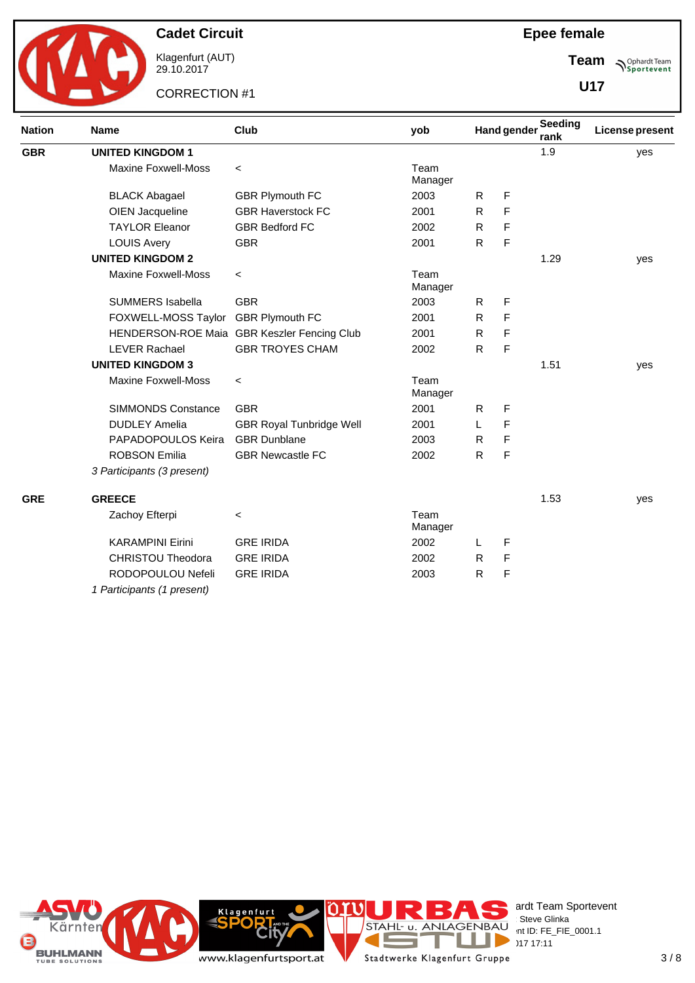

Klagenfurt (AUT) 29.10.2017

CORRECTION #1

**Team Sportevent** 

**U17**

| <b>Nation</b> | <b>Name</b>                | Club                                        | yob             |              | <b>Hand gender</b> | Seeding<br>rank | License present |
|---------------|----------------------------|---------------------------------------------|-----------------|--------------|--------------------|-----------------|-----------------|
| <b>GBR</b>    | <b>UNITED KINGDOM 1</b>    |                                             |                 |              |                    | 1.9             | yes             |
|               | <b>Maxine Foxwell-Moss</b> | $\prec$                                     | Team<br>Manager |              |                    |                 |                 |
|               | <b>BLACK Abagael</b>       | <b>GBR Plymouth FC</b>                      | 2003            | R            | F                  |                 |                 |
|               | OIEN Jacqueline            | <b>GBR Haverstock FC</b>                    | 2001            | R            | F                  |                 |                 |
|               | <b>TAYLOR Eleanor</b>      | <b>GBR Bedford FC</b>                       | 2002            | R            | F                  |                 |                 |
|               | <b>LOUIS Avery</b>         | <b>GBR</b>                                  | 2001            | $\mathsf{R}$ | F                  |                 |                 |
|               | <b>UNITED KINGDOM 2</b>    |                                             |                 |              |                    | 1.29            | yes             |
|               | <b>Maxine Foxwell-Moss</b> | $\prec$                                     | Team<br>Manager |              |                    |                 |                 |
|               | <b>SUMMERS Isabella</b>    | <b>GBR</b>                                  | 2003            | R            | F                  |                 |                 |
|               | FOXWELL-MOSS Taylor        | <b>GBR Plymouth FC</b>                      | 2001            | R            | F                  |                 |                 |
|               |                            | HENDERSON-ROE Maia GBR Keszler Fencing Club | 2001            | R            | F                  |                 |                 |
|               | <b>LEVER Rachael</b>       | <b>GBR TROYES CHAM</b>                      | 2002            | ${\sf R}$    | F                  |                 |                 |
|               | <b>UNITED KINGDOM 3</b>    |                                             |                 |              |                    | 1.51            | yes             |
|               | <b>Maxine Foxwell-Moss</b> | $\,<$                                       | Team<br>Manager |              |                    |                 |                 |
|               | <b>SIMMONDS Constance</b>  | <b>GBR</b>                                  | 2001            | R            | F                  |                 |                 |
|               | <b>DUDLEY Amelia</b>       | <b>GBR Royal Tunbridge Well</b>             | 2001            | L            | F                  |                 |                 |
|               | PAPADOPOULOS Keira         | <b>GBR</b> Dunblane                         | 2003            | $\mathsf{R}$ | F                  |                 |                 |
|               | <b>ROBSON Emilia</b>       | <b>GBR Newcastle FC</b>                     | 2002            | $\mathsf{R}$ | F                  |                 |                 |
|               | 3 Participants (3 present) |                                             |                 |              |                    |                 |                 |
| <b>GRE</b>    | <b>GREECE</b>              |                                             |                 |              |                    | 1.53            | yes             |
|               | Zachoy Efterpi             | $\,<\,$                                     | Team<br>Manager |              |                    |                 |                 |
|               | <b>KARAMPINI Eirini</b>    | <b>GRE IRIDA</b>                            | 2002            | L            | F                  |                 |                 |
|               | <b>CHRISTOU Theodora</b>   | <b>GRE IRIDA</b>                            | 2002            | R            | F                  |                 |                 |
|               | RODOPOULOU Nefeli          | <b>GRE IRIDA</b>                            | 2003            | ${\sf R}$    | F                  |                 |                 |
|               | 1 Participants (1 present) |                                             |                 |              |                    |                 |                 |



erdt Team Sportevent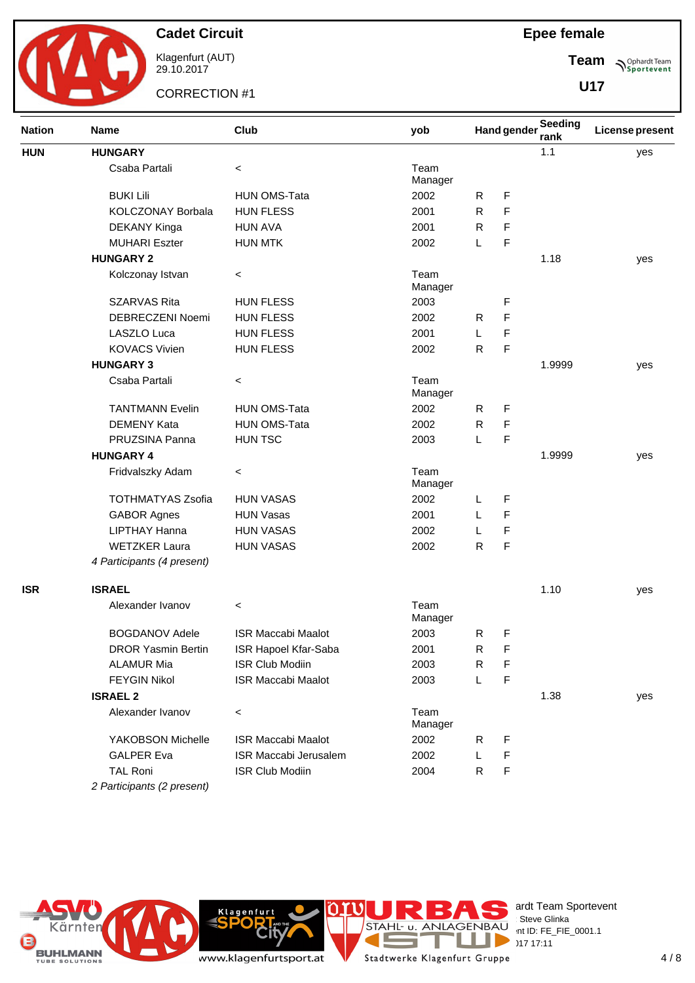

Klagenfurt (AUT) 29.10.2017

CORRECTION #1

**Team Sportevent** 

**U17**

| <b>Nation</b> | <b>Name</b>                | Club                         | yob             |              | <b>Hand gender</b> | <b>Seeding</b><br>rank | <b>License present</b> |
|---------------|----------------------------|------------------------------|-----------------|--------------|--------------------|------------------------|------------------------|
| <b>HUN</b>    | <b>HUNGARY</b>             |                              |                 |              |                    | 1.1                    | yes                    |
|               | Csaba Partali              | $\,<\,$                      | Team<br>Manager |              |                    |                        |                        |
|               | <b>BUKI Lili</b>           | <b>HUN OMS-Tata</b>          | 2002            | R            | F                  |                        |                        |
|               | KOLCZONAY Borbala          | <b>HUN FLESS</b>             | 2001            | R            | F                  |                        |                        |
|               | DEKANY Kinga               | <b>HUN AVA</b>               | 2001            | R            | F                  |                        |                        |
|               | <b>MUHARI Eszter</b>       | <b>HUN MTK</b>               | 2002            | L            | F                  |                        |                        |
|               | <b>HUNGARY 2</b>           |                              |                 |              |                    | 1.18                   | yes                    |
|               | Kolczonay Istvan           | $\,<\,$                      | Team<br>Manager |              |                    |                        |                        |
|               | <b>SZARVAS Rita</b>        | <b>HUN FLESS</b>             | 2003            |              | F                  |                        |                        |
|               | DEBRECZENI Noemi           | <b>HUN FLESS</b>             | 2002            | R            | F                  |                        |                        |
|               | LASZLO Luca                | <b>HUN FLESS</b>             | 2001            | L            | F                  |                        |                        |
|               | <b>KOVACS Vivien</b>       | <b>HUN FLESS</b>             | 2002            | $\mathsf{R}$ | F                  |                        |                        |
|               | <b>HUNGARY 3</b>           |                              |                 |              |                    | 1.9999                 | yes                    |
|               | Csaba Partali              | $\,<\,$                      | Team<br>Manager |              |                    |                        |                        |
|               | <b>TANTMANN Evelin</b>     | HUN OMS-Tata                 | 2002            | R            | F                  |                        |                        |
|               | <b>DEMENY Kata</b>         | <b>HUN OMS-Tata</b>          | 2002            | R            | F                  |                        |                        |
|               | PRUZSINA Panna             | <b>HUN TSC</b>               | 2003            | L            | F                  |                        |                        |
|               | <b>HUNGARY 4</b>           |                              |                 |              |                    | 1.9999                 | yes                    |
|               | Fridvalszky Adam           | $\,<\,$                      | Team<br>Manager |              |                    |                        |                        |
|               | <b>TOTHMATYAS Zsofia</b>   | <b>HUN VASAS</b>             | 2002            | L            | F                  |                        |                        |
|               | <b>GABOR Agnes</b>         | <b>HUN Vasas</b>             | 2001            | L            | F                  |                        |                        |
|               | <b>LIPTHAY Hanna</b>       | <b>HUN VASAS</b>             | 2002            | L            | F                  |                        |                        |
|               | <b>WETZKER Laura</b>       | <b>HUN VASAS</b>             | 2002            | $\mathsf{R}$ | F                  |                        |                        |
|               | 4 Participants (4 present) |                              |                 |              |                    |                        |                        |
| <b>ISR</b>    | <b>ISRAEL</b>              |                              |                 |              |                    | 1.10                   | yes                    |
|               | Alexander Ivanov           | $\,<\,$                      | Team<br>Manager |              |                    |                        |                        |
|               | <b>BOGDANOV Adele</b>      | <b>ISR Maccabi Maalot</b>    | 2003            | R            | F                  |                        |                        |
|               | <b>DROR Yasmin Bertin</b>  | ISR Hapoel Kfar-Saba         | 2001            | R            | F                  |                        |                        |
|               | <b>ALAMUR Mia</b>          | <b>ISR Club Modiin</b>       | 2003            | R            | F                  |                        |                        |
|               | <b>FEYGIN Nikol</b>        | <b>ISR Maccabi Maalot</b>    | 2003            | Г            | F                  |                        |                        |
|               | <b>ISRAEL 2</b>            |                              |                 |              |                    | 1.38                   | yes                    |
|               | Alexander Ivanov           | $\,<\,$                      | Team<br>Manager |              |                    |                        |                        |
|               | YAKOBSON Michelle          | <b>ISR Maccabi Maalot</b>    | 2002            | R            | F                  |                        |                        |
|               | <b>GALPER Eva</b>          | <b>ISR Maccabi Jerusalem</b> | 2002            | L            | F                  |                        |                        |
|               | <b>TAL Roni</b>            | <b>ISR Club Modiin</b>       | 2004            | $\mathsf{R}$ | F                  |                        |                        |
|               | 2 Participants (2 present) |                              |                 |              |                    |                        |                        |



ender Team Sportevent **License:** Steve Glinka  $P^{\text{LO}}$  int ID: FE\_FIE\_0001.1  $29.17 \times 17:11$ 

www.klagenfurtsport.at

**Rity** 

**Klagenfurt** 

Е

T J.

 $\mathcal{L}_{\text{max}}$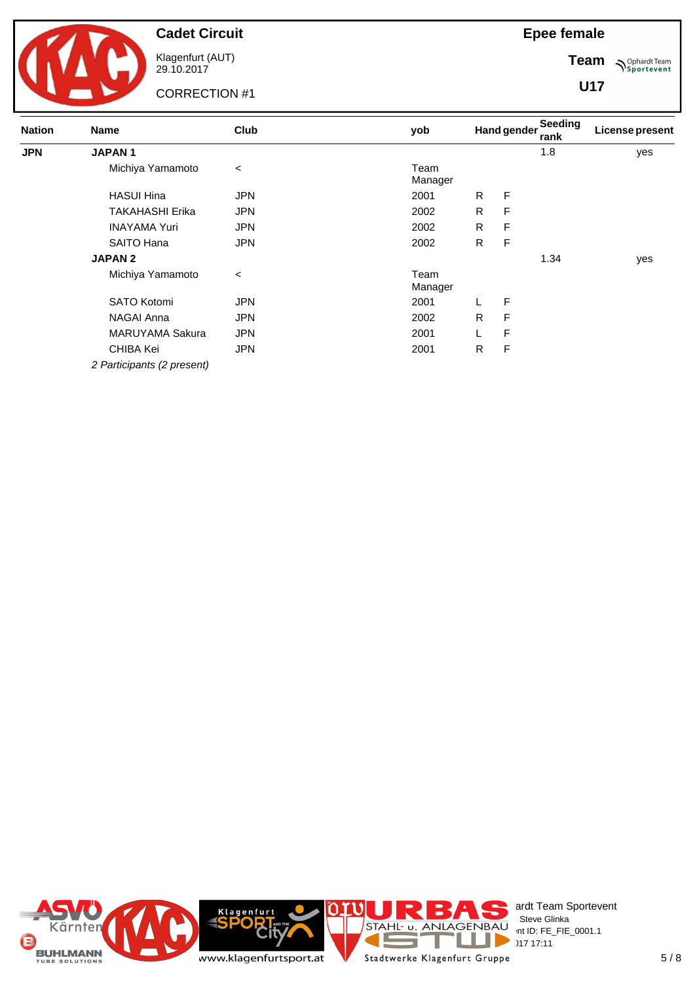

Klagenfurt (AUT) 29.10.2017

CORRECTION #1

**Team Sportevent** 

**U17**

| <b>Nation</b> | <b>Name</b>                | Club       | yob             |    | <b>Hand gender</b> | Seeding<br>rank | <b>License present</b> |
|---------------|----------------------------|------------|-----------------|----|--------------------|-----------------|------------------------|
| <b>JPN</b>    | <b>JAPAN1</b>              |            |                 |    |                    | 1.8             | yes                    |
|               | Michiya Yamamoto           | $\,<\,$    | Team<br>Manager |    |                    |                 |                        |
|               | <b>HASUI Hina</b>          | JPN        | 2001            | R. | F                  |                 |                        |
|               | <b>TAKAHASHI Erika</b>     | JPN        | 2002            | R  | F                  |                 |                        |
|               | <b>INAYAMA Yuri</b>        | JPN        | 2002            | R. | F                  |                 |                        |
|               | SAITO Hana                 | JPN        | 2002            | R. | F                  |                 |                        |
|               | <b>JAPAN 2</b>             |            |                 |    |                    | 1.34            | yes                    |
|               | Michiya Yamamoto           | $\,<\,$    | Team<br>Manager |    |                    |                 |                        |
|               | <b>SATO Kotomi</b>         | JPN        | 2001            |    | F                  |                 |                        |
|               | NAGAI Anna                 | JPN        | 2002            | R. | F                  |                 |                        |
|               | <b>MARUYAMA Sakura</b>     | JPN        | 2001            |    | F                  |                 |                        |
|               | CHIBA Kei                  | <b>JPN</b> | 2001            | R  | F                  |                 |                        |
|               | 2 Participants (2 present) |            |                 |    |                    |                 |                        |

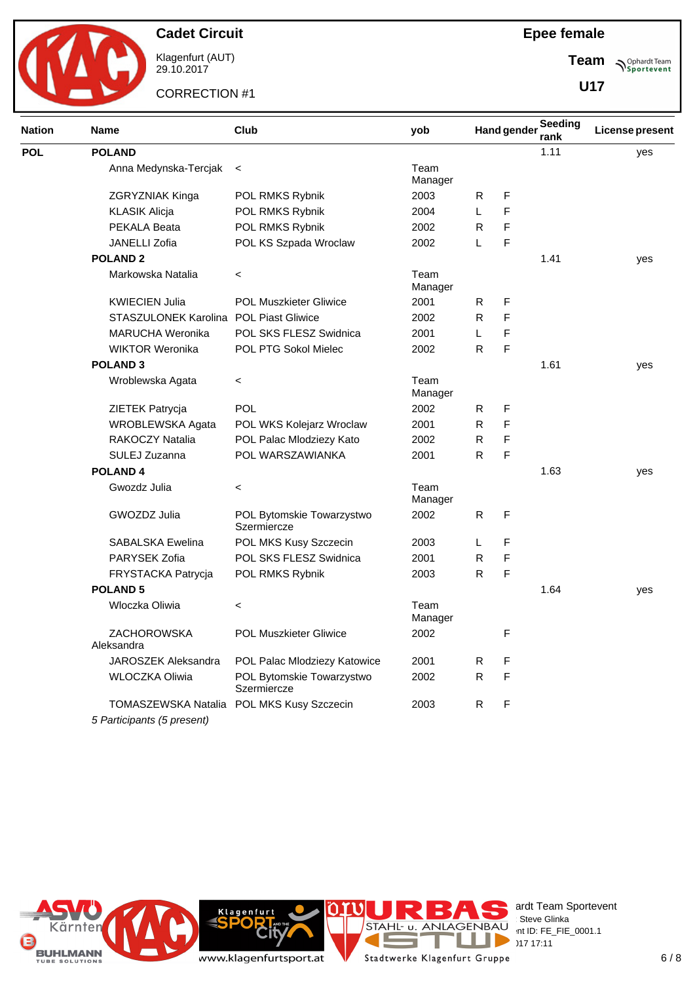

Klagenfurt (AUT) 29.10.2017

CORRECTION #1

**Team Sportevent** 

Ξ

**U17**

| <b>Nation</b> | <b>Name</b>                                              | Club                                     | yob             |              | <b>Hand gender</b> | Seeding<br>rank | <b>License present</b> |
|---------------|----------------------------------------------------------|------------------------------------------|-----------------|--------------|--------------------|-----------------|------------------------|
| <b>POL</b>    | <b>POLAND</b>                                            |                                          |                 |              |                    | 1.11            | yes                    |
|               | Anna Medynska-Tercjak                                    | $\,<$                                    | Team<br>Manager |              |                    |                 |                        |
|               | ZGRYZNIAK Kinga                                          | POL RMKS Rybnik                          | 2003            | R            | F                  |                 |                        |
|               | <b>KLASIK Alicja</b>                                     | POL RMKS Rybnik                          | 2004            | L            | F                  |                 |                        |
|               | PEKALA Beata                                             | POL RMKS Rybnik                          | 2002            | R            | F                  |                 |                        |
|               | JANELLI Zofia                                            | POL KS Szpada Wroclaw                    | 2002            | L            | F                  |                 |                        |
|               | <b>POLAND 2</b>                                          |                                          |                 |              |                    | 1.41            | yes                    |
|               | Markowska Natalia                                        | $\,<\,$                                  | Team<br>Manager |              |                    |                 |                        |
|               | <b>KWIECIEN Julia</b>                                    | <b>POL Muszkieter Gliwice</b>            | 2001            | R            | F                  |                 |                        |
|               | STASZULONEK Karolina POL Piast Gliwice                   |                                          | 2002            | R            | F                  |                 |                        |
|               | <b>MARUCHA Weronika</b>                                  | POL SKS FLESZ Swidnica                   | 2001            | L            | F                  |                 |                        |
|               | <b>WIKTOR Weronika</b>                                   | POL PTG Sokol Mielec                     | 2002            | R            | F                  |                 |                        |
|               | <b>POLAND 3</b>                                          |                                          |                 |              |                    | 1.61            | yes                    |
|               | Wroblewska Agata                                         | $\,<$                                    | Team<br>Manager |              |                    |                 |                        |
|               | ZIETEK Patrycja                                          | POL                                      | 2002            | R            | F                  |                 |                        |
|               | WROBLEWSKA Agata                                         | POL WKS Kolejarz Wroclaw                 | 2001            | R            | F                  |                 |                        |
|               | RAKOCZY Natalia                                          | POL Palac Mlodziezy Kato                 | 2002            | R            | F                  |                 |                        |
|               | SULEJ Zuzanna                                            | POL WARSZAWIANKA                         | 2001            | R            | F                  |                 |                        |
|               | <b>POLAND4</b>                                           |                                          |                 |              |                    | 1.63            | yes                    |
|               | Gwozdz Julia                                             | $\,<\,$                                  | Team<br>Manager |              |                    |                 |                        |
|               | GWOZDZ Julia                                             | POL Bytomskie Towarzystwo<br>Szermiercze | 2002            | R            | F                  |                 |                        |
|               | <b>SABALSKA Ewelina</b>                                  | POL MKS Kusy Szczecin                    | 2003            | L            | F                  |                 |                        |
|               | PARYSEK Zofia                                            | POL SKS FLESZ Swidnica                   | 2001            | R            | F                  |                 |                        |
|               | FRYSTACKA Patrycja                                       | POL RMKS Rybnik                          | 2003            | R            | F                  |                 |                        |
|               | <b>POLAND 5</b>                                          |                                          |                 |              |                    | 1.64            | yes                    |
|               | Wloczka Oliwia                                           | $\,<$                                    | Team<br>Manager |              |                    |                 |                        |
|               | ZACHOROWSKA<br>Aleksandra                                | POL Muszkieter Gliwice                   | 2002            |              | F                  |                 |                        |
|               | JAROSZEK Aleksandra                                      | POL Palac Mlodziezy Katowice             | 2001            | R            | F                  |                 |                        |
|               | WLOCZKA Oliwia                                           | POL Bytomskie Towarzystwo<br>Szermiercze | 2002            | R            | F                  |                 |                        |
|               | <b>TOMASZEWSKA Natalia</b><br>5 Participants (5 present) | POL MKS Kusy Szczecin                    | 2003            | $\mathsf{R}$ | F                  |                 |                        |



www.klagenfurtsport.at

**Rity** 

**Klagenfurt** 

erdt Team Sportevent **License:** Steve Glinka  $P^{\text{LO}}$  int ID: FE\_FIE\_0001.1  $29.17 \times 17:11$ Stadtwerke Klagenfurt Gruppe

Е

T E.

Œ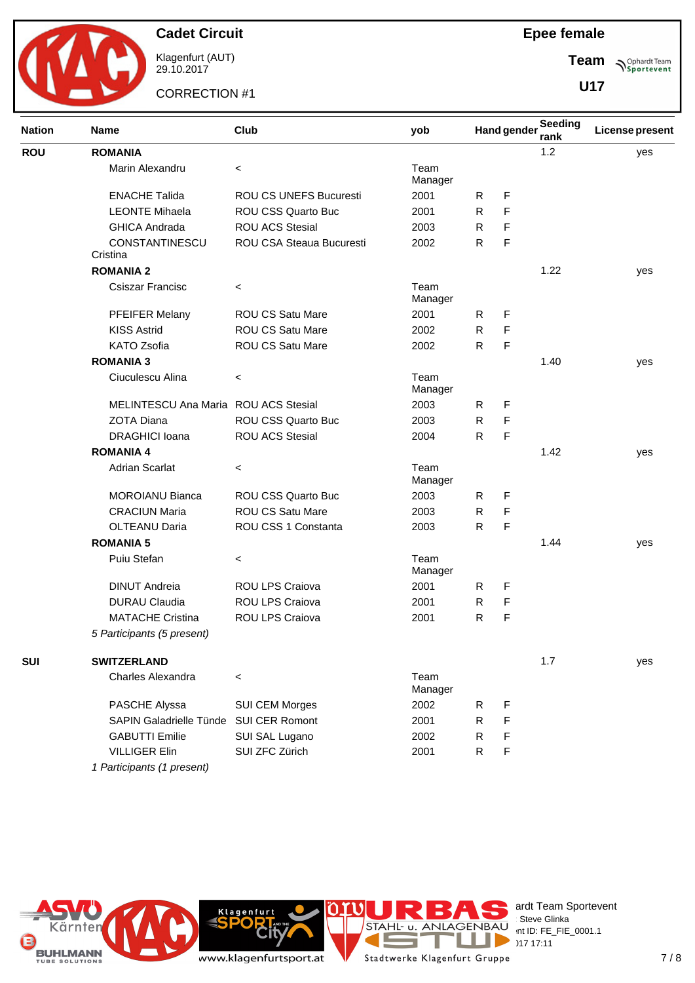

Klagenfurt (AUT) 29.10.2017

CORRECTION #1

**Team Sportevent** 

**U17**

| <b>Nation</b><br><b>ROU</b><br><b>SUI</b> | <b>Name</b>                 | Club                     | yob             |              | <b>Hand gender</b> | Seeding<br>rank | <b>License present</b> |
|-------------------------------------------|-----------------------------|--------------------------|-----------------|--------------|--------------------|-----------------|------------------------|
|                                           | <b>ROMANIA</b>              |                          |                 |              |                    | 1.2             | yes                    |
|                                           | Marin Alexandru             | $\,<\,$                  | Team<br>Manager |              |                    |                 |                        |
|                                           | <b>ENACHE Talida</b>        | ROU CS UNEFS Bucuresti   | 2001            | R            | F                  |                 |                        |
|                                           | <b>LEONTE Mihaela</b>       | ROU CSS Quarto Buc       | 2001            | R            | F                  |                 |                        |
|                                           | <b>GHICA Andrada</b>        | <b>ROU ACS Stesial</b>   | 2003            | R            | F                  |                 |                        |
|                                           | CONSTANTINESCU              | ROU CSA Steaua Bucuresti | 2002            | $\mathsf{R}$ | F                  |                 |                        |
|                                           | Cristina                    |                          |                 |              |                    |                 |                        |
|                                           | <b>ROMANIA 2</b>            |                          |                 |              |                    | 1.22            | yes                    |
|                                           | Csiszar Francisc            | $\,<$                    | Team<br>Manager |              |                    |                 |                        |
|                                           | PFEIFER Melany              | <b>ROU CS Satu Mare</b>  | 2001            | R.           | F                  |                 |                        |
|                                           | <b>KISS Astrid</b>          | <b>ROU CS Satu Mare</b>  | 2002            | R            | F                  |                 |                        |
|                                           | <b>KATO Zsofia</b>          | ROU CS Satu Mare         | 2002            | $\mathsf{R}$ | F                  |                 |                        |
|                                           | <b>ROMANIA 3</b>            |                          |                 |              |                    | 1.40            | yes                    |
|                                           | Ciuculescu Alina            | $\,<$                    | Team<br>Manager |              |                    |                 |                        |
|                                           | <b>MELINTESCU Ana Maria</b> | <b>ROU ACS Stesial</b>   | 2003            | R            | F                  |                 |                        |
|                                           | <b>ZOTA Diana</b>           | ROU CSS Quarto Buc       | 2003            | R            | F                  |                 |                        |
|                                           | <b>DRAGHICI Ioana</b>       | <b>ROU ACS Stesial</b>   | 2004            | $\mathsf{R}$ | F                  |                 |                        |
|                                           | <b>ROMANIA 4</b>            |                          |                 |              |                    | 1.42            | yes                    |
|                                           | <b>Adrian Scarlat</b>       | $\,<$                    | Team<br>Manager |              |                    |                 |                        |
|                                           | <b>MOROIANU Bianca</b>      | ROU CSS Quarto Buc       | 2003            | R            | F                  |                 |                        |
|                                           | <b>CRACIUN Maria</b>        | <b>ROU CS Satu Mare</b>  | 2003            | R            | F                  |                 |                        |
|                                           | <b>OLTEANU Daria</b>        | ROU CSS 1 Constanta      | 2003            | $\mathsf{R}$ | F                  |                 |                        |
|                                           | <b>ROMANIA 5</b>            |                          |                 |              |                    | 1.44            | yes                    |
|                                           | Puiu Stefan                 | $\,<$                    | Team<br>Manager |              |                    |                 |                        |
|                                           | <b>DINUT Andreia</b>        | ROU LPS Craiova          | 2001            | R            | F                  |                 |                        |
|                                           | <b>DURAU Claudia</b>        | ROU LPS Craiova          | 2001            | R            | F                  |                 |                        |
|                                           | <b>MATACHE Cristina</b>     | ROU LPS Craiova          | 2001            | R            | F                  |                 |                        |
|                                           | 5 Participants (5 present)  |                          |                 |              |                    |                 |                        |
|                                           | <b>SWITZERLAND</b>          |                          |                 |              |                    | 1.7             | yes                    |
|                                           | Charles Alexandra           | $\,<$                    | Team<br>Manager |              |                    |                 |                        |
|                                           | PASCHE Alyssa               | SUI CEM Morges           | 2002            | R            | F                  |                 |                        |
|                                           | SAPIN Galadrielle Tünde     | SUI CER Romont           | 2001            | R            | F                  |                 |                        |
|                                           | <b>GABUTTI Emilie</b>       | SUI SAL Lugano           | 2002            | R            | F                  |                 |                        |
|                                           | <b>VILLIGER Elin</b>        | SUI ZFC Zürich           | 2001            | R            | F                  |                 |                        |
|                                           | 1 Participants (1 present)  |                          |                 |              |                    |                 |                        |



erdt Team Sportevent **License:** Steve Glinka  $P^{\text{LO}}$  int ID: FE\_FIE\_0001.1  $29.17 \times 17:11$ 

www.klagenfurtsport.at

**Rity** 

**Klagenfurt** 

```
T
Stadtwerke Klagenfurt Gruppe
```
Е

**COL** 

J.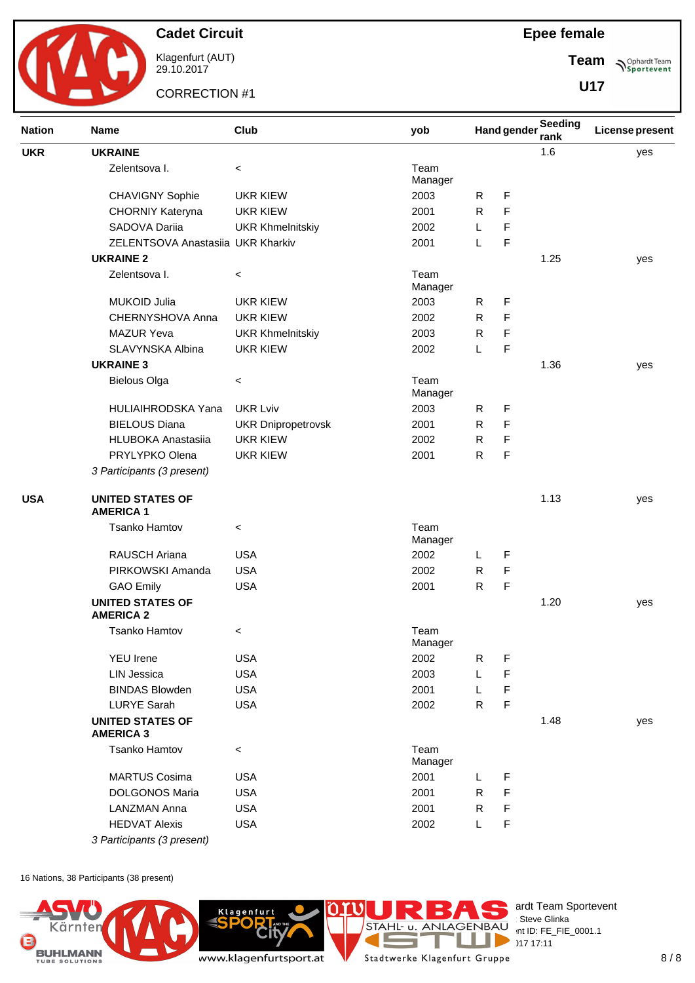

Klagenfurt (AUT) 29.10.2017

CORRECTION #1

**Epee female**

**Team Sportevent** 

**U17**

| <b>Nation</b> | Club<br><b>Name</b>                         |                           | yob             |              | <b>Hand gender</b> | Seeding<br>rank | License present |
|---------------|---------------------------------------------|---------------------------|-----------------|--------------|--------------------|-----------------|-----------------|
| <b>UKR</b>    | <b>UKRAINE</b>                              |                           |                 |              |                    | 1.6             | yes             |
|               | Zelentsova I.                               | $\,<$                     | Team<br>Manager |              |                    |                 |                 |
|               | <b>CHAVIGNY Sophie</b>                      | <b>UKR KIEW</b>           | 2003            | R            | F                  |                 |                 |
|               | CHORNIY Kateryna                            | <b>UKR KIEW</b>           | 2001            | $\mathsf{R}$ | F                  |                 |                 |
|               | SADOVA Dariia                               | <b>UKR Khmelnitskiy</b>   | 2002            | L            | F                  |                 |                 |
|               | ZELENTSOVA Anastasiia UKR Kharkiv           |                           | 2001            | L            | F                  |                 |                 |
|               | <b>UKRAINE 2</b>                            |                           |                 |              |                    | 1.25            | yes             |
|               | Zelentsova I.                               | $\,<\,$                   | Team<br>Manager |              |                    |                 |                 |
|               | <b>MUKOID Julia</b>                         | <b>UKR KIEW</b>           | 2003            | R            | F                  |                 |                 |
|               | CHERNYSHOVA Anna                            | <b>UKR KIEW</b>           | 2002            | R            | F                  |                 |                 |
|               | <b>MAZUR Yeva</b>                           | <b>UKR Khmelnitskiy</b>   | 2003            | R            | F                  |                 |                 |
|               | SLAVYNSKA Albina                            | <b>UKR KIEW</b>           | 2002            | L            | F                  |                 |                 |
|               | <b>UKRAINE 3</b>                            |                           |                 |              |                    | 1.36            | yes             |
|               | <b>Bielous Olga</b>                         | $\,<\,$                   | Team<br>Manager |              |                    |                 |                 |
|               | <b>HULIAIHRODSKA Yana</b>                   | <b>UKR Lviv</b>           | 2003            | R            | F                  |                 |                 |
|               | <b>BIELOUS Diana</b>                        | <b>UKR Dnipropetrovsk</b> | 2001            | R            | F                  |                 |                 |
|               | <b>HLUBOKA Anastasiia</b>                   | <b>UKR KIEW</b>           | 2002            | R            | F                  |                 |                 |
|               | PRYLYPKO Olena                              | <b>UKR KIEW</b>           | 2001            | $\mathsf{R}$ | F                  |                 |                 |
|               | 3 Participants (3 present)                  |                           |                 |              |                    |                 |                 |
| <b>USA</b>    | <b>UNITED STATES OF</b><br><b>AMERICA 1</b> |                           |                 |              |                    | 1.13            | yes             |
|               | <b>Tsanko Hamtov</b>                        | $\,<$                     | Team<br>Manager |              |                    |                 |                 |
|               | RAUSCH Ariana                               | <b>USA</b>                | 2002            | L            | F                  |                 |                 |
|               | PIRKOWSKI Amanda                            | <b>USA</b>                | 2002            | R            | F                  |                 |                 |
|               | <b>GAO Emily</b>                            | <b>USA</b>                | 2001            | $\mathsf{R}$ | F                  |                 |                 |
|               | <b>UNITED STATES OF</b><br><b>AMERICA 2</b> |                           |                 |              |                    | 1.20            | yes             |
|               | Tsanko Hamtov                               | $\,<\,$                   | Team<br>Manager |              |                    |                 |                 |
|               | <b>YEU Irene</b>                            | <b>USA</b>                | 2002            | R            | F                  |                 |                 |
|               | <b>LIN Jessica</b>                          | <b>USA</b>                | 2003            | L            | F                  |                 |                 |
|               | <b>BINDAS Blowden</b>                       | <b>USA</b>                | 2001            | L            | F                  |                 |                 |
|               | <b>LURYE Sarah</b>                          | <b>USA</b>                | 2002            | $\mathsf{R}$ | F                  |                 |                 |
|               | <b>UNITED STATES OF</b><br><b>AMERICA 3</b> |                           |                 |              |                    | 1.48            | yes             |
|               | <b>Tsanko Hamtov</b>                        | $\,<\,$                   | Team<br>Manager |              |                    |                 |                 |
|               | <b>MARTUS Cosima</b>                        | <b>USA</b>                | 2001            | L.           | F                  |                 |                 |
|               | <b>DOLGONOS Maria</b>                       | <b>USA</b>                | 2001            | $\mathsf{R}$ | F                  |                 |                 |
|               | <b>LANZMAN Anna</b>                         | <b>USA</b>                | 2001            | R            | F                  |                 |                 |
|               | <b>HEDVAT Alexis</b>                        | <b>USA</b>                | 2002            | Г            | F                  |                 |                 |
|               | 3 Participants (3 present)                  |                           |                 |              |                    |                 |                 |

16 Nations, 38 Participants (38 present)

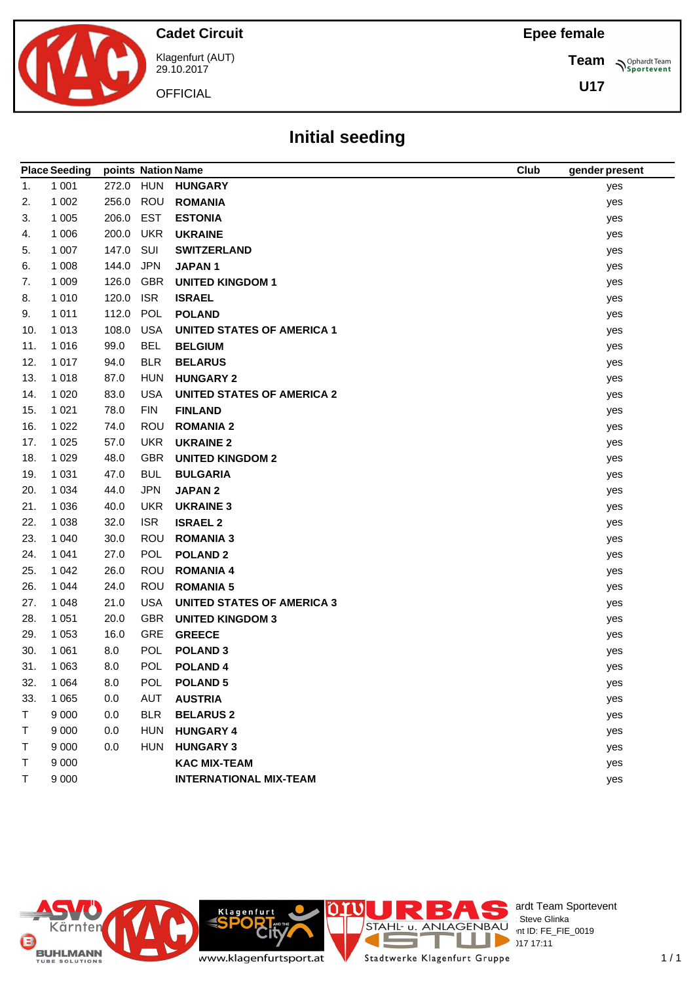**Team**

**U17**

**Sportevent** 

**Cadet Circuit**



Klagenfurt (AUT) 29.10.2017

**OFFICIAL** 

## **Initial seeding**

|     | <b>Place Seeding</b> | points Nation Name |            |                                   | <b>Club</b> | gender present |
|-----|----------------------|--------------------|------------|-----------------------------------|-------------|----------------|
| 1.  | 1 0 0 1              | 272.0              | <b>HUN</b> | <b>HUNGARY</b>                    |             | yes            |
| 2.  | 1 0 0 2              | 256.0              | ROU        | <b>ROMANIA</b>                    |             | yes            |
| 3.  | 1 0 0 5              | 206.0              | EST        | <b>ESTONIA</b>                    |             | yes            |
| 4.  | 1 0 0 6              | 200.0              | <b>UKR</b> | <b>UKRAINE</b>                    |             | yes            |
| 5.  | 1 0 0 7              | 147.0              | SUI        | <b>SWITZERLAND</b>                |             | yes            |
| 6.  | 1 0 0 8              | 144.0              | <b>JPN</b> | <b>JAPAN1</b>                     |             | yes            |
| 7.  | 1 0 0 9              | 126.0              | GBR        | <b>UNITED KINGDOM 1</b>           |             | yes            |
| 8.  | 1 0 1 0              | 120.0              | <b>ISR</b> | <b>ISRAEL</b>                     |             | yes            |
| 9.  | 1 0 1 1              | 112.0              | POL        | <b>POLAND</b>                     |             | yes            |
| 10. | 1 0 1 3              | 108.0              | <b>USA</b> | <b>UNITED STATES OF AMERICA 1</b> |             | yes            |
| 11. | 1 0 1 6              | 99.0               | <b>BEL</b> | <b>BELGIUM</b>                    |             | yes            |
| 12. | 1 0 1 7              | 94.0               | <b>BLR</b> | <b>BELARUS</b>                    |             | yes            |
| 13. | 1 0 1 8              | 87.0               | <b>HUN</b> | <b>HUNGARY 2</b>                  |             | yes            |
| 14. | 1 0 2 0              | 83.0               | <b>USA</b> | <b>UNITED STATES OF AMERICA 2</b> |             | yes            |
| 15. | 1 0 2 1              | 78.0               | <b>FIN</b> | <b>FINLAND</b>                    |             | yes            |
| 16. | 1 0 2 2              | 74.0               | <b>ROU</b> | <b>ROMANIA 2</b>                  |             | yes            |
| 17. | 1 0 2 5              | 57.0               | <b>UKR</b> | <b>UKRAINE 2</b>                  |             | yes            |
| 18. | 1 0 2 9              | 48.0               | <b>GBR</b> | <b>UNITED KINGDOM 2</b>           |             | yes            |
| 19. | 1 0 3 1              | 47.0               | <b>BUL</b> | <b>BULGARIA</b>                   |             | yes            |
| 20. | 1 0 3 4              | 44.0               | <b>JPN</b> | <b>JAPAN2</b>                     |             | yes            |
| 21. | 1 0 3 6              | 40.0               | <b>UKR</b> | <b>UKRAINE 3</b>                  |             | yes            |
| 22. | 1 0 38               | 32.0               | <b>ISR</b> | <b>ISRAEL 2</b>                   |             | yes            |
| 23. | 1 0 4 0              | 30.0               | <b>ROU</b> | <b>ROMANIA 3</b>                  |             | yes            |
| 24. | 1 0 4 1              | 27.0               | POL        | <b>POLAND 2</b>                   |             | yes            |
| 25. | 1 0 4 2              | 26.0               | ROU        | <b>ROMANIA 4</b>                  |             | yes            |
| 26. | 1 0 4 4              | 24.0               | ROU        | <b>ROMANIA 5</b>                  |             | yes            |
| 27. | 1 0 4 8              | 21.0               | <b>USA</b> | <b>UNITED STATES OF AMERICA 3</b> |             | yes            |
| 28. | 1 0 5 1              | 20.0               | <b>GBR</b> | <b>UNITED KINGDOM 3</b>           |             | yes            |
| 29. | 1 0 5 3              | 16.0               | <b>GRE</b> | <b>GREECE</b>                     |             | yes            |
| 30. | 1 0 6 1              | 8.0                | POL        | <b>POLAND 3</b>                   |             | yes            |
| 31. | 1 0 6 3              | 8.0                | POL        | POLAND <sub>4</sub>               |             | yes            |
| 32. | 1 0 6 4              | 8.0                | <b>POL</b> | <b>POLAND 5</b>                   |             | yes            |
| 33. | 1 0 6 5              | 0.0                | AUT        | <b>AUSTRIA</b>                    |             | yes            |
| Τ   | 9 0 0 0              | 0.0                | <b>BLR</b> | <b>BELARUS 2</b>                  |             | yes            |
| Τ   | 9 0 0 0              | 0.0                | <b>HUN</b> | <b>HUNGARY 4</b>                  |             | yes            |
| Τ   | 9 0 0 0              | 0.0                | <b>HUN</b> | <b>HUNGARY 3</b>                  |             | yes            |
| т   | 9 0 0 0              |                    |            | <b>KAC MIX-TEAM</b>               |             | yes            |
| Τ   | 9 0 0 0              |                    |            | <b>INTERNATIONAL MIX-TEAM</b>     |             | yes            |



erdt Team Sportevent  $P^{\sim}$  nt ID: FE\_FIE\_0019

 $1/1$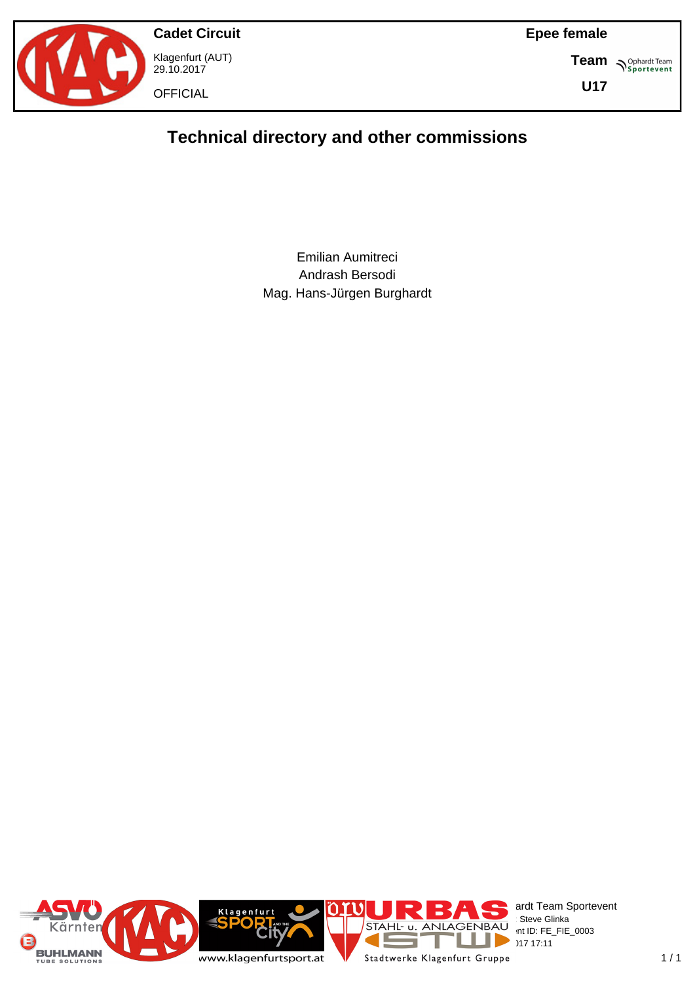



**Cadet Circuit** Klagenfurt (AUT) 29.10.2017 **OFFICIAL** 

**Team S**<sup>Ophardt Team</sub></sup>

**U17**

## **Technical directory and other commissions**

Emilian Aumitreci Andrash Bersodi Mag. Hans-Jürgen Burghardt

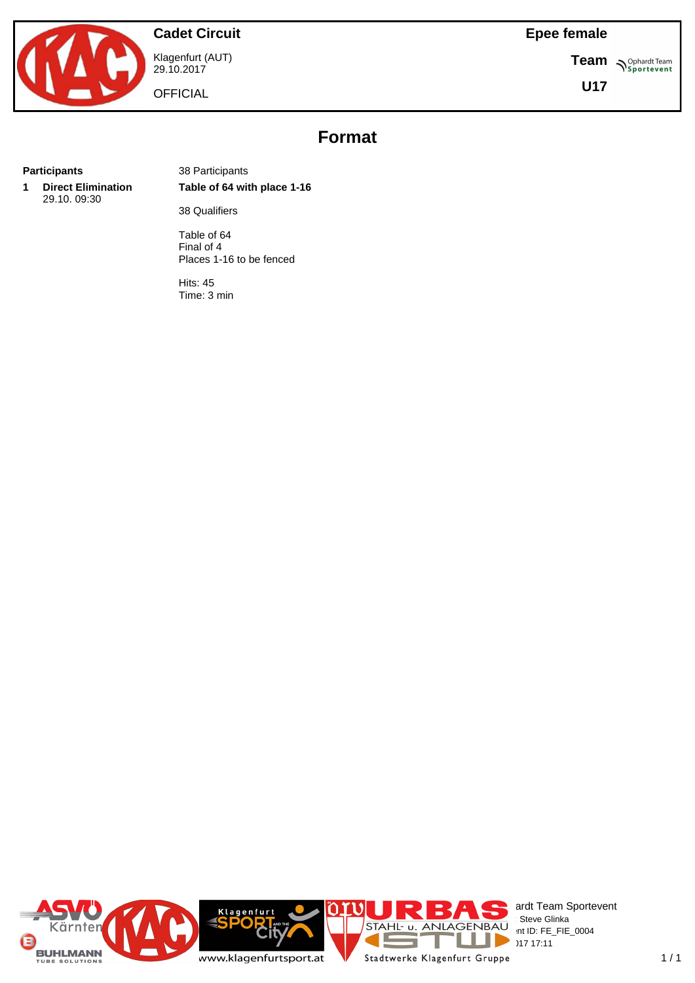

Klagenfurt (AUT) 29.10.2017

**OFFICIAL** 

**Epee female**

**Team S**<sup>Ophardt Team</sub></sup>

**U17**

# **Format**

**1 Direct Elimination** 29.10. 09:30

**Participants** 38 Participants **Table of 64 with place 1-16**

38 Qualifiers

Table of 64 Final of 4 Places 1-16 to be fenced

Hits: 45 Time: 3 min

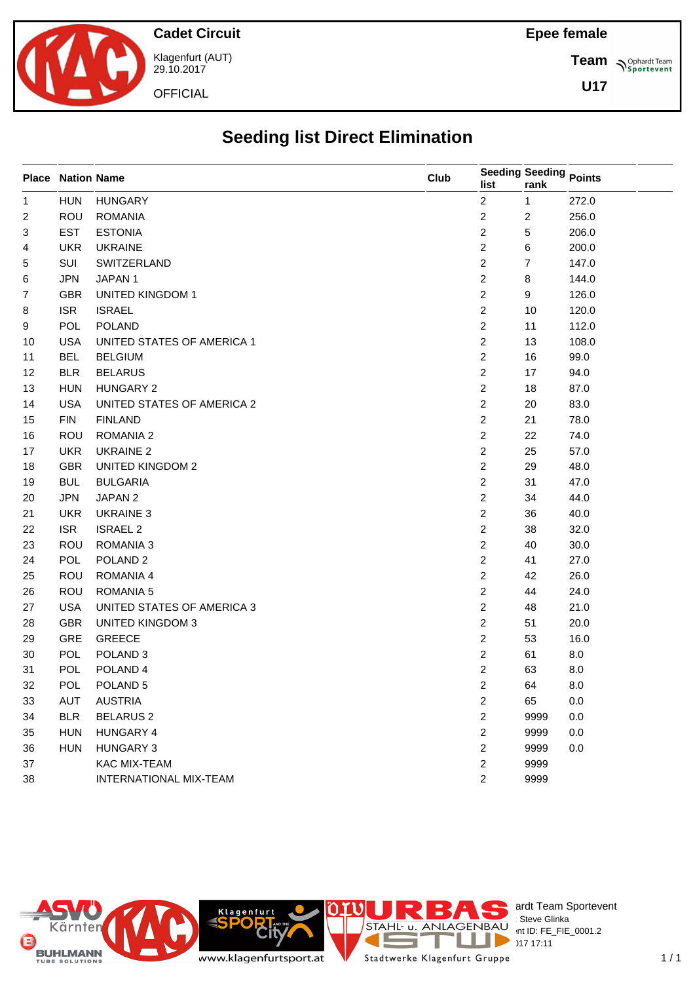

Klagenfurt (AUT) 29.10.2017

**OFFICIAL** 

**Team S**<sup>Ophardt Team</sub></sup>

**U17**

# **Seeding list Direct Elimination**

|             | <b>Place Nation Name</b> |                            | Club | list           | <b>Seeding Seeding Points</b><br>rank |       |
|-------------|--------------------------|----------------------------|------|----------------|---------------------------------------|-------|
| $\mathbf 1$ | <b>HUN</b>               | <b>HUNGARY</b>             |      | $\overline{c}$ | 1                                     | 272.0 |
| 2           | ROU                      | <b>ROMANIA</b>             |      | $\overline{c}$ | $\overline{\mathbf{c}}$               | 256.0 |
| 3           | <b>EST</b>               | <b>ESTONIA</b>             |      | $\overline{c}$ | 5                                     | 206.0 |
| 4           | <b>UKR</b>               | <b>UKRAINE</b>             |      | $\overline{c}$ | 6                                     | 200.0 |
| 5           | SUI                      | SWITZERLAND                |      | $\overline{2}$ | 7                                     | 147.0 |
| 6           | <b>JPN</b>               | JAPAN 1                    |      | $\overline{c}$ | 8                                     | 144.0 |
| 7           | GBR                      | <b>UNITED KINGDOM 1</b>    |      | $\overline{c}$ | 9                                     | 126.0 |
| 8           | <b>ISR</b>               | <b>ISRAEL</b>              |      | $\overline{c}$ | 10                                    | 120.0 |
| 9           | POL                      | <b>POLAND</b>              |      | $\overline{c}$ | 11                                    | 112.0 |
| 10          | <b>USA</b>               | UNITED STATES OF AMERICA 1 |      | $\overline{2}$ | 13                                    | 108.0 |
| 11          | <b>BEL</b>               | <b>BELGIUM</b>             |      | $\overline{c}$ | 16                                    | 99.0  |
| 12          | <b>BLR</b>               | <b>BELARUS</b>             |      | $\overline{c}$ | 17                                    | 94.0  |
| 13          | <b>HUN</b>               | HUNGARY 2                  |      | $\overline{c}$ | 18                                    | 87.0  |
| 14          | <b>USA</b>               | UNITED STATES OF AMERICA 2 |      | $\overline{c}$ | 20                                    | 83.0  |
| 15          | <b>FIN</b>               | <b>FINLAND</b>             |      | $\overline{c}$ | 21                                    | 78.0  |
| 16          | ROU                      | ROMANIA 2                  |      | $\mathbf{2}$   | 22                                    | 74.0  |
| 17          | <b>UKR</b>               | <b>UKRAINE 2</b>           |      | $\overline{c}$ | 25                                    | 57.0  |
| 18          | <b>GBR</b>               | <b>UNITED KINGDOM 2</b>    |      | $\overline{2}$ | 29                                    | 48.0  |
| 19          | <b>BUL</b>               | <b>BULGARIA</b>            |      | $\overline{2}$ | 31                                    | 47.0  |
| 20          | <b>JPN</b>               | JAPAN 2                    |      | $\overline{c}$ | 34                                    | 44.0  |
| 21          | <b>UKR</b>               | <b>UKRAINE 3</b>           |      | $\overline{c}$ | 36                                    | 40.0  |
| 22          | <b>ISR</b>               | <b>ISRAEL 2</b>            |      | $\overline{c}$ | 38                                    | 32.0  |
| 23          | <b>ROU</b>               | ROMANIA 3                  |      | $\mathbf{2}$   | 40                                    | 30.0  |
| 24          | POL                      | POLAND <sub>2</sub>        |      | $\overline{c}$ | 41                                    | 27.0  |
| 25          | ROU                      | ROMANIA 4                  |      | $\overline{c}$ | 42                                    | 26.0  |
| 26          | <b>ROU</b>               | ROMANIA 5                  |      | $\overline{2}$ | 44                                    | 24.0  |
| 27          | <b>USA</b>               | UNITED STATES OF AMERICA 3 |      | $\mathbf{2}$   | 48                                    | 21.0  |
| 28          | <b>GBR</b>               | <b>UNITED KINGDOM 3</b>    |      | $\overline{c}$ | 51                                    | 20.0  |
| 29          | GRE                      | <b>GREECE</b>              |      | $\overline{c}$ | 53                                    | 16.0  |
| 30          | POL                      | POLAND <sub>3</sub>        |      | $\overline{c}$ | 61                                    | 8.0   |
| 31          | POL                      | POLAND <sub>4</sub>        |      | $\overline{c}$ | 63                                    | 8.0   |
| 32          | POL                      | POLAND 5                   |      | $\overline{c}$ | 64                                    | 8.0   |
| 33          | AUT                      | <b>AUSTRIA</b>             |      | $\mathbf{2}$   | 65                                    | 0.0   |
| 34          | <b>BLR</b>               | <b>BELARUS 2</b>           |      | $\overline{c}$ | 9999                                  | 0.0   |
| 35          | <b>HUN</b>               | HUNGARY 4                  |      | $\overline{c}$ | 9999                                  | 0.0   |
| 36          | <b>HUN</b>               | <b>HUNGARY 3</b>           |      | $\overline{2}$ | 9999                                  | 0.0   |
| 37          |                          | KAC MIX-TEAM               |      | $\overline{c}$ | 9999                                  |       |
| 38          |                          | INTERNATIONAL MIX-TEAM     |      | $\overline{2}$ | 9999                                  |       |



ardt Team Sportevent<br>∶Steve Glinka  $P^{\text{LO}}$  int ID: FE\_FIE\_0001.2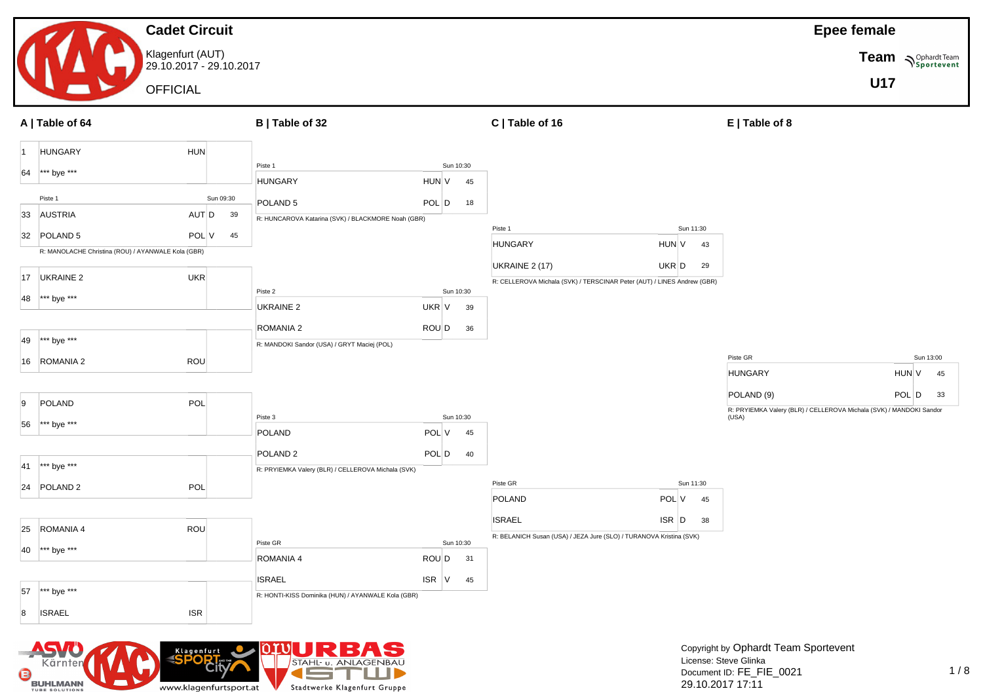#### **Cadet Circuit** Klagenfurt (AUT) 29.10.2017 - 29.10.2017 **OFFICIAL Epee female Team Sportevent U17 A | Table of 64 B | Table of 32 C | Table of 16 E | Table of 8** 1 HUNGARY HUN 64 \*\*\* bye \*\*\* Piste 1 Sun 09:30 33 AUSTRIA AUT D 39 32 POLAND 5 POL V 45 R: MANOLACHE Christina (ROU) / AYANWALE Kola (GBR) 17 UKRAINE 2 UKR 48 \*\*\* bye \*\*\* 49 \*\*\* bye \*\*\* 16 ROMANIA 2 ROU 9 POLAND POL 56 \*\*\* bye \*\*\* 41 \*\*\* bye \*\*\* 24 POLAND 2 POL 25 ROMANIA 4 ROU 40 \*\*\* bye \*\*\* 57 \*\*\* bye \*\*\* 8 ISRAEL ISR ISR Piste 1 Sun 10:30 HUNGARY HUN V 45 POLAND 5 POL D 18 R: HUNCAROVA Katarina (SVK) / BLACKMORE Noah (GBR) Piste 2 Sun 10:30 UKRAINE 2 UKR V 39 ROMANIA 2 ROU D 36 R: MANDOKI Sandor (USA) / GRYT Maciej (POL) Piste 3 Sun 10:30 POLAND POL V 45 POLAND 2 POL D 40 R: PRYIEMKA Valery (BLR) / CELLEROVA Michala (SVK) Piste GR Sun 10:30 ROMANIA 4 ROU D 31 ISRAEL ISR V 45 R: HONTI-KISS Dominika (HUN) / AYANWALE Kola (GBR) Piste 1 Sun 11:30 HUNGARY HUN V 43 UKRAINE 2 (17) UKR D 29 R: CELLEROVA Michala (SVK) / TERSCINAR Peter (AUT) / LINES Andrew (GBR) Piste GR Sun 11:30 POLAND POL V 45 ISRAEL ISR D 38 R: BELANICH Susan (USA) / JEZA Jure (SLO) / TURANOVA Kristina (SVK) Piste GR Sun 13:00 HUNGARY HUN V 45 POLAND (9) POL D 33 R: PRYIEMKA Valery (BLR) / CELLEROVA Michala (SVK) / MANDOKI Sandor (USA)

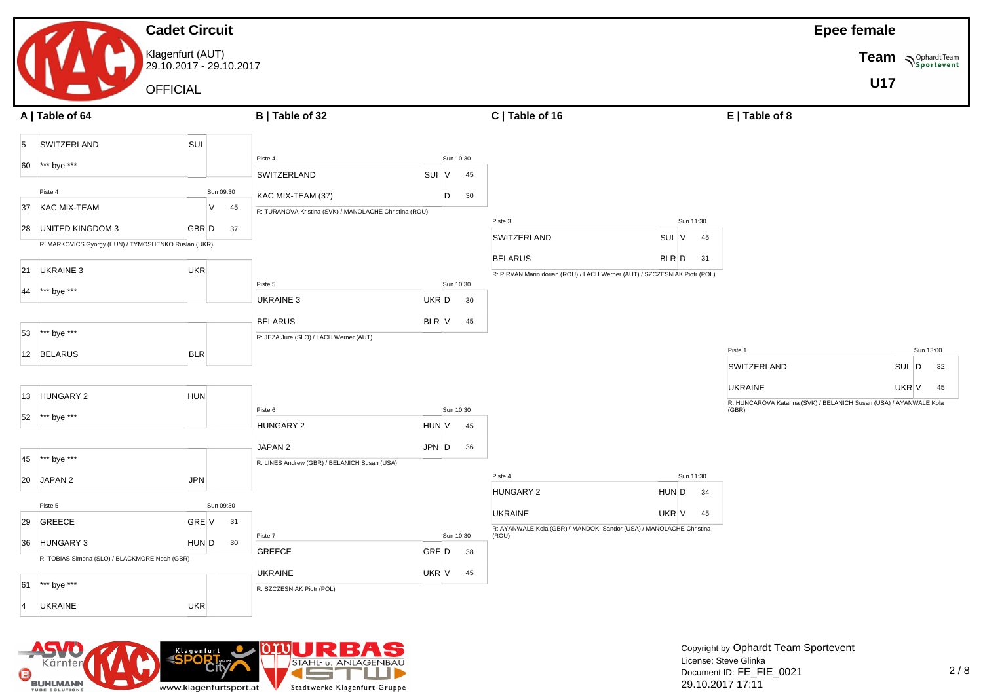#### **Cadet Circuit** Klagenfurt (AUT) 29.10.2017 - 29.10.2017 **OFFICIAL Epee female Team Sportevent U17 A | Table of 64 B | Table of 32 C | Table of 16 E | Table of 8** 5 SWITZERLAND SUI 60 \*\*\* bye \*\*\* Piste 4 Sun 09:30 37 KAC MIX-TEAM V 45 28 UNITED KINGDOM 3 GBR D 37 R: MARKOVICS Gyorgy (HUN) / TYMOSHENKO Ruslan (UKR) 21 UKRAINE 3 UKR 44 \*\*\* bye \*\*\* 53 \*\*\* bye \*\*\* 12 BELARUS BLR 13 HUNGARY 2 HUN 52 \*\*\* bye \*\*\* 45 \*\*\* bye \*\*\* 20 JAPAN 2 JPN Piste 5 Sun 09:30 29 GREECE GRE V 31 36 HUNGARY 3 HUN D 30 R: TOBIAS Simona (SLO) / BLACKMORE Noah (GBR) 61 \*\*\* bye \*\*\* 4 UKRAINE UKR Piste 4 Sun 10:30 SWITZERLAND SUI V 45  $KAC$  MIX-TEAM (37)  $\qquad$   $\qquad$   $\qquad$   $\qquad$  30 R: TURANOVA Kristina (SVK) / MANOLACHE Christina (ROU) Piste 5 Sun 10:30 UKRAINE 3 UKR D 30 BELARUS BLR V 45 R: JEZA Jure (SLO) / LACH Werner (AUT) Piste 6 Sun 10:30 HUNGARY 2 HUN V 45 JAPAN 2 JPN D 36 R: LINES Andrew (GBR) / BELANICH Susan (USA) Piste 7 Sun 10:30 GREECE GRE D 38 UKRAINE UKR V 45 R: SZCZESNIAK Piotr (POL) Piste 3 Sun 11:30 SWITZERLAND SUI V 45 BELARUS BLR D 31 R: PIRVAN Marin dorian (ROU) / LACH Werner (AUT) / SZCZESNIAK Piotr (POL) Piste 4 Sun 11:30 HUNGARY 2 HUN D 34 UKRAINE UKR V 45 R: AYANWALE Kola (GBR) / MANDOKI Sandor (USA) / MANOLACHE Christina (ROU) Piste 1 Sun 13:00 SWITZERLAND SUI D 32 UKRAINE UKR V 45 R: HUNCAROVA Katarina (SVK) / BELANICH Susan (USA) / AYANWALE Kola (GBR)



Copyright by Ophardt Team Sportevent License: Steve Glinka Document ID: FE\_FIE\_0021 29.10.2017 17:11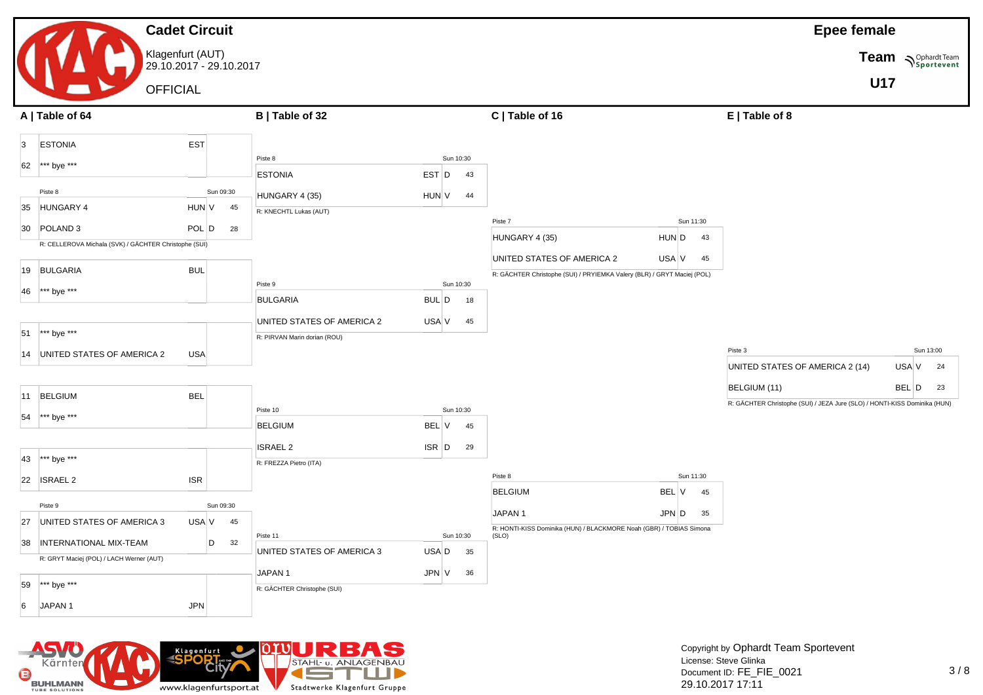#### **Cadet Circuit** Klagenfurt (AUT) 29.10.2017 - 29.10.2017 **OFFICIAL Epee female Team Sportevent U17 A | Table of 64 B | Table of 32 C | Table of 16 E | Table of 8** 3 ESTONIA EST 62 \*\*\* bye \*\*\* Piste 8 Sun 09:30 35 HUNGARY 4 HUN V 45 30 POLAND 3 POL D 28 R: CELLEROVA Michala (SVK) / GÄCHTER Christophe (SUI) 19 BULGARIA BUL 46 \*\*\* bye \*\*\* 51 \*\*\* bye \*\*\* 14 UNITED STATES OF AMERICA 2 USA 11 BELGIUM BEL 54 \*\*\* bye \*\*\* 43 \*\*\* bye \*\*\* 22 ISRAEL 2 ISR Piste 9 Sun 09:30 27 UNITED STATES OF AMERICA  $3$  USA V 45 38 INTERNATIONAL MIX-TEAM D 32 R: GRYT Maciej (POL) / LACH Werner (AUT) 59 \*\*\* bye \*\*\* 6 JAPAN 1 JPN Piste 8 Sun 10:30 ESTONIA BEST D 43  $HUNGARY 4 (35)$   $HUN |V 44$ R: KNECHTL Lukas (AUT) Piste 9 Sun 10:30 BULGARIA BUL D 18 UNITED STATES OF AMERICA 2 USA V 45 R: PIRVAN Marin dorian (ROU) Piste 10 Sun 10:30 BELGIUM BEL V 45 ISRAEL 2 ISR D 29 R: FREZZA Pietro (ITA) Piste 11 Sun 10:30 UNITED STATES OF AMERICA 3 USA D 35  $JAPAN 1$   $JPN |V 36$ R: GÄCHTER Christophe (SUI) Piste 7 Sun 11:30 HUNGARY 4 (35) HUN D 43 UNITED STATES OF AMERICA 2 USA V 45 R: GÄCHTER Christophe (SUI) / PRYIEMKA Valery (BLR) / GRYT Maciej (POL) Piste 8 Sun 11:30 BELGIUM BEL V 45 JAPAN 1 JPN D 35 R: HONTI-KISS Dominika (HUN) / BLACKMORE Noah (GBR) / TOBIAS Simona (SLO) Piste 3 Sun 13:00 UNITED STATES OF AMERICA 2 (14) USA  $V$  24 BELGIUM (11) BEL D 23 R: GÄCHTER Christophe (SUI) / JEZA Jure (SLO) / HONTI-KISS Dominika (HUN)

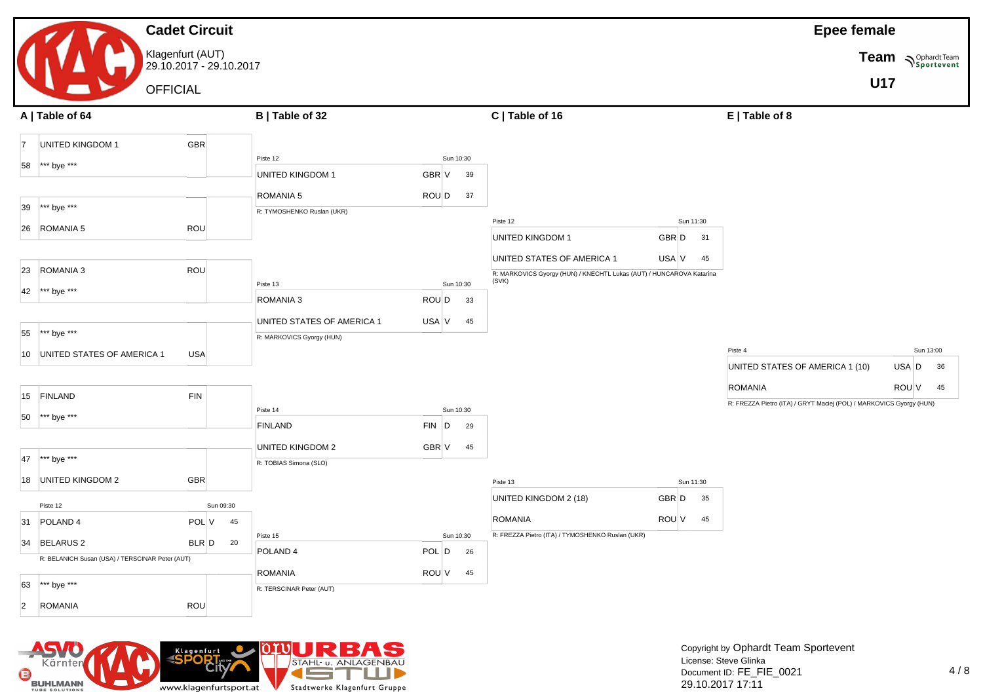|                |                                                                 | <b>Cadet Circuit</b>                        |                            |           |           |                                                                               |       |                 | <b>Epee female</b>                                                  |            |                    |
|----------------|-----------------------------------------------------------------|---------------------------------------------|----------------------------|-----------|-----------|-------------------------------------------------------------------------------|-------|-----------------|---------------------------------------------------------------------|------------|--------------------|
|                |                                                                 | Klagenfurt (AUT)<br>29.10.2017 - 29.10.2017 |                            |           |           |                                                                               |       |                 |                                                                     |            | Team Spohardt Team |
|                |                                                                 |                                             |                            |           |           |                                                                               |       |                 |                                                                     | <b>U17</b> |                    |
|                | <b>OFFICIAL</b>                                                 |                                             |                            |           |           |                                                                               |       |                 |                                                                     |            |                    |
|                | A   Table of 64                                                 |                                             | B   Table of 32            |           |           | C   Table of 16                                                               |       |                 | E   Table of 8                                                      |            |                    |
| $\vert$ 7      | UNITED KINGDOM 1                                                | GBR                                         |                            |           |           |                                                                               |       |                 |                                                                     |            |                    |
| 58             | *** bye ***                                                     |                                             | Piste 12                   |           | Sun 10:30 |                                                                               |       |                 |                                                                     |            |                    |
|                |                                                                 |                                             | <b>UNITED KINGDOM 1</b>    | GBR V     | 39        |                                                                               |       |                 |                                                                     |            |                    |
|                |                                                                 |                                             | ROMANIA 5                  | ROU D     | 37        |                                                                               |       |                 |                                                                     |            |                    |
| 39             | *** bye ***                                                     |                                             | R: TYMOSHENKO Ruslan (UKR) |           |           |                                                                               |       |                 |                                                                     |            |                    |
|                | 26 ROMANIA 5                                                    | ROU                                         |                            |           |           | Piste 12<br>UNITED KINGDOM 1                                                  | GBR D | Sun 11:30<br>31 |                                                                     |            |                    |
|                |                                                                 |                                             |                            |           |           |                                                                               |       |                 |                                                                     |            |                    |
| 23             | ROMANIA 3                                                       | ROU                                         |                            |           |           | UNITED STATES OF AMERICA 1                                                    | USA V | 45              |                                                                     |            |                    |
|                |                                                                 |                                             | Piste 13                   |           | Sun 10:30 | R: MARKOVICS Gyorgy (HUN) / KNECHTL Lukas (AUT) / HUNCAROVA Katarina<br>(SVK) |       |                 |                                                                     |            |                    |
| 42             | *** bye ***                                                     |                                             | ROMANIA 3                  | ROU D     | 33        |                                                                               |       |                 |                                                                     |            |                    |
|                |                                                                 |                                             | UNITED STATES OF AMERICA 1 | USA V     | 45        |                                                                               |       |                 |                                                                     |            |                    |
| 55             | *** bye ***                                                     |                                             | R: MARKOVICS Gyorgy (HUN)  |           |           |                                                                               |       |                 |                                                                     |            |                    |
|                | 10 UNITED STATES OF AMERICA 1                                   | <b>USA</b>                                  |                            |           |           |                                                                               |       |                 | Piste 4                                                             |            | Sun 13:00          |
|                |                                                                 |                                             |                            |           |           |                                                                               |       |                 | UNITED STATES OF AMERICA 1 (10)                                     | USA D      | 36                 |
|                | 15 FINLAND                                                      | <b>FIN</b>                                  |                            |           |           |                                                                               |       |                 | <b>ROMANIA</b>                                                      | ROU V      | 45                 |
|                |                                                                 |                                             | Piste 14                   |           | Sun 10:30 |                                                                               |       |                 | R: FREZZA Pietro (ITA) / GRYT Maciej (POL) / MARKOVICS Gyorgy (HUN) |            |                    |
| 50             | *** bye ***                                                     |                                             | FINLAND                    | $FIN$ $D$ | 29        |                                                                               |       |                 |                                                                     |            |                    |
|                |                                                                 |                                             | UNITED KINGDOM 2           | GBR V     | 45        |                                                                               |       |                 |                                                                     |            |                    |
| 47             | *** bye ***                                                     |                                             | R: TOBIAS Simona (SLO)     |           |           |                                                                               |       |                 |                                                                     |            |                    |
|                | 18 UNITED KINGDOM 2                                             | <b>GBR</b>                                  |                            |           |           | Piste 13                                                                      |       | Sun 11:30       |                                                                     |            |                    |
|                |                                                                 |                                             |                            |           |           | UNITED KINGDOM 2 (18)                                                         | GBR D | 35              |                                                                     |            |                    |
| 31             | Piste 12<br>POLAND <sub>4</sub>                                 | Sun 09:30<br>POL V<br>45                    |                            |           |           | <b>ROMANIA</b>                                                                | ROU V | 45              |                                                                     |            |                    |
|                |                                                                 |                                             | Piste 15                   |           | Sun 10:30 | R: FREZZA Pietro (ITA) / TYMOSHENKO Ruslan (UKR)                              |       |                 |                                                                     |            |                    |
|                | 34 BELARUS 2<br>R: BELANICH Susan (USA) / TERSCINAR Peter (AUT) | $BLR$ $D$ 20                                | POLAND <sub>4</sub>        | POL D     | 26        |                                                                               |       |                 |                                                                     |            |                    |
|                |                                                                 |                                             | <b>ROMANIA</b>             | ROU V     | 45        |                                                                               |       |                 |                                                                     |            |                    |
| 63             | *** bye ***                                                     |                                             | R: TERSCINAR Peter (AUT)   |           |           |                                                                               |       |                 |                                                                     |            |                    |
| $\overline{2}$ | <b>ROMANIA</b>                                                  | ROU                                         |                            |           |           |                                                                               |       |                 |                                                                     |            |                    |

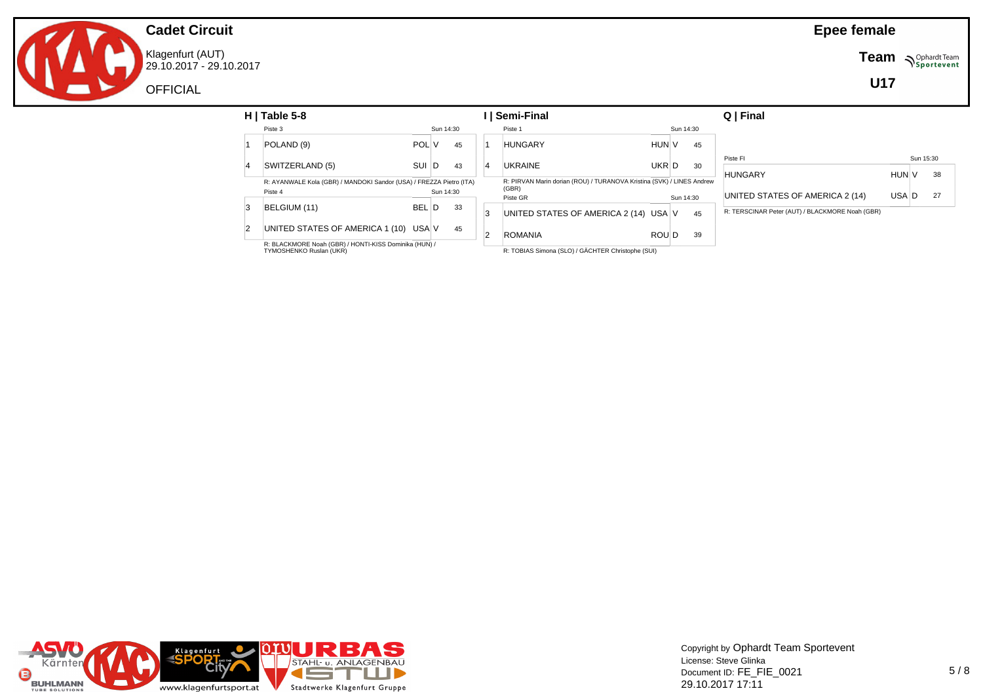Klagenfurt (AUT) 29.10.2017 - 29.10.2017 **Team**  $\sum_{\text{Sportevent}}$ 

**U17**

| $H$   Table 5-8                                                                |            |           |    | Semi-Final                                                                     |       |           |    | Q   Final                                       |       |           |    |
|--------------------------------------------------------------------------------|------------|-----------|----|--------------------------------------------------------------------------------|-------|-----------|----|-------------------------------------------------|-------|-----------|----|
| Piste 3                                                                        |            | Sun 14:30 |    | Piste 1                                                                        |       | Sun 14:30 |    |                                                 |       |           |    |
| POLAND (9)                                                                     | POL V      |           | 45 | <b>HUNGARY</b>                                                                 | HUN V |           | 45 |                                                 |       |           |    |
|                                                                                |            |           |    |                                                                                |       |           |    | Piste FI                                        |       | Sun 15:30 |    |
| SWITZERLAND (5)                                                                | SUI D      |           | 43 | <b>UKRAINE</b>                                                                 | UKR D |           | 30 | <b>HUNGARY</b>                                  | HUN V |           | 38 |
| R: AYANWALE Kola (GBR) / MANDOKI Sandor (USA) / FREZZA Pietro (ITA)<br>Piste 4 |            | Sun 14:30 |    | R: PIRVAN Marin dorian (ROU) / TURANOVA Kristina (SVK) / LINES Andrew<br>(GBR) |       |           |    |                                                 |       |           |    |
|                                                                                |            |           |    | Piste GR                                                                       |       | Sun 14:30 |    | UNITED STATES OF AMERICA 2 (14)                 | USA D |           | 27 |
| BELGIUM (11)                                                                   | <b>BEL</b> | L I D     | 33 | UNITED STATES OF AMERICA 2 (14) USA V                                          |       |           | 45 | R: TERSCINAR Peter (AUT) / BLACKMORE Noah (GBR) |       |           |    |
| UNITED STATES OF AMERICA 1 (10) USA V                                          |            |           | 45 | <b>ROMANIA</b>                                                                 | ROU D |           | 39 |                                                 |       |           |    |
| R: BLACKMORE Noah (GBR) / HONTI-KISS Dominika (HUN) /                          |            |           |    | _ ____                                                                         |       |           |    |                                                 |       |           |    |

R: BLACKMORE Noah (GBR) / HONTI-KISS Dominika (HUN) / TYMOSHENKO Ruslan (UKR)

R: TOBIAS Simona (SLO) / GÄCHTER Christophe (SUI)



Copyright by Ophardt Team Sportevent License: Steve Glinka Document ID: FE\_FIE\_0021 29.10.2017 17:11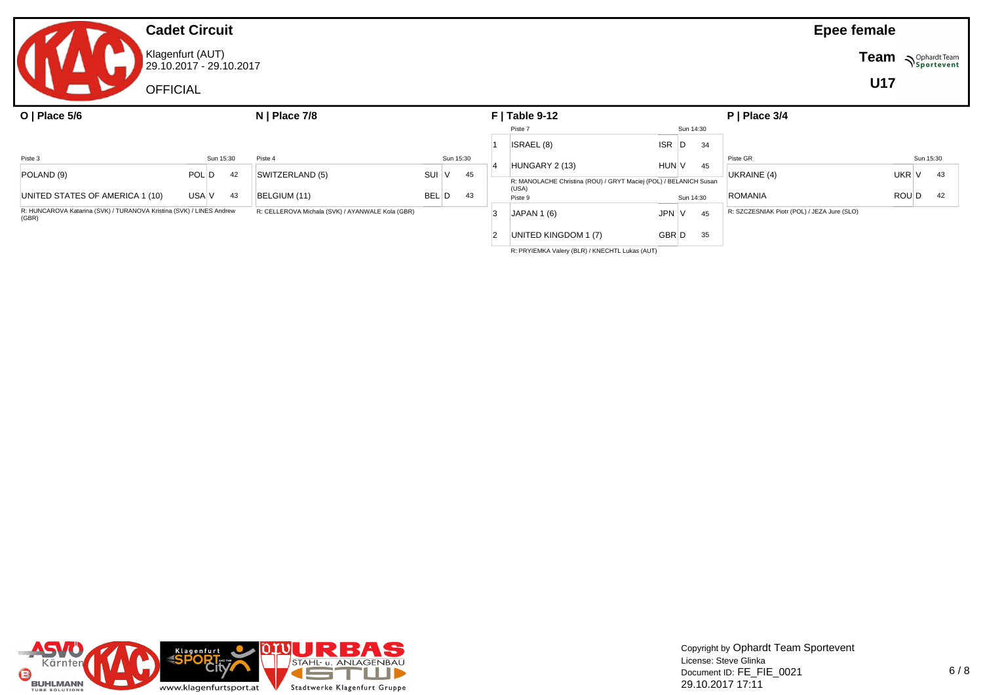# **Cadet Circuit** Klagenfurt (AUT) 29.10.2017 - 29.10.2017 **OFFICIAL**

| O   Place $5/6$                                                               |       |           |                                                  | $N$   Place 7/8 |           |    | $F$   Table 9-12 |                                                                            |              |  |           | $P$   Place 3/4                             |       |           |
|-------------------------------------------------------------------------------|-------|-----------|--------------------------------------------------|-----------------|-----------|----|------------------|----------------------------------------------------------------------------|--------------|--|-----------|---------------------------------------------|-------|-----------|
|                                                                               |       |           |                                                  |                 |           |    |                  | Piste 7                                                                    |              |  | Sun 14:30 |                                             |       |           |
|                                                                               |       |           |                                                  |                 |           |    |                  | ISRAEL (8)                                                                 | ISR D        |  | 34        |                                             |       |           |
| Piste 3                                                                       |       | Sun 15:30 | Piste 4                                          |                 | Sun 15:30 |    |                  |                                                                            |              |  |           | Piste GR                                    |       | Sun 15:30 |
| POLAND (9)                                                                    | POL D | 42        | SWITZERLAND (5)                                  | SUI             |           | 45 |                  | HUNGARY 2 (13)                                                             | <b>HUN V</b> |  | 45        | UKRAINE (4)                                 | UKR V | 43        |
|                                                                               |       |           |                                                  |                 |           |    |                  | R: MANOLACHE Christina (ROU) / GRYT Maciej (POL) / BELANICH Susan<br>(USA) |              |  |           |                                             |       |           |
| UNITED STATES OF AMERICA 1 (10)                                               | USA V | 43        | BELGIUM (11)                                     | BEL D           |           | 43 |                  | Piste 9                                                                    |              |  | Sun 14:30 | ROMANIA                                     | ROU D | 42        |
| R: HUNCAROVA Katarina (SVK) / TURANOVA Kristina (SVK) / LINES Andrew<br>(GBR) |       |           | R: CELLEROVA Michala (SVK) / AYANWALE Kola (GBR) |                 |           |    |                  | <b>JAPAN 1 (6)</b>                                                         | JPN   V      |  | 45        | R: SZCZESNIAK Piotr (POL) / JEZA Jure (SLO) |       |           |
|                                                                               |       |           |                                                  |                 |           |    |                  | UNITED KINGDOM 1 (7)                                                       | GBR D        |  | 35        |                                             |       |           |

R: PRYIEMKA Valery (BLR) / KNECHTL Lukas (AUT)



Copyright by Ophardt Team Sportevent License: Steve Glinka Document ID: FE\_FIE\_0021 29.10.2017 17:11

**Epee female**

**Team N**Sportevent

**U17**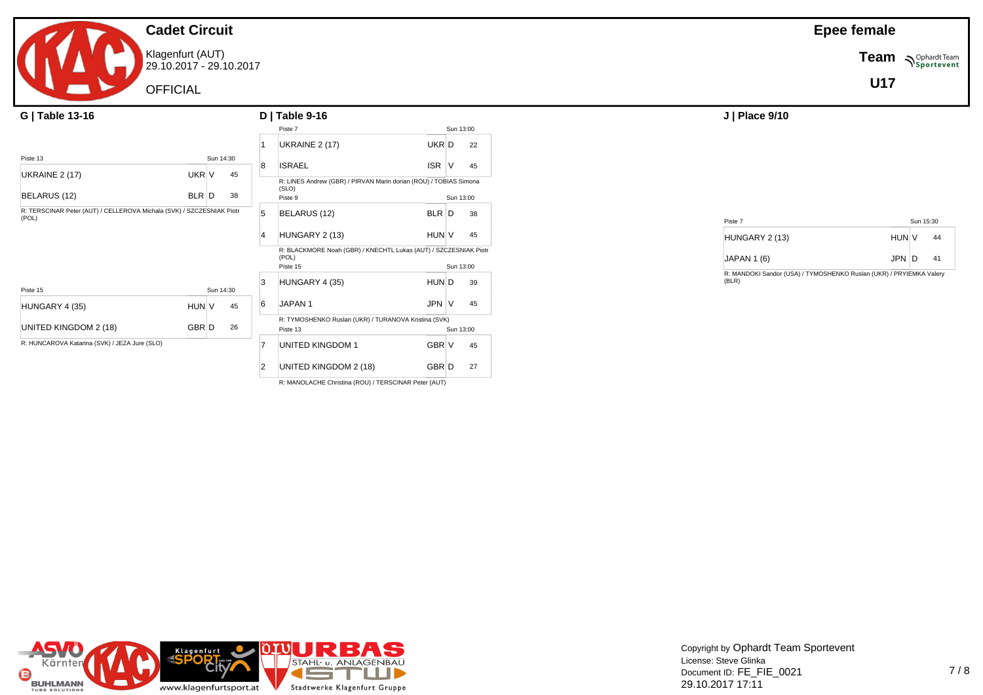Klagenfurt (AUT) 29.10.2017 - 29.10.2017

OFFICIAL

| G   Table 13-16                                                                |       |           | $D$   Table 9-16 | J   Place 9/10          |                                                                            |            |            |                |                      |
|--------------------------------------------------------------------------------|-------|-----------|------------------|-------------------------|----------------------------------------------------------------------------|------------|------------|----------------|----------------------|
|                                                                                |       |           |                  |                         | Piste 7                                                                    |            | Sun 13:00  |                |                      |
|                                                                                |       |           |                  |                         | UKRAINE 2 (17)                                                             | UKR D      |            | 22             |                      |
| Piste 13                                                                       |       | Sun 14:30 |                  |                         |                                                                            |            |            |                |                      |
| <b>UKRAINE 2 (17)</b>                                                          | UKR V |           | 45               | 8                       | <b>ISRAEL</b>                                                              | <b>ISR</b> | V          | 45             |                      |
|                                                                                |       |           |                  |                         | R: LINES Andrew (GBR) / PIRVAN Marin dorian (ROU) / TOBIAS Simona<br>(SLO) |            |            |                |                      |
| BELARUS (12)                                                                   | BLR D |           | 38               |                         | Piste 9                                                                    |            | Sun 13:00  |                |                      |
| R: TERSCINAR Peter (AUT) / CELLEROVA Michala (SVK) / SZCZESNIAK Piotr<br>(POL) |       | 5         | BELARUS (12)     | <b>BLR</b>              | D                                                                          | 38         | Piste 7    |                |                      |
|                                                                                |       |           |                  | HUNGARY 2 (13)          | HUN V                                                                      |            | 45         | HUNGARY 2 (13) |                      |
|                                                                                |       |           |                  |                         | R: BLACKMORE Noah (GBR) / KNECHTL Lukas (AUT) / SZCZESNIAK Piotr<br>(POL)  |            | JAPAN 1(6) |                |                      |
|                                                                                |       |           |                  |                         | Piste 15                                                                   |            | Sun 13:00  |                | R: MANDOKI Sandor (U |
| Piste 15                                                                       |       | Sun 14:30 |                  | 3                       | HUNGARY 4 (35)                                                             | HUN D      |            | 39             | (BLR)                |
| HUNGARY 4 (35)                                                                 | HUN V |           | 45               | 6                       | JAPAN 1                                                                    | JPN V      |            | 45             |                      |
|                                                                                |       |           |                  |                         | R: TYMOSHENKO Ruslan (UKR) / TURANOVA Kristina (SVK)                       |            |            |                |                      |
| UNITED KINGDOM 2 (18)                                                          | GBR D |           | 26               |                         | Piste 13                                                                   |            | Sun 13:00  |                |                      |
| R: HUNCAROVA Katarina (SVK) / JEZA Jure (SLO)                                  |       |           |                  | <b>UNITED KINGDOM 1</b> | GBR V                                                                      |            | 45         |                |                      |
|                                                                                |       |           |                  | $\overline{2}$          | UNITED KINGDOM 2 (18)                                                      | GBR D      |            | 27             |                      |

R: MANOLACHE Christina (ROU) / TERSCINAR Peter (AUT)

**Epee female**

**Team** *NSportevent* 

**U17**

| Piste 7            |              | Sun 15:30 |    |  |
|--------------------|--------------|-----------|----|--|
| HUNGARY 2 (13)     | <b>HUN V</b> |           | 44 |  |
| <b>JAPAN 1 (6)</b> | JPN D        |           | 41 |  |

R: MANDOKI Sandor (USA) / TYMOSHENKO Ruslan (UKR) / PRYIEMKA Valery (BLR)

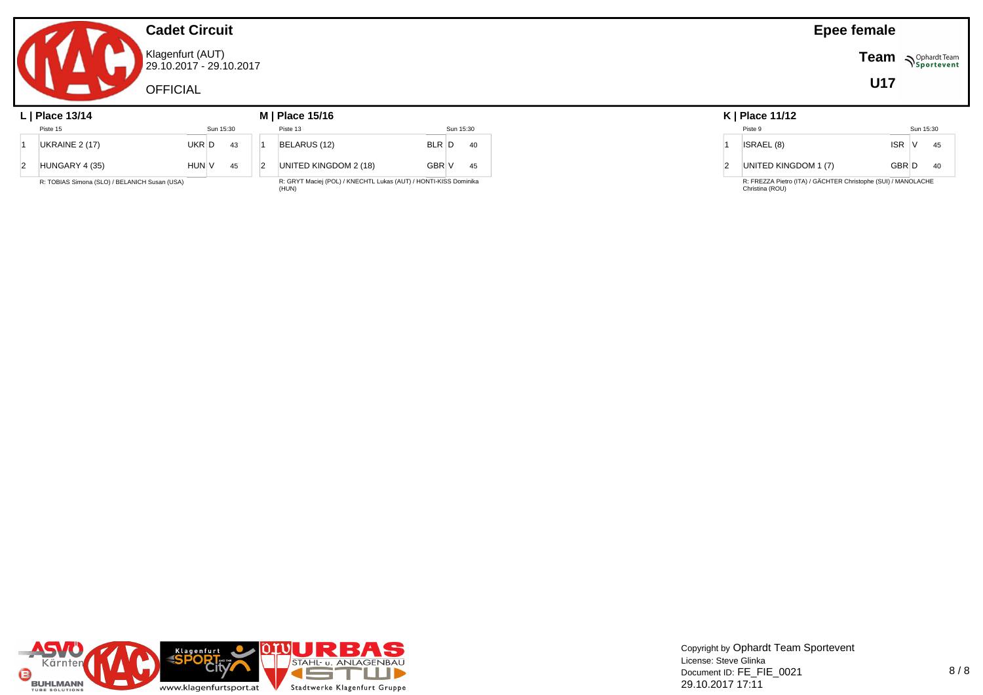Klagenfurt (AUT) 29.10.2017 - 29.10.2017

**OFFICIAL** 

#### **L | Place 13/14 M | Place 15/16 K | Place 11/12** Piste 15 Sun 15:30 1 UKRAINE 2 (17) UKR D 43  $2$  HUNGARY 4 (35) HUN V 45 R: TOBIAS Simona (SLO) / BELANICH Susan (USA) Piste 13 Sun 15:30 1 BELARUS (12) BLR D 40 2 UNITED KINGDOM 2 (18) GBR V 45 R: GRYT Maciej (POL) / KNECHTL Lukas (AUT) / HONTI-KISS Dominika (HUN)

| K   Place 11/12 |  |
|-----------------|--|
|                 |  |

|   | $N$   FidGe   1/12                                                               |              |           |    |
|---|----------------------------------------------------------------------------------|--------------|-----------|----|
|   | Piste 9                                                                          |              | Sun 15:30 |    |
|   | ISRAEL (8)                                                                       | ISR V        |           | 45 |
| 2 | UNITED KINGDOM 1 (7)                                                             | <b>GBRID</b> |           | 40 |
|   | R: FREZZA Pietro (ITA) / GÄCHTER Christophe (SUI) / MANOLACHE<br>Christina (ROU) |              |           |    |



### **Epee female**

**Team Sportevent** 

**U17**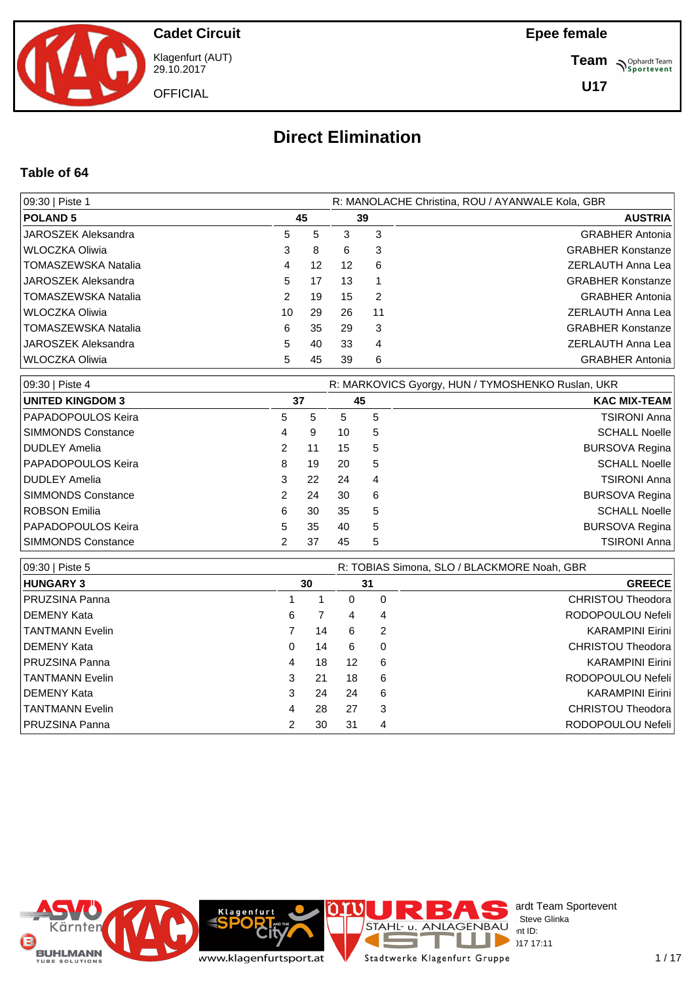

Klagenfurt (AUT) 29.10.2017

**OFFICIAL** 

**Epee female**

**Team** *S<sup>Ophardt Team*<br> *S*<sup>P</sup> Sportevent</sup>

**U17**

# **Direct Elimination**

#### **Table of 64**

| 09:30   Piste 1            | R: MANOLACHE Christina, ROU / AYANWALE Kola, GBR |    |    |    |                          |  |  |  |  |  |
|----------------------------|--------------------------------------------------|----|----|----|--------------------------|--|--|--|--|--|
| <b>POLAND 5</b>            | 45                                               |    |    | 39 | <b>AUSTRIA</b>           |  |  |  |  |  |
| JAROSZEK Aleksandra        | 5                                                | 5  | 3  | 3  | <b>GRABHER Antonia</b>   |  |  |  |  |  |
| WLOCZKA Oliwia             | 3                                                | 8  | 6  | 3  | <b>GRABHER Konstanze</b> |  |  |  |  |  |
| <b>TOMASZEWSKA Natalia</b> | 4                                                | 12 | 12 | 6  | ZERLAUTH Anna Lea        |  |  |  |  |  |
| JAROSZEK Aleksandra        | 5                                                | 17 | 13 |    | <b>GRABHER Konstanze</b> |  |  |  |  |  |
| <b>TOMASZEWSKA Natalia</b> | 2                                                | 19 | 15 | 2  | <b>GRABHER Antonia</b>   |  |  |  |  |  |
| WLOCZKA Oliwia             | 10                                               | 29 | 26 | 11 | <b>ZERLAUTH Anna Lea</b> |  |  |  |  |  |
| TOMASZEWSKA Natalia        | 6                                                | 35 | 29 | 3  | <b>GRABHER Konstanze</b> |  |  |  |  |  |
| JAROSZEK Aleksandra        | 5                                                | 40 | 33 | 4  | ZERLAUTH Anna Lea        |  |  |  |  |  |
| WLOCZKA Oliwia             | 5                                                | 45 | 39 | 6  | <b>GRABHER Antonia</b>   |  |  |  |  |  |

| 09:30   Piste 4           | R: MARKOVICS Gyorgy, HUN / TYMOSHENKO Ruslan, UKR |    |    |    |                      |  |  |  |  |  |  |
|---------------------------|---------------------------------------------------|----|----|----|----------------------|--|--|--|--|--|--|
| <b>UNITED KINGDOM 3</b>   |                                                   | 37 |    | 45 | <b>KAC MIX-TEAM</b>  |  |  |  |  |  |  |
| <b>PAPADOPOULOS Keira</b> | 5                                                 | 5  | 5  | 5  | TSIRONI Anna         |  |  |  |  |  |  |
| <b>SIMMONDS Constance</b> | 4                                                 | 9  | 10 | 5  | <b>SCHALL Noelle</b> |  |  |  |  |  |  |
| <b>DUDLEY Amelia</b>      | 2                                                 | 11 | 15 | 5  | BURSOVA Regina       |  |  |  |  |  |  |
| <b>PAPADOPOULOS Keira</b> | 8                                                 | 19 | 20 | 5  | <b>SCHALL Noelle</b> |  |  |  |  |  |  |
| DUDLEY Amelia             | 3                                                 | 22 | 24 | 4  | TSIRONI Anna         |  |  |  |  |  |  |
| <b>SIMMONDS Constance</b> |                                                   | 24 | 30 | 6  | BURSOVA Regina       |  |  |  |  |  |  |
| ROBSON Emilia             | 6                                                 | 30 | 35 | 5  | <b>SCHALL Noelle</b> |  |  |  |  |  |  |
| <b>PAPADOPOULOS Keira</b> | 5                                                 | 35 | 40 | 5  | BURSOVA Regina       |  |  |  |  |  |  |
| <b>SIMMONDS Constance</b> |                                                   | 37 | 45 | 5  | TSIRONI Anna         |  |  |  |  |  |  |

| 09:30   Piste 5        |   |    |              |    | R: TOBIAS Simona, SLO / BLACKMORE Noah, GBR |
|------------------------|---|----|--------------|----|---------------------------------------------|
| <b>HUNGARY 3</b>       |   | 30 |              | 31 | <b>GREECE</b>                               |
| PRUZSINA Panna         |   |    | <sup>0</sup> | 0  | CHRISTOU Theodora                           |
| I DEMENY Kata          | 6 |    | 4            | 4  | RODOPOULOU Nefeli                           |
| <b>TANTMANN Evelin</b> |   | 14 | 6            | 2  | <b>KARAMPINI Eirini</b>                     |
| I DEMENY Kata          | 0 | 14 | 6            | 0  | <b>CHRISTOU Theodora</b>                    |
| <b>IPRUZSINA Panna</b> | 4 | 18 | 12           | 6  | <b>KARAMPINI Eirini</b>                     |
| TANTMANN Evelin        | 3 | 21 | 18           | 6  | RODOPOULOU Nefeli                           |
| I DEMENY Kata          | 3 | 24 | 24           | 6  | <b>KARAMPINI Eirini</b>                     |
| TANTMANN Evelin        | 4 | 28 | 27           | 3  | CHRISTOU Theodora                           |
| <b>IPRUZSINA Panna</b> | 2 | 30 | 31           | 4  | RODOPOULOU Nefeli                           |

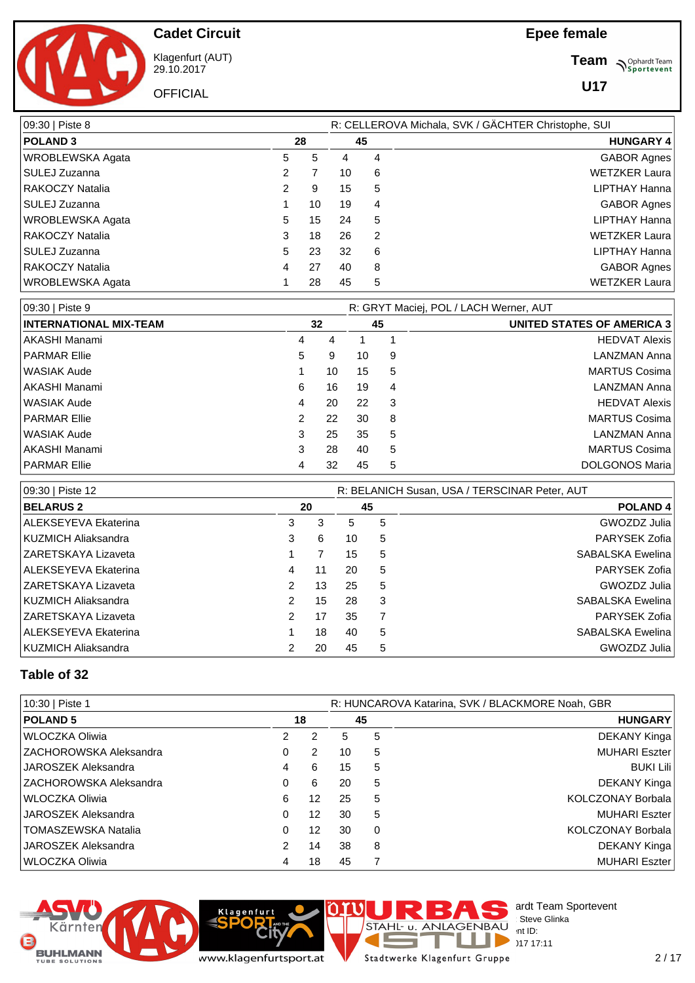**Team** *S<sup>Ophardt Team*<br> *S*<sup>P</sup> Sportevent</sup>

**U17**



**Cadet Circuit**

Klagenfurt (AUT) 29.10.2017

**OFFICIAL** 

| 09:30   Piste 8         |   |    | R: CELLEROVA Michala, SVK / GÄCHTER Christophe, SUI |    |                      |  |  |  |  |  |
|-------------------------|---|----|-----------------------------------------------------|----|----------------------|--|--|--|--|--|
| <b>POLAND 3</b>         |   | 28 |                                                     | 45 | <b>HUNGARY 4</b>     |  |  |  |  |  |
| <b>WROBLEWSKA Agata</b> | 5 | 5  | 4                                                   | 4  | GABOR Agnes          |  |  |  |  |  |
| <b>SULEJ Zuzanna</b>    | 2 | 7  | 10                                                  | 6  | WETZKER Laura        |  |  |  |  |  |
| RAKOCZY Natalia         | 2 | 9  | 15                                                  | 5  | LIPTHAY Hanna        |  |  |  |  |  |
| SULEJ Zuzanna           |   | 10 | 19                                                  | 4  | GABOR Agnes          |  |  |  |  |  |
| WROBLEWSKA Agata        | 5 | 15 | 24                                                  | 5  | LIPTHAY Hanna        |  |  |  |  |  |
| RAKOCZY Natalia         | 3 | 18 | 26                                                  | 2  | <b>WETZKER Laura</b> |  |  |  |  |  |
| SULEJ Zuzanna           | 5 | 23 | 32                                                  | 6  | LIPTHAY Hanna        |  |  |  |  |  |
| RAKOCZY Natalia         | 4 | 27 | 40                                                  | 8  | GABOR Agnes          |  |  |  |  |  |
| WROBLEWSKA Agata        |   | 28 | 45                                                  | 5  | <b>WETZKER Laura</b> |  |  |  |  |  |

| 09:30   Piste 9               |   | R: GRYT Maciej, POL / LACH Werner, AUT |    |    |                                   |  |  |  |  |
|-------------------------------|---|----------------------------------------|----|----|-----------------------------------|--|--|--|--|
| <b>INTERNATIONAL MIX-TEAM</b> |   | 32                                     |    | 45 | <b>UNITED STATES OF AMERICA 3</b> |  |  |  |  |
| AKASHI Manami                 | 4 | 4                                      |    |    | <b>HEDVAT Alexis</b>              |  |  |  |  |
| PARMAR Ellie                  | 5 | 9                                      | 10 | 9  | LANZMAN Anna                      |  |  |  |  |
| WASIAK Aude                   |   | 10                                     | 15 | 5  | MARTUS Cosima                     |  |  |  |  |
| AKASHI Manami                 | 6 | 16                                     | 19 | 4  | LANZMAN Anna                      |  |  |  |  |
| WASIAK Aude                   | 4 | 20                                     | 22 | -3 | <b>HEDVAT Alexis</b>              |  |  |  |  |
| <b>PARMAR Ellie</b>           | 2 | 22                                     | 30 | 8  | MARTUS Cosima                     |  |  |  |  |
| l WASIAK Aude                 | 3 | 25                                     | 35 | 5  | LANZMAN Anna                      |  |  |  |  |
| AKASHI Manami                 | 3 | 28                                     | 40 | 5  | MARTUS Cosima                     |  |  |  |  |
| PARMAR Ellie                  | 4 | 32                                     | 45 | 5  | DOLGONOS Maria                    |  |  |  |  |

| 09:30   Piste 12            |               |    | R: BELANICH Susan, USA / TERSCINAR Peter, AUT |    |                     |  |  |  |  |  |
|-----------------------------|---------------|----|-----------------------------------------------|----|---------------------|--|--|--|--|--|
| <b>BELARUS 2</b>            |               | 20 |                                               | 45 | POLAND <sub>4</sub> |  |  |  |  |  |
| <b>ALEKSEYEVA Ekaterina</b> | 3             | 3  | 5                                             | 5  | GWOZDZ Julia        |  |  |  |  |  |
| KUZMICH Aliaksandra         | 3             | 6  | 10                                            | 5  | PARYSEK Zofia       |  |  |  |  |  |
| <b>ZARETSKAYA Lizaveta</b>  |               |    | 15                                            | 5  | SABALSKA Ewelina    |  |  |  |  |  |
| <b>ALEKSEYEVA Ekaterina</b> | 4             | 11 | 20                                            | 5  | PARYSEK Zofia       |  |  |  |  |  |
| <b>ZARETSKAYA Lizaveta</b>  | 2             | 13 | 25                                            | 5  | GWOZDZ Julia        |  |  |  |  |  |
| KUZMICH Aliaksandra         | $\mathcal{P}$ | 15 | 28                                            | 3  | SABALSKA Ewelina    |  |  |  |  |  |
| IZARETSKAYA Lizaveta        | $\mathcal{P}$ | 17 | 35                                            |    | PARYSEK Zofia       |  |  |  |  |  |
| ALEKSEYEVA Ekaterina        |               | 18 | 40                                            | 5  | SABALSKA Ewelina    |  |  |  |  |  |
| KUZMICH Aliaksandra         |               | 20 | 45                                            | 5  | GWOZDZ Julia        |  |  |  |  |  |

## **Table of 32**

| 10:30   Piste 1         |   |    | R: HUNCAROVA Katarina, SVK / BLACKMORE Noah, GBR |          |                          |  |  |  |  |  |
|-------------------------|---|----|--------------------------------------------------|----------|--------------------------|--|--|--|--|--|
| <b>POLAND 5</b>         |   | 18 |                                                  | 45       | <b>HUNGARY</b>           |  |  |  |  |  |
| WLOCZKA Oliwia          | 2 | 2  | 5                                                | 5        | DEKANY Kinga             |  |  |  |  |  |
| IZACHOROWSKA Aleksandra | 0 | 2  | 10                                               | 5        | MUHARI Eszter            |  |  |  |  |  |
| JAROSZEK Aleksandra     | 4 | 6  | 15                                               | 5        | <b>BUKI Lili</b>         |  |  |  |  |  |
| IZACHOROWSKA Aleksandra | 0 | 6  | 20                                               | 5        | DEKANY Kinga             |  |  |  |  |  |
| l WLOCZKA Oliwia        | 6 | 12 | 25                                               | 5        | KOLCZONAY Borbala        |  |  |  |  |  |
| JAROSZEK Aleksandra     | 0 | 12 | 30                                               | 5        | <b>MUHARI Eszter</b>     |  |  |  |  |  |
| TOMASZEWSKA Natalia     | 0 | 12 | 30                                               | $\Omega$ | <b>KOLCZONAY Borbala</b> |  |  |  |  |  |
| JAROSZEK Aleksandra     | 2 | 14 | 38                                               | 8        | DEKANY Kinga             |  |  |  |  |  |
| WLOCZKA Oliwia          | 4 | 18 | 45                                               | 7        | <b>MUHARI Eszter</b>     |  |  |  |  |  |





Stadtwerke Klagenfurt Gruppe

F

T a.

 $\overline{a}$ 

STAHL- u. ANLAGENBAU Int ID:

 $P^{\sim}$  int ID:  $29.1717$  17:11

ardt Team Sportevent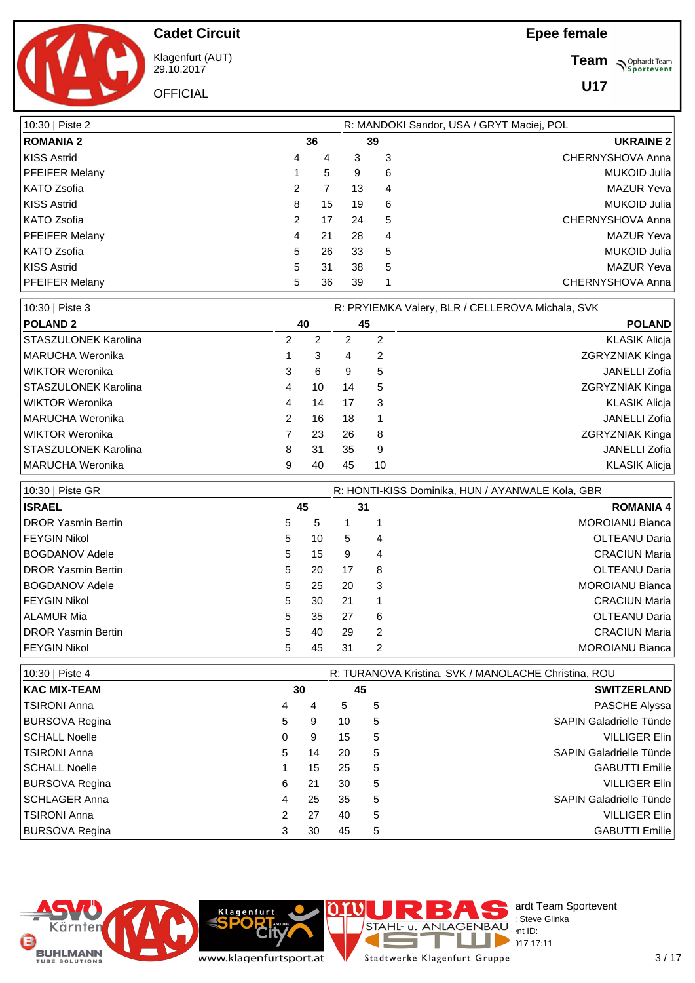**Team** *S<sup>Ophardt Team*<br>*S*<sup>P</sup> *Sportevent*</sup>

**U17**



**Cadet Circuit**

Klagenfurt (AUT) 29.10.2017 **OFFICIAL** 

| 10:30   Piste 2       |   | R: MANDOKI Sandor, USA / GRYT Maciej, POL |    |    |                     |  |  |  |  |
|-----------------------|---|-------------------------------------------|----|----|---------------------|--|--|--|--|
| <b>ROMANIA 2</b>      |   | 36                                        |    | 39 | <b>UKRAINE 2</b>    |  |  |  |  |
| <b>KISS Astrid</b>    | 4 | 4                                         | 3  | 3  | CHERNYSHOVA Anna    |  |  |  |  |
| <b>PFEIFER Melany</b> |   | 5                                         | 9  | 6  | <b>MUKOID Julia</b> |  |  |  |  |
| KATO Zsofia           | 2 |                                           | 13 | 4  | <b>MAZUR Yeva</b>   |  |  |  |  |
| <b>KISS Astrid</b>    | 8 | 15                                        | 19 | 6  | MUKOID Julia        |  |  |  |  |
| KATO Zsofia           | 2 | 17                                        | 24 | 5  | CHERNYSHOVA Anna    |  |  |  |  |
| <b>PFEIFER Melany</b> | 4 | 21                                        | 28 | 4  | <b>MAZUR Yeva</b>   |  |  |  |  |
| KATO Zsofia           | 5 | 26                                        | 33 | 5  | <b>MUKOID Julia</b> |  |  |  |  |
| KISS Astrid           | 5 | 31                                        | 38 | 5  | <b>MAZUR Yeva</b>   |  |  |  |  |
| <b>PFEIFER Melany</b> | 5 | 36                                        | 39 |    | CHERNYSHOVA Anna    |  |  |  |  |

| 10:30   Piste 3      |    |    |    |    | R: PRYIEMKA Valery, BLR / CELLEROVA Michala, SVK |
|----------------------|----|----|----|----|--------------------------------------------------|
| <b>POLAND 2</b>      | 40 |    | 45 |    | <b>POLAND</b>                                    |
| STASZULONEK Karolina | 2  | 2  |    | 2  | <b>KLASIK Alicja</b>                             |
| MARUCHA Weronika     |    | 3  | 4  | 2  | <b>ZGRYZNIAK Kinga</b>                           |
| WIKTOR Weronika      | 3  | 6  | 9  | 5  | JANELLI Zofia                                    |
| STASZULONEK Karolina | 4  | 10 | 14 | 5  | <b>ZGRYZNIAK Kinga</b>                           |
| WIKTOR Weronika      | 4  | 14 | 17 | 3  | <b>KLASIK Alicia</b>                             |
| MARUCHA Weronika     | 2  | 16 | 18 |    | JANELLI Zofia                                    |
| WIKTOR Weronika      |    | 23 | 26 | 8  | <b>ZGRYZNIAK Kinga</b>                           |
| STASZULONEK Karolina | 8  | 31 | 35 | 9  | JANELLI Zofia                                    |
| MARUCHA Weronika     | 9  | 40 | 45 | 10 | <b>KLASIK Alicia</b>                             |

| 10:30   Piste GR           |   |    |    | R: HONTI-KISS Dominika, HUN / AYANWALE Kola, GBR |                        |  |  |  |  |  |
|----------------------------|---|----|----|--------------------------------------------------|------------------------|--|--|--|--|--|
| <b>ISRAEL</b>              |   | 45 |    | 31                                               | <b>ROMANIA 4</b>       |  |  |  |  |  |
| <b>IDROR Yasmin Bertin</b> | 5 | 5  |    |                                                  | <b>MOROIANU Bianca</b> |  |  |  |  |  |
| FEYGIN Nikol               | 5 | 10 | 5  | 4                                                | OLTEANU Daria          |  |  |  |  |  |
| <b>BOGDANOV Adele</b>      | 5 | 15 | 9  | 4                                                | <b>CRACIUN Maria</b>   |  |  |  |  |  |
| <b>IDROR Yasmin Bertin</b> | 5 | 20 | 17 | 8                                                | <b>OLTEANU Daria</b>   |  |  |  |  |  |
| <b>BOGDANOV Adele</b>      | 5 | 25 | 20 | 3                                                | <b>MOROIANU Bianca</b> |  |  |  |  |  |
| FEYGIN Nikol               | 5 | 30 | 21 |                                                  | <b>CRACIUN Maria</b>   |  |  |  |  |  |
| ALAMUR Mia                 | 5 | 35 | 27 | 6                                                | <b>OLTEANU Daria</b>   |  |  |  |  |  |
| <b>IDROR Yasmin Bertin</b> | 5 | 40 | 29 | 2                                                | <b>CRACIUN Maria</b>   |  |  |  |  |  |
| FEYGIN Nikol               | 5 | 45 | 31 | 2                                                | <b>MOROIANU Bianca</b> |  |  |  |  |  |

| 10:30   Piste 4       |   |    | R: TURANOVA Kristina, SVK / MANOLACHE Christina, ROU |    |                                |  |  |  |
|-----------------------|---|----|------------------------------------------------------|----|--------------------------------|--|--|--|
| <b>KAC MIX-TEAM</b>   |   | 30 |                                                      | 45 | <b>SWITZERLAND</b>             |  |  |  |
| <b>TSIRONI Anna</b>   | 4 | 4  | 5                                                    | 5  | PASCHE Alyssa                  |  |  |  |
| <b>BURSOVA Regina</b> | 5 | 9  | 10                                                   | 5  | <b>SAPIN Galadrielle Tünde</b> |  |  |  |
| <b>SCHALL Noelle</b>  | 0 | 9  | 15                                                   | 5  | <b>VILLIGER Elin</b>           |  |  |  |
| <b>TSIRONI Anna</b>   | 5 | 14 | 20                                                   | 5  | <b>SAPIN Galadrielle Tünde</b> |  |  |  |
| <b>SCHALL Noelle</b>  |   | 15 | 25                                                   | 5  | <b>GABUTTI Emilie</b>          |  |  |  |
| <b>BURSOVA Regina</b> | 6 | 21 | 30                                                   | 5  | <b>VILLIGER Elin</b>           |  |  |  |
| <b>SCHLAGER Anna</b>  | 4 | 25 | 35                                                   | 5  | <b>SAPIN Galadrielle Tünde</b> |  |  |  |
| <b>TSIRONI Anna</b>   | 2 | 27 | 40                                                   | 5  | <b>VILLIGER Elin</b>           |  |  |  |
| <b>BURSOVA Regina</b> | 3 | 30 | 45                                                   | 5  | <b>GABUTTI Emilie</b>          |  |  |  |

**Rity** 



**IC** T a. Stadtwerke Klagenfurt Gruppe

Е

F

ardt Team Sportevent<br>Steve Glinka **License:** Steve Glinka  $P^{\sim}$  int ID:  $29.17 \times 17:11$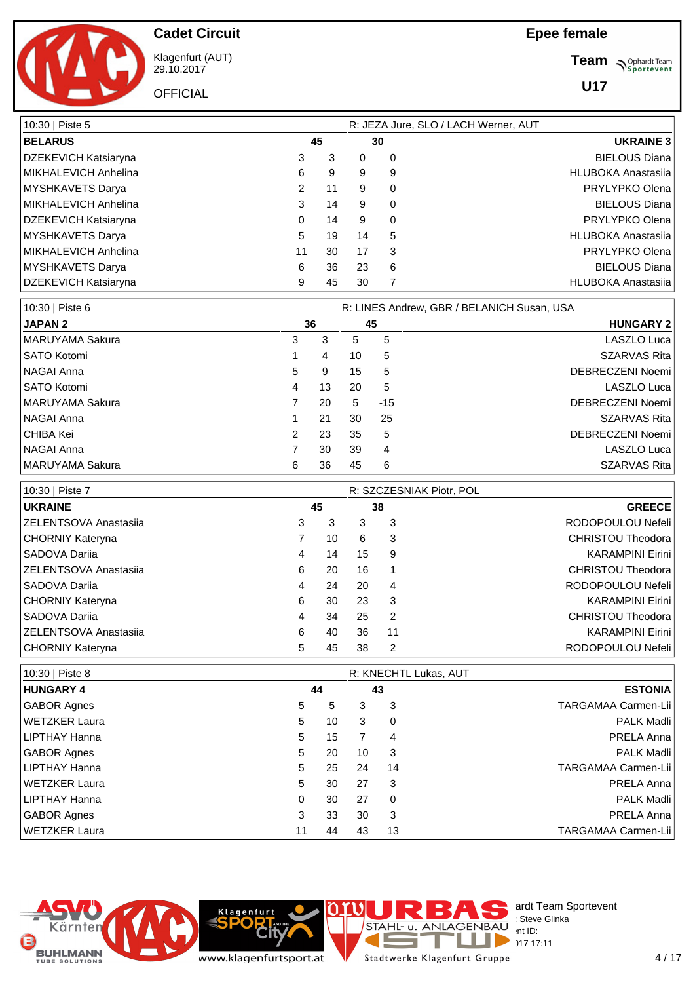**Team** *S<sup>Ophardt Team*<br>*S*<sup>P</sup> *Sportevent*</sup>

**U17**

**Cadet Circuit** Klagenfurt (AUT)

29.10.2017 **OFFICIAL** 

| 10:30   Piste 5             | R: JEZA Jure, SLO / LACH Werner, AUT |    |    |          |                           |  |  |  |
|-----------------------------|--------------------------------------|----|----|----------|---------------------------|--|--|--|
| <b>BELARUS</b>              |                                      | 45 | 30 |          | <b>UKRAINE 3</b>          |  |  |  |
| DZEKEVICH Katsiaryna        | 3                                    | 3  | 0  | $\Omega$ | <b>BIELOUS Diana</b>      |  |  |  |
| MIKHALEVICH Anhelina        | 6                                    | 9  | 9  | 9        | <b>HLUBOKA Anastasija</b> |  |  |  |
| MYSHKAVETS Darya            | 2                                    | 11 | 9  | $\Omega$ | PRYLYPKO Olena            |  |  |  |
| MIKHALEVICH Anhelina        | 3                                    | 14 | 9  | 0        | <b>BIELOUS Diana</b>      |  |  |  |
| <b>DZEKEVICH Katsiaryna</b> | 0                                    | 14 | 9  | 0        | PRYLYPKO Olena            |  |  |  |
| MYSHKAVETS Darya            | 5                                    | 19 | 14 | 5        | <b>HLUBOKA Anastasija</b> |  |  |  |
| MIKHALEVICH Anhelina        | 11                                   | 30 | 17 | 3        | PRYLYPKO Olena            |  |  |  |
| MYSHKAVETS Darya            | 6                                    | 36 | 23 | 6        | <b>BIELOUS Diana</b>      |  |  |  |
| <b>DZEKEVICH Katsiaryna</b> | 9                                    | 45 | 30 |          | <b>HLUBOKA Anastasija</b> |  |  |  |

| 10:30   Piste 6    |   |    |    | R: LINES Andrew, GBR / BELANICH Susan, USA |                     |  |  |  |  |  |
|--------------------|---|----|----|--------------------------------------------|---------------------|--|--|--|--|--|
| <b>JAPAN 2</b>     |   | 36 |    | 45                                         | <b>HUNGARY 2</b>    |  |  |  |  |  |
| MARUYAMA Sakura    | 3 | 3  | 5  | 5                                          | LASZLO Luca         |  |  |  |  |  |
| <b>SATO Kotomi</b> |   | 4  | 10 | 5                                          | <b>SZARVAS Rita</b> |  |  |  |  |  |
| <b>NAGAI Anna</b>  | 5 | 9  | 15 | 5                                          | DEBRECZENI Noemi    |  |  |  |  |  |
| <b>SATO Kotomi</b> | 4 | 13 | 20 | 5                                          | LASZLO Luca         |  |  |  |  |  |
| MARUYAMA Sakura    |   | 20 | 5  | $-15$                                      | DEBRECZENI Noemi    |  |  |  |  |  |
| NAGAI Anna         |   | 21 | 30 | 25                                         | <b>SZARVAS Rita</b> |  |  |  |  |  |
| CHIBA Kei          | 2 | 23 | 35 | 5                                          | DEBRECZENI Noemi    |  |  |  |  |  |
| <b>NAGAI Anna</b>  |   | 30 | 39 | 4                                          | LASZLO Luca         |  |  |  |  |  |
| MARUYAMA Sakura    | 6 | 36 | 45 | 6                                          | <b>SZARVAS Rita</b> |  |  |  |  |  |

| 10:30   Piste 7              |    |    |    |                | R: SZCZESNIAK Piotr, POL |
|------------------------------|----|----|----|----------------|--------------------------|
| <b>UKRAINE</b>               | 45 |    | 38 |                | <b>GREECE</b>            |
| ZELENTSOVA Anastasiia        | 3  | 3  | 3  | 3              | RODOPOULOU Nefeli        |
| CHORNIY Kateryna             |    | 10 | 6  | 3              | <b>CHRISTOU Theodora</b> |
| SADOVA Dariia                | 4  | 14 | 15 | 9              | <b>KARAMPINI Eirini</b>  |
| <b>ZELENTSOVA Anastasija</b> | 6  | 20 | 16 | $\overline{1}$ | CHRISTOU Theodora        |
| SADOVA Dariia                | 4  | 24 | 20 | 4              | RODOPOULOU Nefeli        |
| CHORNIY Kateryna             | 6  | 30 | 23 | -3             | <b>KARAMPINI Eirini</b>  |
| SADOVA Dariia                | 4  | 34 | 25 | 2              | CHRISTOU Theodora        |
| <b>ZELENTSOVA Anastasija</b> | 6  | 40 | 36 | 11             | <b>KARAMPINI Eirini</b>  |
| CHORNIY Kateryna             | 5  | 45 | 38 | 2              | RODOPOULOU Nefeli        |

| 10:30   Piste 8      |    |    |    | R: KNECHTL Lukas, AUT |                            |
|----------------------|----|----|----|-----------------------|----------------------------|
| <b>HUNGARY 4</b>     |    | 44 |    | 43                    | <b>ESTONIA</b>             |
| <b>GABOR Agnes</b>   | 5  | 5  | 3  | 3                     | <b>TARGAMAA Carmen-Lii</b> |
| WETZKER Laura        | 5  | 10 | 3  | $\Omega$              | <b>PALK Madli</b>          |
| LIPTHAY Hanna        | 5  | 15 |    | 4                     | PRELA Anna                 |
| <b>GABOR Agnes</b>   | 5  | 20 | 10 | 3                     | <b>PALK Madli</b>          |
| LIPTHAY Hanna        | 5  | 25 | 24 | 14                    | TARGAMAA Carmen-Lii        |
| <b>WETZKER Laura</b> | 5  | 30 | 27 | -3                    | PRELA Anna                 |
| LIPTHAY Hanna        | 0  | 30 | 27 | $\Omega$              | <b>PALK Madli</b>          |
| <b>GABOR Agnes</b>   | 3  | 33 | 30 | 3                     | PRELA Anna                 |
| WETZKER Laura        | 11 | 44 | 43 | 13                    | <b>TARGAMAA Carmen-Lii</b> |



**Rit** 

**Klagenfurt** 

C

Е

F

E.

**IC** 

ardt Team Sportevent<br>Steve Glinka

**License:** Steve Glinka  $P^{\sim}$  int ID:  $29.17 \times 17:11$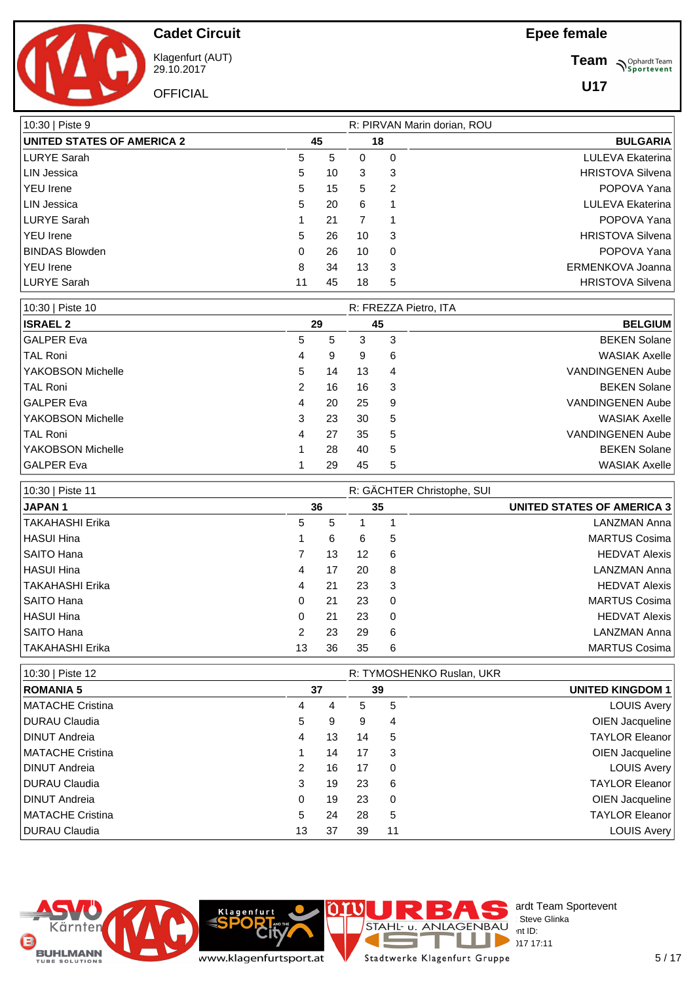**Team** *S<sup>Ophardt Team*<br> *S*<sup>P</sup> Sportevent</sup>

**U17**



**Cadet Circuit**

Klagenfurt (AUT) 29.10.2017 **OFFICIAL** 

| 10:30   Piste 9                   |    |    |    |    | R: PIRVAN Marin dorian, ROU |
|-----------------------------------|----|----|----|----|-----------------------------|
| <b>UNITED STATES OF AMERICA 2</b> |    | 45 |    | 18 | <b>BULGARIA</b>             |
| <b>LURYE Sarah</b>                | 5  | 5  | 0  | 0  | LULEVA Ekaterina            |
| <b>LIN Jessica</b>                | 5  | 10 | 3  | 3  | <b>HRISTOVA Silvena</b>     |
| <b>YEU</b> Irene                  | 5  | 15 | 5  | 2  | POPOVA Yana                 |
| LIN Jessica                       | 5  | 20 | 6  |    | LULEVA Ekaterina            |
| LURYE Sarah                       |    | 21 |    | 1  | POPOVA Yana                 |
| <b>YEU</b> Irene                  | 5  | 26 | 10 | 3  | <b>HRISTOVA Silvena</b>     |
| <b>BINDAS Blowden</b>             | 0  | 26 | 10 | 0  | POPOVA Yana                 |
| <b>YEU</b> Irene                  | 8  | 34 | 13 | 3  | ERMENKOVA Joanna            |
| LURYE Sarah                       | 11 | 45 | 18 | 5  | <b>HRISTOVA Silvena</b>     |

| 10:30   Piste 10  |   |    | R: FREZZA Pietro, ITA |   |                         |  |  |  |
|-------------------|---|----|-----------------------|---|-------------------------|--|--|--|
| <b>ISRAEL 2</b>   |   | 29 | 45                    |   | <b>BELGIUM</b>          |  |  |  |
| GALPER Eva        | 5 | 5  | 3                     | 3 | <b>BEKEN Solane</b>     |  |  |  |
| TAL Roni          | 4 | 9  | 9                     | 6 | <b>WASIAK Axelle</b>    |  |  |  |
| YAKOBSON Michelle | 5 | 14 | 13                    | 4 | <b>VANDINGENEN Aube</b> |  |  |  |
| TAL Roni          | 2 | 16 | 16                    | 3 | <b>BEKEN Solane</b>     |  |  |  |
| GALPER Eva        | 4 | 20 | 25                    | 9 | VANDINGENEN Aube        |  |  |  |
| YAKOBSON Michelle | 3 | 23 | 30                    | 5 | <b>WASIAK Axelle</b>    |  |  |  |
| TAL Roni          | 4 | 27 | 35                    | 5 | VANDINGENEN Aube        |  |  |  |
| YAKOBSON Michelle |   | 28 | 40                    | 5 | <b>BEKEN Solane</b>     |  |  |  |
| GALPER Eva        |   | 29 | 45                    | 5 | <b>WASIAK Axelle</b>    |  |  |  |

| 10:30   Piste 11 |    |    | R: GÄCHTER Christophe, SUI |          |                                   |
|------------------|----|----|----------------------------|----------|-----------------------------------|
| <b>JAPAN1</b>    |    | 36 |                            |          | <b>UNITED STATES OF AMERICA 3</b> |
| ∣TAKAHASHI Erika | 5  | 5  |                            |          | LANZMAN Anna                      |
| HASUI Hina       |    | 6  | 6                          | 5        | <b>MARTUS Cosima</b>              |
| SAITO Hana       |    | 13 | 12                         | 6        | <b>HEDVAT Alexis</b>              |
| HASUI Hina       | 4  | 17 | 20                         | 8        | LANZMAN Anna                      |
| TAKAHASHI Erika  | 4  | 21 | 23                         | -3       | <b>HEDVAT Alexis</b>              |
| SAITO Hana       | 0  | 21 | 23                         | 0        | <b>MARTUS Cosima</b>              |
| HASUI Hina       | 0  | 21 | 23                         | $\Omega$ | <b>HEDVAT Alexis</b>              |
| SAITO Hana       | 2  | 23 | 29                         | 6        | LANZMAN Anna                      |
| TAKAHASHI Erika  | 13 | 36 | 35                         | 6        | <b>MARTUS Cosima</b>              |

| 10:30   Piste 12      |    | R: TYMOSHENKO Ruslan, UKR |    |          |                         |  |  |
|-----------------------|----|---------------------------|----|----------|-------------------------|--|--|
| <b>ROMANIA 5</b>      |    | 37                        |    | 39       | <b>UNITED KINGDOM 1</b> |  |  |
| MATACHE Cristina      | 4  | 4                         | 5  | 5        | <b>LOUIS Avery</b>      |  |  |
| <b>IDURAU Claudia</b> | 5  | 9                         | 9  | 4        | OIEN Jacqueline         |  |  |
| <b>DINUT Andreia</b>  | 4  | 13                        | 14 | 5        | <b>TAYLOR Eleanor</b>   |  |  |
| MATACHE Cristina      |    | 14                        | 17 | 3        | OIEN Jacqueline         |  |  |
| <b>IDINUT Andreia</b> | 2  | 16                        | 17 | $\Omega$ | LOUIS Avery             |  |  |
| <b>IDURAU Claudia</b> | 3  | 19                        | 23 | 6        | TAYLOR Eleanor          |  |  |
| <b>DINUT Andreia</b>  | 0  | 19                        | 23 | 0        | OIEN Jacqueline         |  |  |
| MATACHE Cristina      | 5  | 24                        | 28 | 5        | <b>TAYLOR Eleanor</b>   |  |  |
| <b>IDURAU Claudia</b> | 13 | 37                        | 39 | 11       | LOUIS Avery             |  |  |



**Rity** www.klagenfurtsport.at

**Klagenfurt** 

T Stadtwerke Klagenfurt Gruppe

Е

F

a.

 $\mathbb{R}^n$ 

ardt Team Sportevent<br>Steve Glinka

**License:** Steve Glinka  $P^{\sim}$  int ID:  $29.1717 \cdot 11$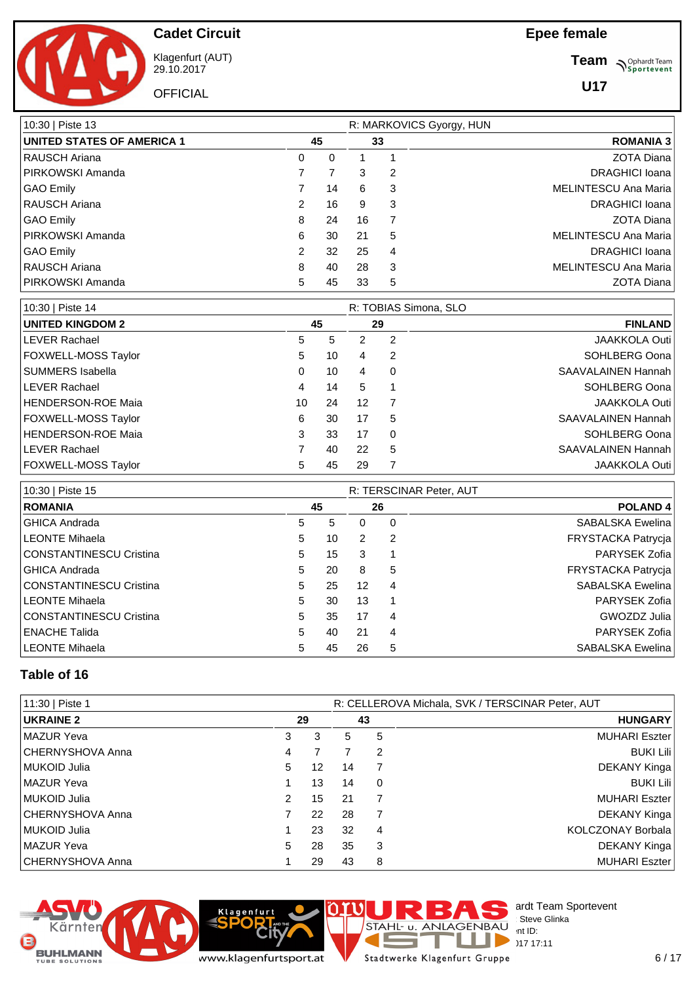**Team** *S<sup>Ophardt Team*<br> *S*<sup>P</sup> Sportevent</sup>

**U17**

**Cadet Circuit**

Klagenfurt (AUT) 29.10.2017

**OFFICIAL** 

| 10:30   Piste 13                  |               |    |    |    | R: MARKOVICS Gyorgy, HUN    |
|-----------------------------------|---------------|----|----|----|-----------------------------|
| <b>UNITED STATES OF AMERICA 1</b> |               | 45 |    | 33 | <b>ROMANIA 3</b>            |
| <b>RAUSCH Ariana</b>              | 0             | 0  |    |    | <b>ZOTA Diana</b>           |
| PIRKOWSKI Amanda                  |               |    | 3  | 2  | <b>DRAGHICI Ioana</b>       |
| <b>GAO Emily</b>                  |               | 14 | 6  | 3  | <b>MELINTESCU Ana Maria</b> |
| RAUSCH Ariana                     | $\mathcal{P}$ | 16 | 9  | 3  | <b>DRAGHICI Ioana</b>       |
| <b>GAO Emily</b>                  | 8             | 24 | 16 | 7  | <b>ZOTA Diana</b>           |
| PIRKOWSKI Amanda                  | 6             | 30 | 21 | 5  | MELINTESCU Ana Maria        |
| <b>GAO Emily</b>                  | 2             | 32 | 25 | 4  | <b>DRAGHICI Ioana</b>       |
| RAUSCH Ariana                     | 8             | 40 | 28 | 3  | <b>MELINTESCU Ana Maria</b> |
| PIRKOWSKI Amanda                  | 5             | 45 | 33 | 5  | <b>ZOTA Diana</b>           |

| 10:30   Piste 14           |    |    |    |          | R: TOBIAS Simona, SLO |
|----------------------------|----|----|----|----------|-----------------------|
| <b>UNITED KINGDOM 2</b>    |    | 45 |    | 29       | <b>FINLAND</b>        |
| LEVER Rachael              | 5  | 5  | 2  | 2        | <b>JAAKKOLA Outi</b>  |
| FOXWELL-MOSS Taylor        | 5  | 10 | 4  | 2        | SOHLBERG Oona         |
| SUMMERS Isabella           | 0  | 10 | 4  | 0        | SAAVALAINEN Hannah    |
| <b>LEVER Rachael</b>       | 4  | 14 | 5  |          | SOHLBERG Oona         |
| HENDERSON-ROE Maia         | 10 | 24 | 12 | 7        | <b>JAAKKOLA Outi</b>  |
| <b>FOXWELL-MOSS Taylor</b> | 6  | 30 | 17 | 5        | SAAVALAINEN Hannah    |
| HENDERSON-ROE Maia         | 3  | 33 | 17 | $\Omega$ | SOHLBERG Oona         |
| <b>ILEVER Rachael</b>      |    | 40 | 22 | 5        | SAAVALAINEN Hannah    |
| <b>FOXWELL-MOSS Taylor</b> | 5  | 45 | 29 |          | <b>JAAKKOLA Outi</b>  |

| 10:30   Piste 15        |   |    | R: TERSCINAR Peter, AUT |    |                     |  |  |  |
|-------------------------|---|----|-------------------------|----|---------------------|--|--|--|
| <b>ROMANIA</b>          |   | 45 |                         | 26 | POLAND <sub>4</sub> |  |  |  |
| GHICA Andrada           | 5 | 5  | 0                       | 0  | SABALSKA Ewelina    |  |  |  |
| LEONTE Mihaela          | 5 | 10 | 2                       | 2  | FRYSTACKA Patrycja  |  |  |  |
| CONSTANTINESCU Cristina | 5 | 15 | 3                       |    | PARYSEK Zofia       |  |  |  |
| <b>GHICA Andrada</b>    | 5 | 20 | 8                       | 5  | FRYSTACKA Patrycja  |  |  |  |
| CONSTANTINESCU Cristina | 5 | 25 | 12                      | 4  | SABALSKA Ewelina    |  |  |  |
| LEONTE Mihaela          | 5 | 30 | 13                      | -1 | PARYSEK Zofia       |  |  |  |
| CONSTANTINESCU Cristina | 5 | 35 | 17                      | 4  | GWOZDZ Julia        |  |  |  |
| <b>ENACHE Talida</b>    | 5 | 40 | 21                      | 4  | PARYSEK Zofia       |  |  |  |
| LEONTE Mihaela          | 5 | 45 | 26                      | 5  | SABALSKA Ewelina    |  |  |  |

#### **Table of 16**

| 11:30   Piste 1  |               |                   |    | R: CELLEROVA Michala, SVK / TERSCINAR Peter, AUT |                          |  |  |  |  |
|------------------|---------------|-------------------|----|--------------------------------------------------|--------------------------|--|--|--|--|
| <b>UKRAINE 2</b> |               | 29                |    | 43                                               | <b>HUNGARY</b>           |  |  |  |  |
| MAZUR Yeva       | 3             | 3                 | 5  | 5                                                | <b>MUHARI Eszter</b>     |  |  |  |  |
| CHERNYSHOVA Anna | 4             |                   |    | 2                                                | <b>BUKI Lili</b>         |  |  |  |  |
| l MUKOID Julia   | 5             | $12 \overline{ }$ | 14 |                                                  | DEKANY Kinga             |  |  |  |  |
| MAZUR Yeva       |               | 13                | 14 | 0                                                | <b>BUKI Lili</b>         |  |  |  |  |
| MUKOID Julia     | $\mathcal{P}$ | 15                | 21 | 7                                                | <b>MUHARI Eszter</b>     |  |  |  |  |
| CHERNYSHOVA Anna |               | 22                | 28 | 7                                                | DEKANY Kinga             |  |  |  |  |
| MUKOID Julia     |               | 23                | 32 | 4                                                | <b>KOLCZONAY Borbala</b> |  |  |  |  |
| MAZUR Yeva       | 5             | 28                | 35 | 3                                                | DEKANY Kinga             |  |  |  |  |
| CHERNYSHOVA Anna |               | 29                | 43 | 8                                                | <b>MUHARI Eszter</b>     |  |  |  |  |

I)

∩





**Klagenfurt** 

 $29.1717:11$ ı Stadtwerke Klagenfurt Gruppe

Е

F

J.

 $\overline{a}$ 

STAHL U. ANLAGENBAU

 $\sum_{n=1}^{\infty}$  D  $\sum_{n=17}^{\infty}$  17 17

ardt Team Sportevent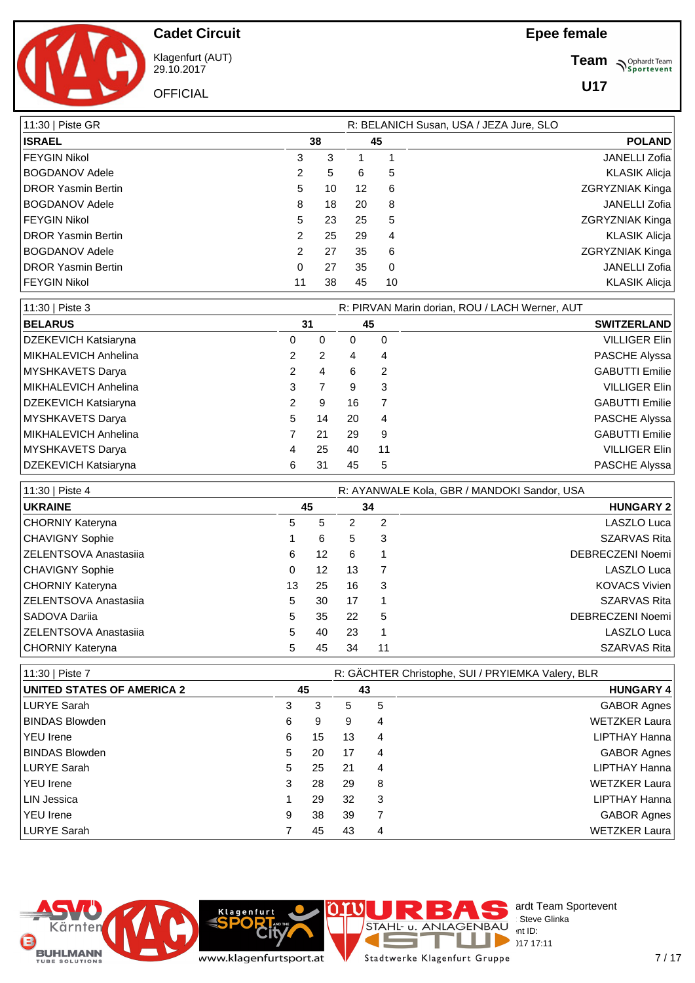

Klagenfurt (AUT) 29.10.2017

**OFFICIAL** 

**Team** *S<sup>Ophardt Team*<br> *S*<sup>P</sup> Sportevent</sup>

**U17**

| 11:30   Piste GR           |               |    |    | R: BELANICH Susan, USA / JEZA Jure, SLO |                        |  |  |  |  |  |
|----------------------------|---------------|----|----|-----------------------------------------|------------------------|--|--|--|--|--|
| <b>ISRAEL</b>              |               | 38 |    | 45                                      | <b>POLAND</b>          |  |  |  |  |  |
| FEYGIN Nikol               | 3             | 3  |    |                                         | <b>JANELLI Zofia</b>   |  |  |  |  |  |
| <b>BOGDANOV Adele</b>      | 2             | 5  | 6  | 5                                       | <b>KLASIK Alicja</b>   |  |  |  |  |  |
| <b>DROR Yasmin Bertin</b>  | 5.            | 10 | 12 | 6                                       | <b>ZGRYZNIAK Kinga</b> |  |  |  |  |  |
| <b>BOGDANOV Adele</b>      | 8             | 18 | 20 | 8                                       | <b>JANELLI Zofia</b>   |  |  |  |  |  |
| FEYGIN Nikol               | 5             | 23 | 25 | 5                                       | <b>ZGRYZNIAK Kinga</b> |  |  |  |  |  |
| <b>IDROR Yasmin Bertin</b> | 2             | 25 | 29 | 4                                       | <b>KLASIK Alicja</b>   |  |  |  |  |  |
| <b>BOGDANOV Adele</b>      | $\mathcal{P}$ | 27 | 35 | 6                                       | ZGRYZNIAK Kinga        |  |  |  |  |  |
| <b>IDROR Yasmin Bertin</b> | 0             | 27 | 35 | 0                                       | <b>JANELLI Zofia</b>   |  |  |  |  |  |
| FEYGIN Nikol               | 11            | 38 | 45 | 10                                      | <b>KLASIK Alicja</b>   |  |  |  |  |  |

| 11:30   Piste 3      |    |    | R: PIRVAN Marin dorian, ROU / LACH Werner, AUT |    |                       |  |  |  |  |
|----------------------|----|----|------------------------------------------------|----|-----------------------|--|--|--|--|
| <b>BELARUS</b>       |    | 31 |                                                | 45 | <b>SWITZERLAND</b>    |  |  |  |  |
| DZEKEVICH Katsiaryna | 0  | 0  | 0                                              | 0  | <b>VILLIGER Elin</b>  |  |  |  |  |
| MIKHALEVICH Anhelina |    | 2  | 4                                              | 4  | PASCHE Alyssa         |  |  |  |  |
| MYSHKAVETS Darya     |    | 4  | 6                                              | 2  | <b>GABUTTI Emilie</b> |  |  |  |  |
| MIKHALEVICH Anhelina | 3  | 7  | 9                                              | 3  | <b>VILLIGER Elin</b>  |  |  |  |  |
| DZEKEVICH Katsiaryna | 2  | 9  | 16                                             |    | GABUTTI Emilie        |  |  |  |  |
| MYSHKAVETS Darya     | 5. | 14 | 20                                             | 4  | PASCHE Alyssa         |  |  |  |  |
| MIKHALEVICH Anhelina |    | 21 | 29                                             | 9  | <b>GABUTTI Emilie</b> |  |  |  |  |
| MYSHKAVETS Darya     |    | 25 | 40                                             | 11 | <b>VILLIGER Elin</b>  |  |  |  |  |
| DZEKEVICH Katsiaryna | 6  | 31 | 45                                             | 5  | PASCHE Alyssa         |  |  |  |  |

| 11:30   Piste 4        |    | R: AYANWALE Kola, GBR / MANDOKI Sandor, USA |    |    |                      |  |  |  |  |  |  |
|------------------------|----|---------------------------------------------|----|----|----------------------|--|--|--|--|--|--|
| <b>UKRAINE</b>         |    | 45                                          |    | 34 | <b>HUNGARY 2</b>     |  |  |  |  |  |  |
| CHORNIY Kateryna       | 5. | 5                                           |    | 2  | LASZLO Luca          |  |  |  |  |  |  |
| <b>CHAVIGNY Sophie</b> |    | 6                                           | 5  | 3  | <b>SZARVAS Rita</b>  |  |  |  |  |  |  |
| ZELENTSOVA Anastasija  | 6  | $12 \overline{ }$                           | 6  |    | DEBRECZENI Noemi     |  |  |  |  |  |  |
| <b>CHAVIGNY Sophie</b> | 0  | 12                                          | 13 |    | LASZLO Luca          |  |  |  |  |  |  |
| CHORNIY Kateryna       | 13 | 25                                          | 16 | 3  | <b>KOVACS Vivien</b> |  |  |  |  |  |  |
| ZELENTSOVA Anastasija  | 5. | 30                                          | 17 |    | <b>SZARVAS Rita</b>  |  |  |  |  |  |  |
| l SADOVA Dariia        | 5  | 35                                          | 22 | 5  | DEBRECZENI Noemi     |  |  |  |  |  |  |
| ZELENTSOVA Anastasiia  | 5. | 40                                          | 23 |    | LASZLO Luca          |  |  |  |  |  |  |
| CHORNIY Kateryna       | 5  | 45                                          | 34 | 11 | <b>SZARVAS Rita</b>  |  |  |  |  |  |  |

| 11:30   Piste 7                   |    |    |    | R: GÄCHTER Christophe, SUI / PRYIEMKA Valery, BLR |                      |
|-----------------------------------|----|----|----|---------------------------------------------------|----------------------|
| <b>UNITED STATES OF AMERICA 2</b> | 45 |    |    | 43                                                | <b>HUNGARY 4</b>     |
| LURYE Sarah                       | 3  | 3  | 5  | 5                                                 | <b>GABOR Agnes</b>   |
| <b>BINDAS Blowden</b>             | 6  | 9  | 9  | 4                                                 | <b>WETZKER Laura</b> |
| <b>YEU</b> Irene                  | 6  | 15 | 13 | 4                                                 | LIPTHAY Hanna        |
| <b>BINDAS Blowden</b>             | 5  | 20 | 17 | 4                                                 | <b>GABOR Agnes</b>   |
| LURYE Sarah                       | 5  | 25 | 21 | 4                                                 | LIPTHAY Hanna        |
| YEU Irene                         | 3  | 28 | 29 | 8                                                 | <b>WETZKER Laura</b> |
| LIN Jessica                       |    | 29 | 32 | 3                                                 | LIPTHAY Hanna        |
| YEU Irene                         | 9  | 38 | 39 |                                                   | <b>GABOR Agnes</b>   |
| LURYE Sarah                       |    | 45 | 43 | 4                                                 | <b>WETZKER Laura</b> |



www.klagenfurtsport.at

**Rity** 

**Klagenfurt** 

Stadtwerke Klagenfurt Gruppe

Е

T a.

**Common** 

ardt Team Sportevent<br>Steve Glinka

**License:** Steve Glinka  $P^{\sim}$  int ID:  $29.1717 \cdot 11$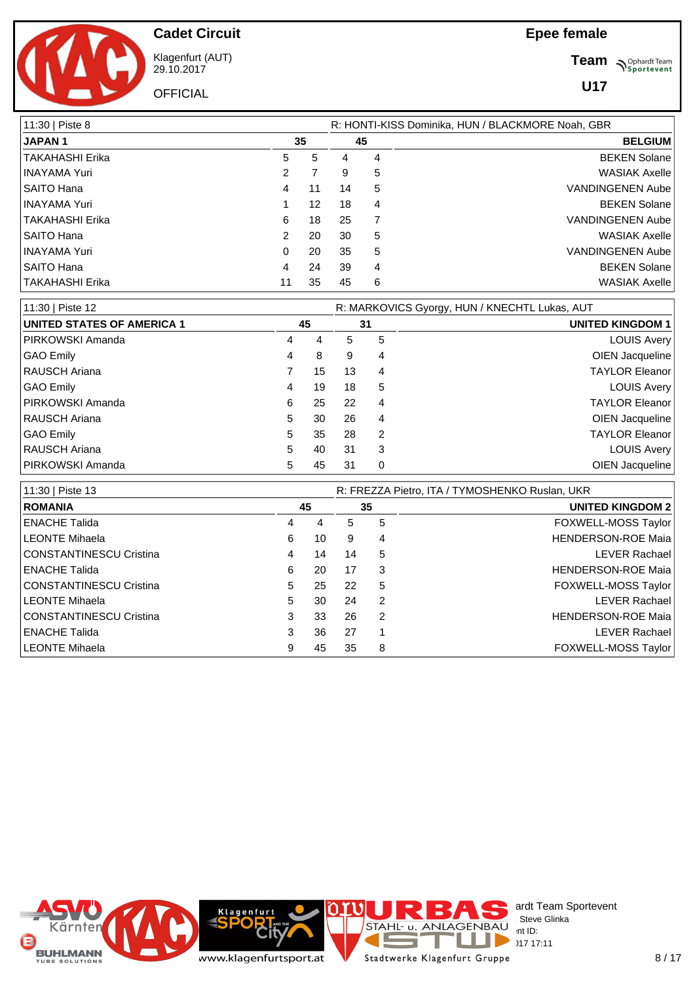**Team** *S<sup>Ophardt Team*<br>*S*<sup>P</sup> *Sportevent*</sup>

**U17**



**Cadet Circuit**

Klagenfurt (AUT) 29.10.2017 **OFFICIAL** 

| 11:30   Piste 8   |    | R: HONTI-KISS Dominika, HUN / BLACKMORE Noah, GBR |    |    |                         |  |  |  |  |  |
|-------------------|----|---------------------------------------------------|----|----|-------------------------|--|--|--|--|--|
| <b>JAPAN1</b>     |    | 35                                                |    | 45 | <b>BELGIUM</b>          |  |  |  |  |  |
| TAKAHASHI Erika   | 5  | 5                                                 | 4  | 4  | <b>BEKEN Solane</b>     |  |  |  |  |  |
| INAYAMA Yuri      | 2  |                                                   | 9  | 5  | <b>WASIAK Axelle</b>    |  |  |  |  |  |
| SAITO Hana        | 4  | 11                                                | 14 | 5  | <b>VANDINGENEN Aube</b> |  |  |  |  |  |
| INAYAMA Yuri      |    | 12                                                | 18 | 4  | <b>BEKEN Solane</b>     |  |  |  |  |  |
| TAKAHASHI Erika   | 6  | 18                                                | 25 | 7  | <b>VANDINGENEN Aube</b> |  |  |  |  |  |
| SAITO Hana        | 2  | 20                                                | 30 | 5  | <b>WASIAK Axelle</b>    |  |  |  |  |  |
| INAYAMA Yuri      | 0  | 20                                                | 35 | 5  | <b>VANDINGENEN Aube</b> |  |  |  |  |  |
| SAITO Hana        | 4  | 24                                                | 39 | 4  | <b>BEKEN Solane</b>     |  |  |  |  |  |
| l TAKAHASHI Erika | 11 | 35                                                | 45 | 6  | <b>WASIAK Axelle</b>    |  |  |  |  |  |

| 11:30   Piste 12           | R: MARKOVICS Gyorgy, HUN / KNECHTL Lukas, AUT |    |    |          |                         |  |  |  |  |
|----------------------------|-----------------------------------------------|----|----|----------|-------------------------|--|--|--|--|
| UNITED STATES OF AMERICA 1 |                                               | 45 | 31 |          | <b>UNITED KINGDOM 1</b> |  |  |  |  |
| <b>PIRKOWSKI Amanda</b>    | 4                                             | 4  | 5  | 5        | <b>LOUIS Avery</b>      |  |  |  |  |
| GAO Emily                  | 4                                             | 8  | 9  | 4        | OIEN Jacqueline         |  |  |  |  |
| RAUSCH Ariana              |                                               | 15 | 13 | 4        | <b>TAYLOR Eleanor</b>   |  |  |  |  |
| GAO Emily                  | 4                                             | 19 | 18 | 5        | <b>LOUIS Avery</b>      |  |  |  |  |
| PIRKOWSKI Amanda           | 6                                             | 25 | 22 | 4        | <b>TAYLOR Eleanor</b>   |  |  |  |  |
| <b>RAUSCH Ariana</b>       | 5.                                            | 30 | 26 | 4        | OIEN Jacqueline         |  |  |  |  |
| GAO Emily                  | 5                                             | 35 | 28 | 2        | <b>TAYLOR Eleanor</b>   |  |  |  |  |
| RAUSCH Ariana              | 5.                                            | 40 | 31 | 3        | <b>LOUIS Avery</b>      |  |  |  |  |
| PIRKOWSKI Amanda           | 5.                                            | 45 | 31 | $\Omega$ | OIEN Jacqueline         |  |  |  |  |

| 11:30   Piste 13        | R: FREZZA Pietro, ITA / TYMOSHENKO Ruslan, UKR |    |    |   |                           |  |  |  |  |  |
|-------------------------|------------------------------------------------|----|----|---|---------------------------|--|--|--|--|--|
| <b>ROMANIA</b>          |                                                | 45 | 35 |   | <b>UNITED KINGDOM 2</b>   |  |  |  |  |  |
| ENACHE Talida           | 4                                              | 4  | 5  | 5 | FOXWELL-MOSS Taylor       |  |  |  |  |  |
| LEONTE Mihaela          | 6                                              | 10 | 9  | 4 | <b>HENDERSON-ROE Maia</b> |  |  |  |  |  |
| CONSTANTINESCU Cristina | 4                                              | 14 | 14 | 5 | <b>LEVER Rachael</b>      |  |  |  |  |  |
| ENACHE Talida           | 6                                              | 20 | 17 | 3 | <b>HENDERSON-ROE Maia</b> |  |  |  |  |  |
| CONSTANTINESCU Cristina | 5.                                             | 25 | 22 | 5 | FOXWELL-MOSS Taylor       |  |  |  |  |  |
| LEONTE Mihaela          | 5.                                             | 30 | 24 | 2 | <b>LEVER Rachael</b>      |  |  |  |  |  |
| CONSTANTINESCU Cristina | 3                                              | 33 | 26 | 2 | <b>HENDERSON-ROE Maia</b> |  |  |  |  |  |
| <b>ENACHE Talida</b>    | 3                                              | 36 | 27 |   | <b>LEVER Rachael</b>      |  |  |  |  |  |
| LEONTE Mihaela          | 9                                              | 45 | 35 | 8 | FOXWELL-MOSS Taylor       |  |  |  |  |  |

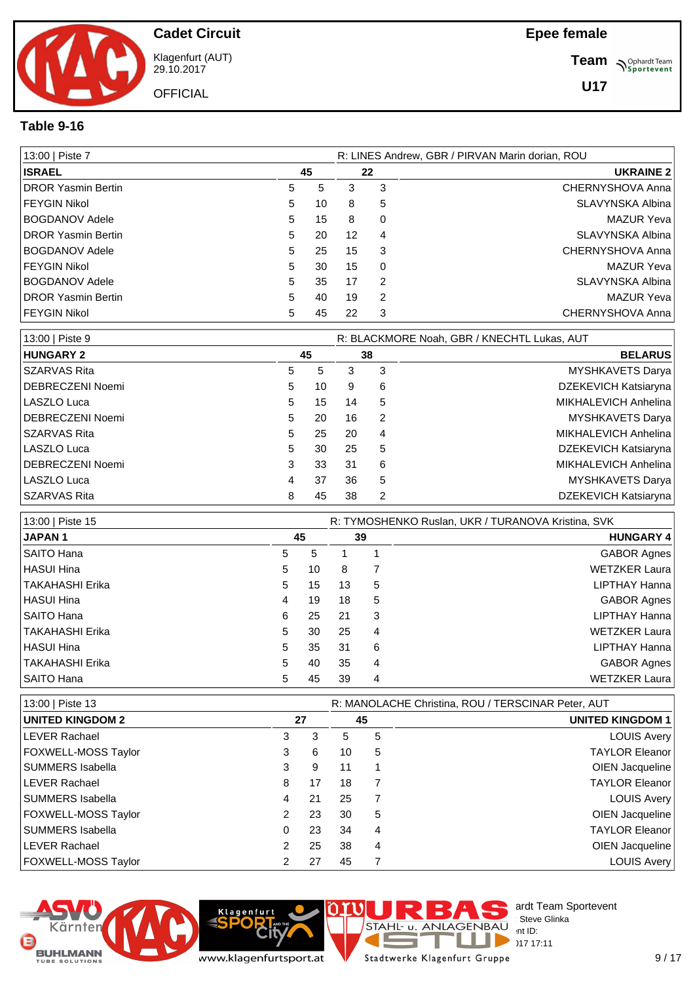

Klagenfurt (AUT) 29.10.2017

**OFFICIAL** 

**Team** *S<sup>Ophardt Team*<br> *S*<sup>P</sup> Sportevent</sup>

**U17**

#### **Table 9-16**

| 13:00   Piste 7            |    | R: LINES Andrew, GBR / PIRVAN Marin dorian, ROU |    |          |                   |  |  |  |
|----------------------------|----|-------------------------------------------------|----|----------|-------------------|--|--|--|
| <b>ISRAEL</b>              |    | 45                                              | 22 |          | <b>UKRAINE 2</b>  |  |  |  |
| <b>IDROR Yasmin Bertin</b> | 5. | 5                                               | 3  | 3        | CHERNYSHOVA Anna  |  |  |  |
| FEYGIN Nikol               | 5  | 10                                              | 8  | 5        | SLAVYNSKA Albina  |  |  |  |
| BOGDANOV Adele             | 5  | 15                                              | 8  | 0        | <b>MAZUR Yeva</b> |  |  |  |
| <b>IDROR Yasmin Bertin</b> | 5  | 20                                              | 12 | 4        | SLAVYNSKA Albina  |  |  |  |
| BOGDANOV Adele             | 5  | 25                                              | 15 | 3        | CHERNYSHOVA Anna  |  |  |  |
| FEYGIN Nikol               | 5  | 30                                              | 15 | $\Omega$ | <b>MAZUR Yeva</b> |  |  |  |
| BOGDANOV Adele             | 5  | 35                                              | 17 | 2        | SLAVYNSKA Albina  |  |  |  |
| <b>IDROR Yasmin Bertin</b> | 5. | 40                                              | 19 | 2        | <b>MAZUR Yeva</b> |  |  |  |
| FEYGIN Nikol               | 5. | 45                                              | 22 | 3        | CHERNYSHOVA Anna  |  |  |  |

| 13:00   Piste 9  |    |    |    |    | R: BLACKMORE Noah, GBR / KNECHTL Lukas, AUT |
|------------------|----|----|----|----|---------------------------------------------|
| <b>HUNGARY 2</b> |    | 45 |    | 38 | <b>BELARUS</b>                              |
| SZARVAS Rita     | 5. | 5  | 3  | 3  | MYSHKAVETS Darya                            |
| DEBRECZENI Noemi | 5. | 10 | 9  | 6  | DZEKEVICH Katsiaryna                        |
| LASZLO Luca      | 5. | 15 | 14 | 5  | MIKHALEVICH Anhelina                        |
| DEBRECZENI Noemi | 5  | 20 | 16 | 2  | <b>MYSHKAVETS Darya</b>                     |
| l SZARVAS Rita   | 5  | 25 | 20 | 4  | MIKHALEVICH Anhelina                        |
| LASZLO Luca      | 5. | 30 | 25 | 5  | DZEKEVICH Katsiaryna                        |
| DEBRECZENI Noemi | 3  | 33 | 31 | 6  | MIKHALEVICH Anhelina                        |
| LASZLO Luca      | 4  | 37 | 36 | 5  | <b>MYSHKAVETS Darya</b>                     |
| l SZARVAS Rita   | 8  | 45 | 38 | 2  | DZEKEVICH Katsiaryna                        |

| 13:00   Piste 15       |   |    |    |    | R: TYMOSHENKO Ruslan, UKR / TURANOVA Kristina, SVK |
|------------------------|---|----|----|----|----------------------------------------------------|
| <b>JAPAN1</b>          |   | 45 |    | 39 | <b>HUNGARY 4</b>                                   |
| SAITO Hana             | 5 | 5  |    |    | <b>GABOR Agnes</b>                                 |
| <b>HASUI Hina</b>      | 5 | 10 | 8  |    | <b>WETZKER Laura</b>                               |
| <b>TAKAHASHI Erika</b> | 5 | 15 | 13 | 5  | LIPTHAY Hanna                                      |
| <b>HASUI Hina</b>      | 4 | 19 | 18 | 5  | <b>GABOR Agnes</b>                                 |
| SAITO Hana             | 6 | 25 | 21 | 3  | LIPTHAY Hanna                                      |
| <b>TAKAHASHI Erika</b> | 5 | 30 | 25 | 4  | <b>WETZKER Laura</b>                               |
| <b>HASUI Hina</b>      | 5 | 35 | 31 | 6  | LIPTHAY Hanna                                      |
| <b>TAKAHASHI Erika</b> | 5 | 40 | 35 | 4  | <b>GABOR Agnes</b>                                 |
| SAITO Hana             | 5 | 45 | 39 | 4  | <b>WETZKER Laura</b>                               |

| 13:00   Piste 13           |   |    |    | R: MANOLACHE Christina, ROU / TERSCINAR Peter, AUT |                         |  |  |  |  |
|----------------------------|---|----|----|----------------------------------------------------|-------------------------|--|--|--|--|
| <b>UNITED KINGDOM 2</b>    |   | 27 |    | 45                                                 | <b>UNITED KINGDOM 1</b> |  |  |  |  |
| <b>LEVER Rachael</b>       | 3 | 3  | 5  | 5                                                  | LOUIS Avery             |  |  |  |  |
| <b>FOXWELL-MOSS Taylor</b> | 3 | 6  | 10 | 5                                                  | TAYLOR Eleanor          |  |  |  |  |
| SUMMERS Isabella           | 3 | 9  | 11 |                                                    | OIEN Jacqueline         |  |  |  |  |
| <b>LEVER Rachael</b>       | 8 | 17 | 18 |                                                    | <b>TAYLOR Eleanor</b>   |  |  |  |  |
| SUMMERS Isabella           | 4 | 21 | 25 |                                                    | LOUIS Avery             |  |  |  |  |
| <b>FOXWELL-MOSS Taylor</b> |   | 23 | 30 | 5                                                  | OIEN Jacqueline         |  |  |  |  |
| SUMMERS Isabella           | 0 | 23 | 34 | 4                                                  | TAYLOR Eleanor          |  |  |  |  |
| <b>ILEVER Rachael</b>      | 2 | 25 | 38 | 4                                                  | OIEN Jacqueline         |  |  |  |  |
| <b>FOXWELL-MOSS Taylor</b> |   | 27 | 45 |                                                    | LOUIS Avery             |  |  |  |  |





`it

Klagenfurt

Stadtwerke Klagenfurt Gruppe

F

T J.

 $\overline{a}$ 

STAHL U. ANLAGENBAU Int ID:

 $\begin{array}{l} \text{GENBAU} \\ \text{int ID:} \end{array}$  17 17

 $29.1717:11$ 

ardt Team Sportevent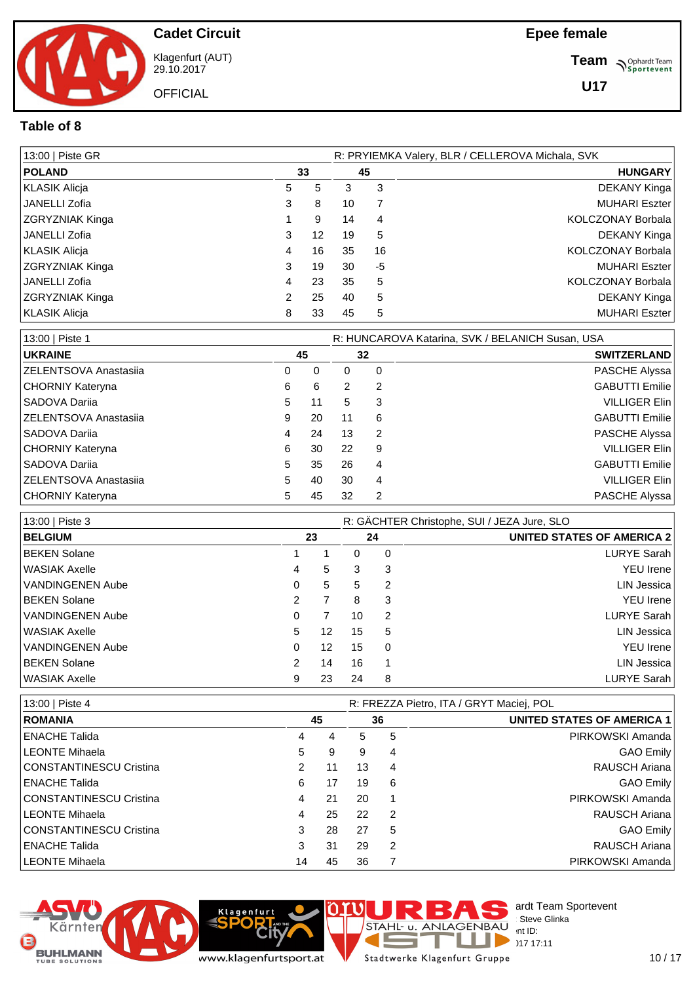

Klagenfurt (AUT) 29.10.2017

**OFFICIAL** 

**Team** *S<sup>Ophardt Team*<br> *S*<sup>P</sup> Sportevent</sup>

**U17**

#### **Table of 8**

| 13:00   Piste GR       |   |    |    |    | R: PRYIEMKA Valery, BLR / CELLEROVA Michala, SVK |
|------------------------|---|----|----|----|--------------------------------------------------|
| <b>POLAND</b>          |   | 33 |    | 45 | <b>HUNGARY</b>                                   |
| KLASIK Alicja          | 5 | 5  | 3  | 3  | DEKANY Kinga                                     |
| JANELLI Zofia          | 3 | 8  | 10 |    | <b>MUHARI Eszter</b>                             |
| ZGRYZNIAK Kinga        |   | 9  | 14 | 4  | KOLCZONAY Borbala                                |
| JANELLI Zofia          | 3 | 12 | 19 | 5  | DEKANY Kinga                                     |
| KLASIK Alicja          | 4 | 16 | 35 | 16 | <b>KOLCZONAY Borbala</b>                         |
| <b>ZGRYZNIAK Kinga</b> | 3 | 19 | 30 | -5 | <b>MUHARI Eszter</b>                             |
| JANELLI Zofia          | 4 | 23 | 35 | 5  | <b>KOLCZONAY Borbala</b>                         |
| <b>ZGRYZNIAK Kinga</b> | 2 | 25 | 40 | 5  | DEKANY Kinga                                     |
| KLASIK Alicja          | 8 | 33 | 45 | 5  | <b>MUHARI Eszter</b>                             |

| 13:00   Piste 1               | R: HUNCAROVA Katarina, SVK / BELANICH Susan, USA |    |    |    |                       |  |  |  |  |
|-------------------------------|--------------------------------------------------|----|----|----|-----------------------|--|--|--|--|
| <b>UKRAINE</b>                |                                                  | 45 |    | 32 | <b>SWITZERLAND</b>    |  |  |  |  |
| <b>ZELENTSOVA Anastasija</b>  | 0                                                | 0  | 0  | 0  | PASCHE Alyssa         |  |  |  |  |
| CHORNIY Kateryna              | 6                                                | 6  | 2  | 2  | <b>GABUTTI Emilie</b> |  |  |  |  |
| SADOVA Dariia                 | 5                                                | 11 | 5  | 3  | <b>VILLIGER Elin</b>  |  |  |  |  |
| <b>IZELENTSOVA Anastasija</b> | 9                                                | 20 | 11 | 6  | <b>GABUTTI Emilie</b> |  |  |  |  |
| l SADOVA Dariia               | 4                                                | 24 | 13 | 2  | PASCHE Alyssa         |  |  |  |  |
| CHORNIY Kateryna              | 6                                                | 30 | 22 | 9  | <b>VILLIGER Elin</b>  |  |  |  |  |
| l SADOVA Dariia               | 5                                                | 35 | 26 | 4  | <b>GABUTTI Emilie</b> |  |  |  |  |
| <b>ZELENTSOVA Anastasija</b>  | 5                                                | 40 | 30 | 4  | <b>VILLIGER Elin</b>  |  |  |  |  |
| CHORNIY Kateryna              | 5                                                | 45 | 32 | 2  | PASCHE Alyssa         |  |  |  |  |

| 13:00   Piste 3         | R: GÄCHTER Christophe, SUI / JEZA Jure, SLO |    |    |    |                                   |  |  |  |
|-------------------------|---------------------------------------------|----|----|----|-----------------------------------|--|--|--|
| <b>BELGIUM</b>          |                                             | 23 |    | 24 | <b>UNITED STATES OF AMERICA 2</b> |  |  |  |
| <b>BEKEN Solane</b>     |                                             |    | 0  | 0  | <b>LURYE Sarah</b>                |  |  |  |
| l WASIAK Axelle         | 4                                           | 5  | 3  | 3  | <b>YEU</b> Irene                  |  |  |  |
| VANDINGENEN Aube        | 0                                           | 5  | 5  | 2  | <b>LIN Jessica</b>                |  |  |  |
| <b>BEKEN Solane</b>     | 2                                           |    | 8  | 3  | <b>YEU</b> Irene                  |  |  |  |
| VANDINGENEN Aube        | 0                                           |    | 10 | 2  | <b>LURYE Sarah</b>                |  |  |  |
| l WASIAK Axelle         | 5                                           | 12 | 15 | 5  | <b>LIN Jessica</b>                |  |  |  |
| <b>VANDINGENEN Aube</b> | 0                                           | 12 | 15 | 0  | <b>YEU</b> Irene                  |  |  |  |
| BEKEN Solane            | 2                                           | 14 | 16 | 1  | <b>LIN Jessica</b>                |  |  |  |
| l WASIAK Axelle         | 9                                           | 23 | 24 | 8  | <b>LURYE Sarah</b>                |  |  |  |

| 13:00   Piste 4         |    |    |    | R: FREZZA Pietro, ITA / GRYT Maciej, POL |                                   |  |  |  |  |
|-------------------------|----|----|----|------------------------------------------|-----------------------------------|--|--|--|--|
| <b>ROMANIA</b>          |    | 45 |    | 36                                       | <b>UNITED STATES OF AMERICA 1</b> |  |  |  |  |
| ENACHE Talida           | 4  | 4  | 5  | 5                                        | PIRKOWSKI Amanda                  |  |  |  |  |
| LEONTE Mihaela          | 5  | 9  | 9  | 4                                        | GAO Emily                         |  |  |  |  |
| CONSTANTINESCU Cristina | 2  | 11 | 13 | 4                                        | RAUSCH Ariana                     |  |  |  |  |
| I ENACHE Talida         | 6  | 17 | 19 | 6                                        | GAO Emily                         |  |  |  |  |
| CONSTANTINESCU Cristina | 4  | 21 | 20 |                                          | PIRKOWSKI Amanda                  |  |  |  |  |
| LEONTE Mihaela          | 4  | 25 | 22 | -2                                       | RAUSCH Ariana                     |  |  |  |  |
| CONSTANTINESCU Cristina | 3  | 28 | 27 | 5                                        | GAO Emily                         |  |  |  |  |
| ENACHE Talida           | 3  | 31 | 29 | 2                                        | RAUSCH Ariana                     |  |  |  |  |
| LEONTE Mihaela          | 14 | 45 | 36 |                                          | PIRKOWSKI Amanda                  |  |  |  |  |





Stadtwerke Klagenfurt Gruppe

Þ

ı J.

 $\overline{a}$ 

STAHL U. ANLAGENBAU Int ID:

 $\sum_{n=1}^{\infty}$  D  $\sum_{n=17}^{\infty}$  17 17

 $29.1717:11$ 

ardt Team Sportevent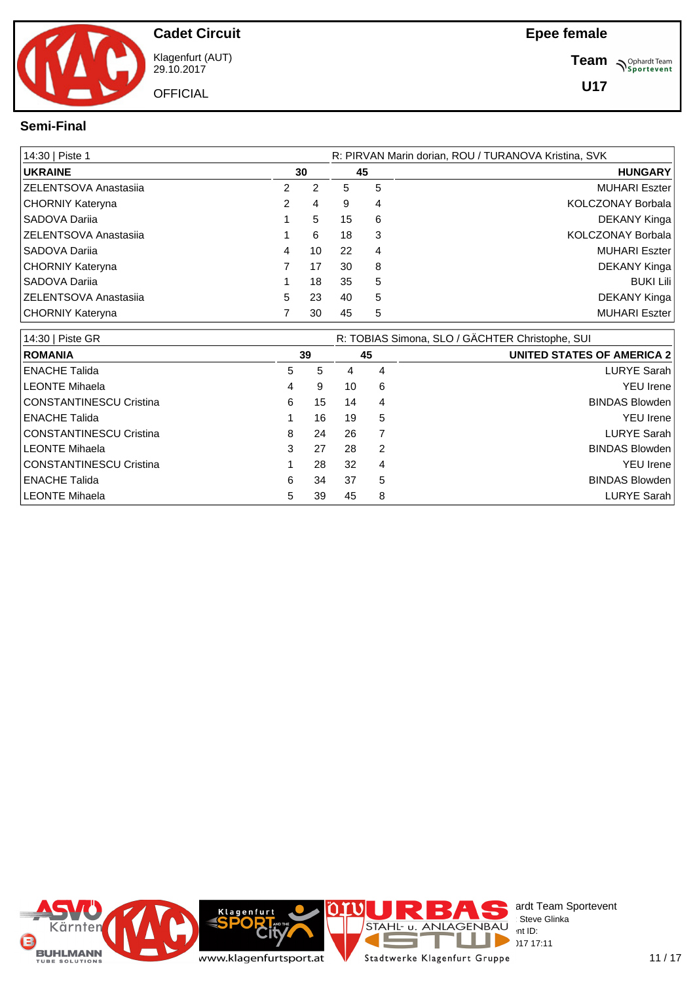

Klagenfurt (AUT) 29.10.2017

**OFFICIAL** 

**Team** *S<sup>Ophardt Team*<br> *S*<sup>P</sup> Sportevent</sup>

**U17**

#### **Semi-Final**

| 14:30   Piste 1               |    |    |    | R: PIRVAN Marin dorian, ROU / TURANOVA Kristina, SVK |                          |  |  |  |  |  |
|-------------------------------|----|----|----|------------------------------------------------------|--------------------------|--|--|--|--|--|
| <b>UKRAINE</b>                |    | 30 |    | 45                                                   | <b>HUNGARY</b>           |  |  |  |  |  |
| <b>ZELENTSOVA Anastasija</b>  | 2  | 2  | 5  | 5                                                    | <b>MUHARI Eszter</b>     |  |  |  |  |  |
| CHORNIY Kateryna              | 2  | 4  | 9  | 4                                                    | KOLCZONAY Borbala        |  |  |  |  |  |
| SADOVA Darija                 |    | 5  | 15 | 6                                                    | DEKANY Kinga             |  |  |  |  |  |
| <b>IZELENTSOVA Anastasija</b> |    | 6  | 18 | 3                                                    | <b>KOLCZONAY Borbala</b> |  |  |  |  |  |
| SADOVA Darija                 | 4  | 10 | 22 | 4                                                    | MUHARI Eszter            |  |  |  |  |  |
| CHORNIY Kateryna              |    | 17 | 30 | 8                                                    | DEKANY Kinga             |  |  |  |  |  |
| SADOVA Dariia                 |    | 18 | 35 | 5                                                    | <b>BUKI Lili</b>         |  |  |  |  |  |
| <b>ZELENTSOVA Anastasiia</b>  | 5. | 23 | 40 | 5                                                    | DEKANY Kinga             |  |  |  |  |  |
| CHORNIY Kateryna              |    | 30 | 45 | 5                                                    | MUHARI Eszter            |  |  |  |  |  |

| 14:30   Piste GR               |    |    |    |   | R: TOBIAS Simona, SLO / GÄCHTER Christophe, SUI |
|--------------------------------|----|----|----|---|-------------------------------------------------|
| <b>ROMANIA</b>                 | 39 |    | 45 |   | UNITED STATES OF AMERICA 2                      |
| <b>ENACHE Talida</b>           | 5. | 5  | 4  | 4 | <b>LURYE Sarah</b>                              |
| <b>LEONTE Mihaela</b>          | 4  | 9  | 10 | 6 | <b>YEU</b> Irene                                |
| <b>CONSTANTINESCU Cristina</b> | 6  | 15 | 14 | 4 | <b>BINDAS Blowden</b>                           |
| <b>ENACHE Talida</b>           |    | 16 | 19 | 5 | <b>YEU</b> Irene                                |
| <b>CONSTANTINESCU Cristina</b> | 8  | 24 | 26 |   | LURYE Sarah                                     |
| <b>LEONTE Mihaela</b>          | 3  | 27 | 28 | 2 | <b>BINDAS Blowden</b>                           |
| <b>CONSTANTINESCU Cristina</b> |    | 28 | 32 | 4 | <b>YEU</b> Irene                                |
| <b>ENACHE Talida</b>           | 6  | 34 | 37 | 5 | <b>BINDAS Blowden</b>                           |
| LEONTE Mihaela                 | 5  | 39 | 45 | 8 | LURYE Sarah                                     |

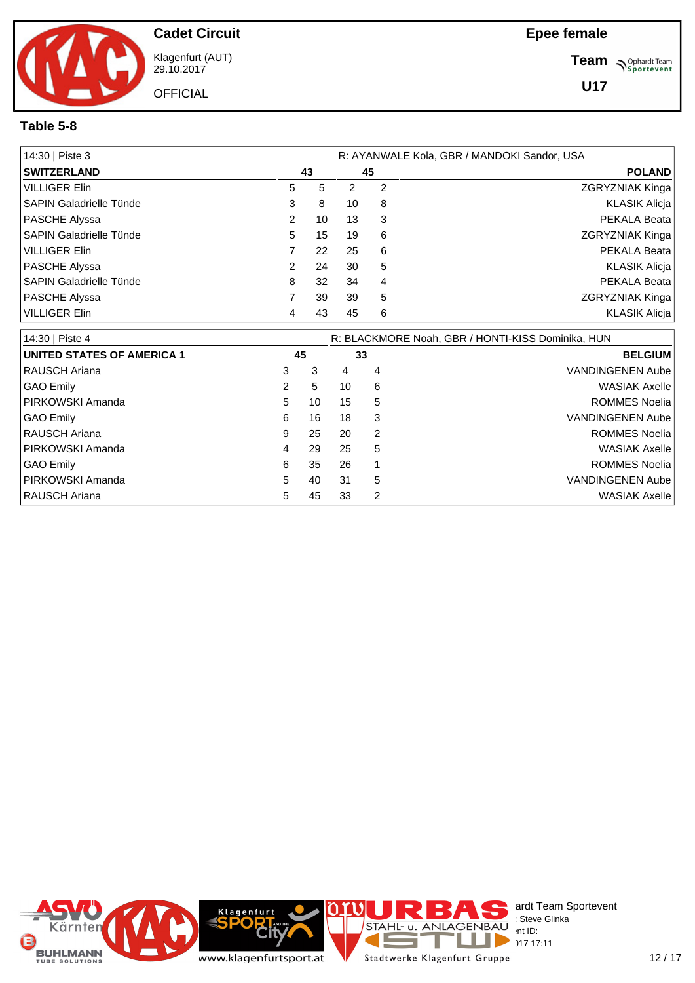

Klagenfurt (AUT) 29.10.2017

**Team** *S<sup>Ophardt Team*<br> *S*<sup>P</sup> Sportevent</sup>

#### **Table 5-8**

| 14:30   Piste 3                |    |    | R: AYANWALE Kola, GBR / MANDOKI Sandor, USA |    |                        |  |
|--------------------------------|----|----|---------------------------------------------|----|------------------------|--|
| <b>SWITZERLAND</b>             |    | 43 |                                             | 45 | <b>POLAND</b>          |  |
| VILLIGER Elin                  | 5. | 5  | 2                                           | 2  | <b>ZGRYZNIAK Kinga</b> |  |
| SAPIN Galadrielle Tünde        | 3  | 8  | 10                                          | 8  | <b>KLASIK Alicja</b>   |  |
| PASCHE Alyssa                  | 2  | 10 | 13                                          | 3  | PEKALA Beata           |  |
| SAPIN Galadrielle Tünde        | 5. | 15 | 19                                          | 6  | <b>ZGRYZNIAK Kinga</b> |  |
| VILLIGER Elin                  |    | 22 | 25                                          | 6  | PEKALA Beata           |  |
| PASCHE Alyssa                  | 2. | 24 | 30                                          | 5  | KLASIK Alicja          |  |
| <b>SAPIN Galadrielle Tünde</b> | 8  | 32 | 34                                          | 4  | PEKALA Beata           |  |
| <b>PASCHE Alyssa</b>           |    | 39 | 39                                          | 5  | ZGRYZNIAK Kinga        |  |
| VILLIGER Elin                  | 4  | 43 | 45                                          | 6  | <b>KLASIK Alicja</b>   |  |

| 14:30   Piste 4                   |   |    |    |    | R: BLACKMORE Noah, GBR / HONTI-KISS Dominika, HUN |
|-----------------------------------|---|----|----|----|---------------------------------------------------|
| <b>UNITED STATES OF AMERICA 1</b> |   | 45 |    | 33 | <b>BELGIUM</b>                                    |
| <b>RAUSCH Ariana</b>              | 3 | 3  | 4  | 4  | <b>VANDINGENEN Aube</b>                           |
| GAO Emily                         | 2 | 5  | 10 | 6  | <b>WASIAK Axelle</b>                              |
| <b>PIRKOWSKI Amanda</b>           | 5 | 10 | 15 | 5  | <b>ROMMES Noelia</b>                              |
| GAO Emily                         | 6 | 16 | 18 | 3  | <b>VANDINGENEN Aube</b>                           |
| I RAUSCH Ariana                   | 9 | 25 | 20 | 2  | <b>ROMMES Noelia</b>                              |
| <b>IPIRKOWSKI Amanda</b>          | 4 | 29 | 25 | 5  | <b>WASIAK Axelle</b>                              |
| GAO Emily                         | 6 | 35 | 26 |    | <b>ROMMES Noelia</b>                              |
| <b>PIRKOWSKI Amanda</b>           | 5 | 40 | 31 | 5  | <b>VANDINGENEN Aube</b>                           |
| <b>RAUSCH Ariana</b>              | 5 | 45 | 33 | 2  | <b>WASIAK Axelle</b>                              |

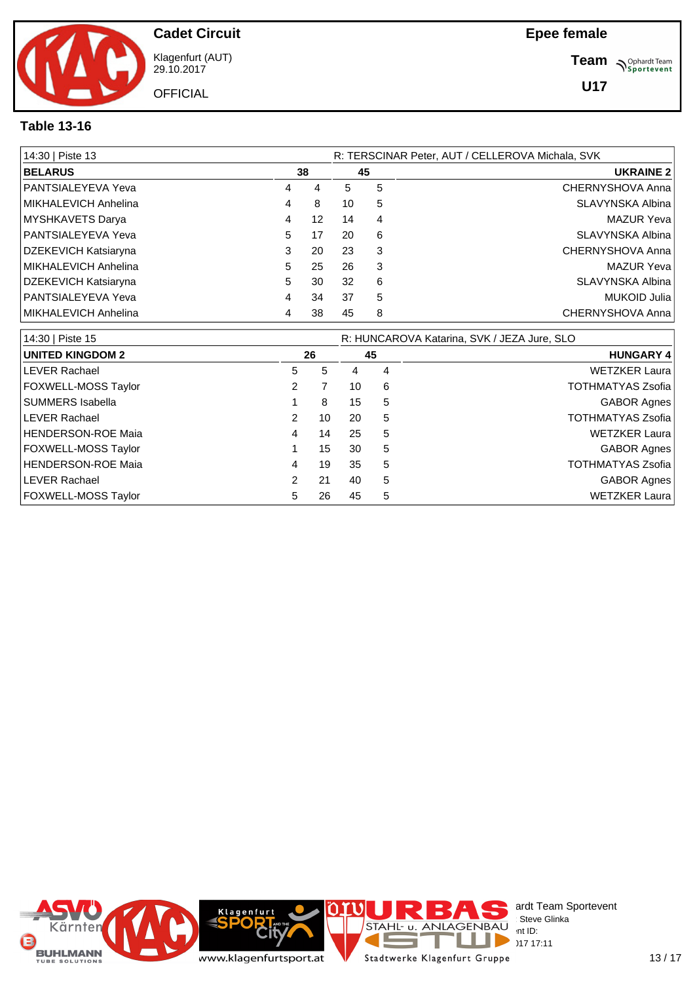

Klagenfurt (AUT) 29.10.2017

**OFFICIAL** 

**Team** *S<sup>Ophardt Team*<br> *S*<sup>P</sup> Sportevent</sup>

**U17**

### **Table 13-16**

| 14:30   Piste 13     |   | R: TERSCINAR Peter, AUT / CELLEROVA Michala, SVK |    |    |                   |  |  |  |  |  |
|----------------------|---|--------------------------------------------------|----|----|-------------------|--|--|--|--|--|
| <b>BELARUS</b>       |   | 38                                               |    | 45 | <b>UKRAINE 2</b>  |  |  |  |  |  |
| PANTSIALEYEVA Yeva   | 4 | 4                                                | 5  | 5  | CHERNYSHOVA Anna  |  |  |  |  |  |
| MIKHALEVICH Anhelina | 4 | 8                                                | 10 | 5  | SLAVYNSKA Albina  |  |  |  |  |  |
| MYSHKAVETS Darya     | 4 | 12                                               | 14 | 4  | <b>MAZUR Yeva</b> |  |  |  |  |  |
| PANTSIALEYEVA Yeva   | 5 | 17                                               | 20 | 6  | SLAVYNSKA Albina  |  |  |  |  |  |
| DZEKEVICH Katsiaryna | 3 | 20                                               | 23 | 3  | CHERNYSHOVA Anna  |  |  |  |  |  |
| MIKHALEVICH Anhelina | 5 | 25                                               | 26 | 3  | <b>MAZUR Yeva</b> |  |  |  |  |  |
| DZEKEVICH Katsiaryna | 5 | 30                                               | 32 | 6  | SLAVYNSKA Albina  |  |  |  |  |  |
| PANTSIALEYEVA Yeva   | 4 | 34                                               | 37 | 5  | MUKOID Julia      |  |  |  |  |  |
| MIKHALEVICH Anhelina | 4 | 38                                               | 45 | 8  | CHERNYSHOVA Anna  |  |  |  |  |  |

| 14:30   Piste 15           |   |    |    | R: HUNCAROVA Katarina, SVK / JEZA Jure, SLO |                          |
|----------------------------|---|----|----|---------------------------------------------|--------------------------|
| <b>UNITED KINGDOM 2</b>    |   | 26 |    | 45                                          | <b>HUNGARY 4</b>         |
| <b>LEVER Rachael</b>       | 5 | 5  | 4  | 4                                           | <b>WETZKER Laura</b>     |
| FOXWELL-MOSS Taylor        | 2 |    | 10 | 6                                           | TOTHMATYAS Zsofia        |
| SUMMERS Isabella           |   | 8  | 15 | 5                                           | <b>GABOR Agnes</b>       |
| <b>LEVER Rachael</b>       | 2 | 10 | 20 | 5                                           | <b>TOTHMATYAS Zsofia</b> |
| <b>HENDERSON-ROE Maia</b>  | 4 | 14 | 25 | 5                                           | <b>WETZKER Laura</b>     |
| <b>FOXWELL-MOSS Taylor</b> |   | 15 | 30 | 5                                           | <b>GABOR Agnes</b>       |
| <b>HENDERSON-ROE Maia</b>  | 4 | 19 | 35 | 5                                           | <b>TOTHMATYAS Zsofia</b> |
| <b>LEVER Rachael</b>       | 2 | 21 | 40 | 5                                           | <b>GABOR Agnes</b>       |
| FOXWELL-MOSS Taylor        | 5 | 26 | 45 | 5                                           | <b>WETZKER Laura</b>     |

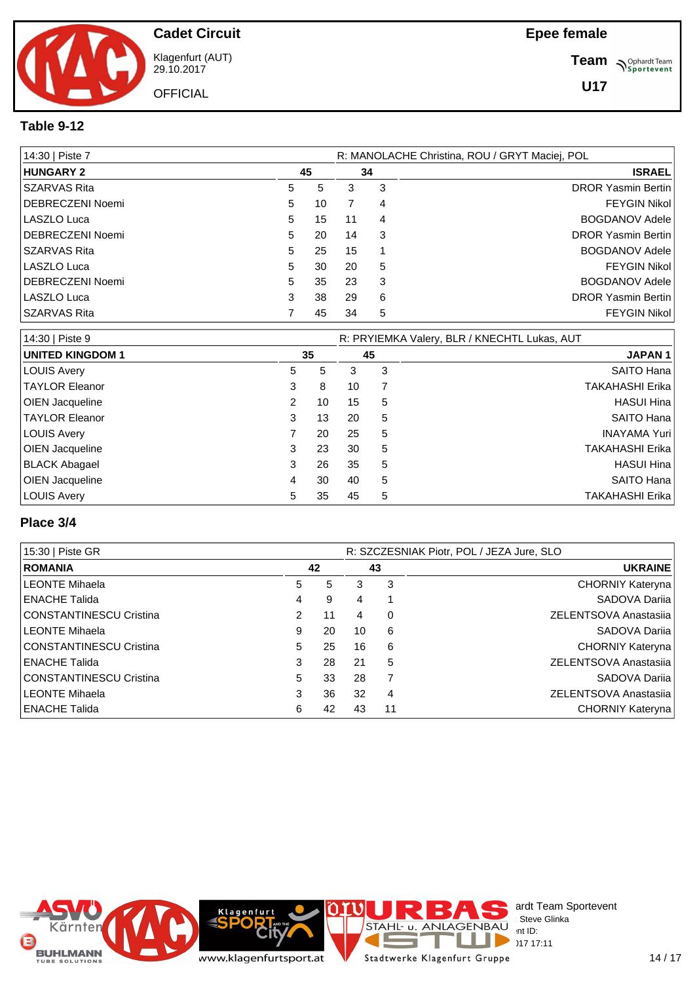

Klagenfurt (AUT) 29.10.2017

**Team** *S<sup>Ophardt Team*<br> *S*<sup>P</sup> Sportevent</sup>

## **Table 9-12**

| 14:30   Piste 7  |    |    |    |   | R: MANOLACHE Christina, ROU / GRYT Maciej, POL |
|------------------|----|----|----|---|------------------------------------------------|
| <b>HUNGARY 2</b> |    | 45 |    |   | <b>ISRAEL</b>                                  |
| SSZARVAS Rita    | 5  | 5  | 3  | 3 | <b>DROR Yasmin Bertin</b>                      |
| DEBRECZENI Noemi | 5  | 10 |    | 4 | <b>FEYGIN Nikol</b>                            |
| LASZLO Luca      | 5. | 15 | 11 | 4 | <b>BOGDANOV Adele</b>                          |
| DEBRECZENI Noemi | 5. | 20 | 14 | 3 | <b>DROR Yasmin Bertin</b>                      |
| l SZARVAS Rita   | 5  | 25 | 15 |   | <b>BOGDANOV Adele</b>                          |
| LASZLO Luca      | 5. | 30 | 20 | 5 | <b>FEYGIN Nikol</b>                            |
| DEBRECZENI Noemi | 5. | 35 | 23 | 3 | <b>BOGDANOV Adele</b>                          |
| LASZLO Luca      | 3  | 38 | 29 | 6 | <b>DROR Yasmin Bertin</b>                      |
| SSZARVAS Rita    |    | 45 | 34 | 5 | <b>FEYGIN Nikol</b>                            |

| 14:30   Piste 9         |   |    | R: PRYIEMKA Valery, BLR / KNECHTL Lukas, AUT |    |                        |  |  |  |  |
|-------------------------|---|----|----------------------------------------------|----|------------------------|--|--|--|--|
| <b>UNITED KINGDOM 1</b> |   | 35 |                                              | 45 | <b>JAPAN1</b>          |  |  |  |  |
| LOUIS Avery             | 5 | 5  | 3                                            | 3  | SAITO Hana             |  |  |  |  |
| <b>TAYLOR Eleanor</b>   | 3 | 8  | 10                                           |    | <b>TAKAHASHI Erika</b> |  |  |  |  |
| <b>OIEN Jacqueline</b>  | 2 | 10 | 15                                           | 5  | <b>HASUI Hina</b>      |  |  |  |  |
| <b>TAYLOR Eleanor</b>   | 3 | 13 | 20                                           | 5  | SAITO Hana             |  |  |  |  |
| LOUIS Avery             |   | 20 | 25                                           | 5  | <b>INAYAMA Yuri</b>    |  |  |  |  |
| <b>OIEN Jacqueline</b>  | 3 | 23 | 30                                           | 5  | <b>TAKAHASHI Erika</b> |  |  |  |  |
| <b>BLACK Abagael</b>    | 3 | 26 | 35                                           | 5  | <b>HASUI Hina</b>      |  |  |  |  |
| <b>OIEN Jacqueline</b>  | 4 | 30 | 40                                           | 5  | SAITO Hana             |  |  |  |  |
| <b>LOUIS Avery</b>      | 5 | 35 | 45                                           | 5  | <b>TAKAHASHI Erika</b> |  |  |  |  |

#### **Place 3/4**

| 15:30   Piste GR               |               |    | R: SZCZESNIAK Piotr, POL / JEZA Jure, SLO |    |                       |  |  |
|--------------------------------|---------------|----|-------------------------------------------|----|-----------------------|--|--|
| <b>ROMANIA</b>                 |               | 42 |                                           | 43 | <b>UKRAINE</b>        |  |  |
| <b>LEONTE Mihaela</b>          | 5             | 5  | 3                                         | 3  | CHORNIY Kateryna      |  |  |
| <b>ENACHE Talida</b>           | 4             | 9  | 4                                         |    | SADOVA Darija         |  |  |
| <b>CONSTANTINESCU Cristina</b> | $\mathcal{P}$ | 11 | 4                                         | 0  | ZELENTSOVA Anastasiia |  |  |
| <b>LEONTE Mihaela</b>          | 9             | 20 | 10                                        | 6  | SADOVA Dariia         |  |  |
| <b>CONSTANTINESCU Cristina</b> | 5             | 25 | 16                                        | 6  | CHORNIY Kateryna      |  |  |
| <b>ENACHE Talida</b>           | 3             | 28 | 21                                        | 5  | ZELENTSOVA Anastasiia |  |  |
| <b>CONSTANTINESCU Cristina</b> | 5             | 33 | 28                                        | 7  | SADOVA Darija         |  |  |
| <b>LEONTE Mihaela</b>          | 3             | 36 | 32                                        | 4  | ZELENTSOVA Anastasiia |  |  |
| <b>ENACHE Talida</b>           | 6             | 42 | 43                                        | 11 | CHORNIY Kateryna      |  |  |

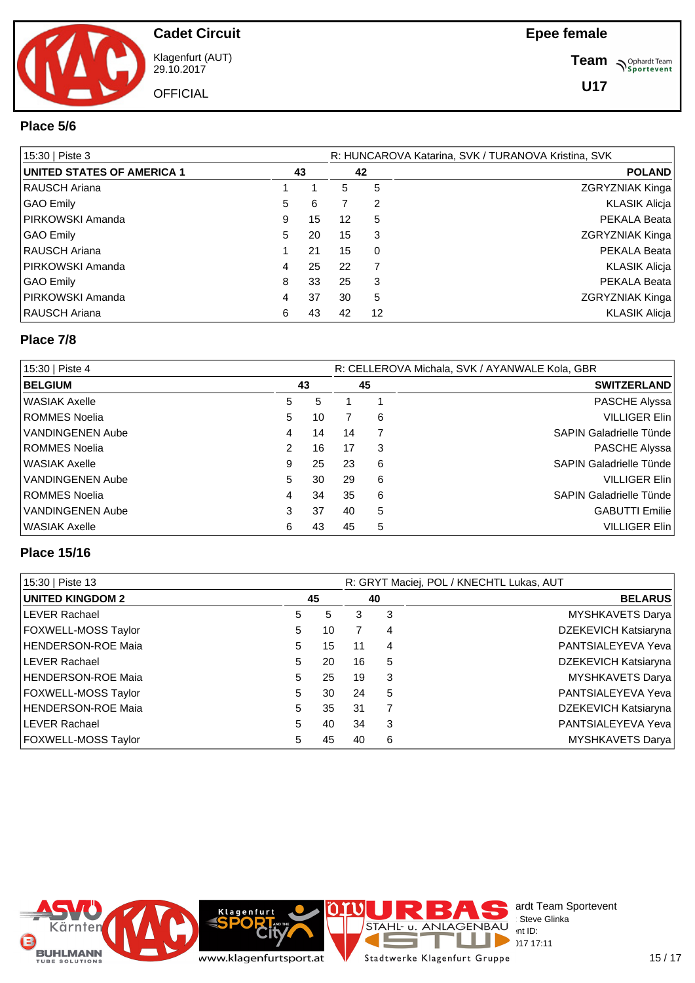

**Cadet Circuit** Klagenfurt (AUT)

29.10.2017 **OFFICIAL**  **Team** *S<sup>Ophardt Team*<br> *S*<sup>P</sup> Sportevent</sup>

#### **Place 5/6**

| 15:30   Piste 3            |   |    | R: HUNCAROVA Katarina, SVK / TURANOVA Kristina, SVK |                |                      |  |  |  |  |
|----------------------------|---|----|-----------------------------------------------------|----------------|----------------------|--|--|--|--|
| UNITED STATES OF AMERICA 1 |   | 43 |                                                     | 42             | <b>POLAND</b>        |  |  |  |  |
| RAUSCH Ariana              |   |    | 5.                                                  | 5              | ZGRYZNIAK Kinga      |  |  |  |  |
| GAO Emily                  | 5 | 6  |                                                     | 2              | KLASIK Alicja        |  |  |  |  |
| PIRKOWSKI Amanda           | 9 | 15 | 12                                                  | 5              | PEKALA Beata         |  |  |  |  |
| GAO Emily                  | 5 | 20 | 15                                                  | 3              | ZGRYZNIAK Kinga      |  |  |  |  |
| RAUSCH Ariana              |   | 21 | 15                                                  | $\Omega$       | PEKALA Beata         |  |  |  |  |
| PIRKOWSKI Amanda           | 4 | 25 | 22                                                  | $\overline{7}$ | <b>KLASIK Alicja</b> |  |  |  |  |
| GAO Emily                  | 8 | 33 | 25                                                  | 3              | PEKALA Beata         |  |  |  |  |
| PIRKOWSKI Amanda           | 4 | 37 | 30                                                  | 5              | ZGRYZNIAK Kinga      |  |  |  |  |
| RAUSCH Ariana              | 6 | 43 | 42                                                  | 12             | <b>KLASIK Alicja</b> |  |  |  |  |

#### **Place 7/8**

| 15:30   Piste 4      |    |    | R: CELLEROVA Michala, SVK / AYANWALE Kola, GBR |   |                                |  |  |  |  |
|----------------------|----|----|------------------------------------------------|---|--------------------------------|--|--|--|--|
| <b>BELGIUM</b><br>43 |    |    | 45                                             |   | <b>SWITZERLAND</b>             |  |  |  |  |
| WASIAK Axelle        | 5  | 5  |                                                |   | PASCHE Alyssa                  |  |  |  |  |
| ROMMES Noelia        | 5  | 10 |                                                | 6 | <b>VILLIGER Elin</b>           |  |  |  |  |
| VANDINGENEN Aube     | 4  | 14 | 14                                             |   | <b>SAPIN Galadrielle Tünde</b> |  |  |  |  |
| ROMMES Noelia        |    | 16 | 17                                             | 3 | PASCHE Alyssa                  |  |  |  |  |
| WASIAK Axelle        | 9  | 25 | 23                                             | 6 | <b>SAPIN Galadrielle Tünde</b> |  |  |  |  |
| VANDINGENEN Aube     | 5. | 30 | 29                                             | 6 | <b>VILLIGER Elin</b>           |  |  |  |  |
| ROMMES Noelia        | 4  | 34 | 35                                             | 6 | <b>SAPIN Galadrielle Tünde</b> |  |  |  |  |
| VANDINGENEN Aube     | 3  | 37 | 40                                             | 5 | <b>GABUTTI Emilie</b>          |  |  |  |  |
| WASIAK Axelle        | 6  | 43 | 45                                             | 5 | <b>VILLIGER Elin</b>           |  |  |  |  |

#### **Place 15/16**

| 15:30   Piste 13           |   |    | R: GRYT Maciej, POL / KNECHTL Lukas, AUT |    |                            |  |  |  |  |
|----------------------------|---|----|------------------------------------------|----|----------------------------|--|--|--|--|
| UNITED KINGDOM 2           |   | 45 |                                          | 40 | <b>BELARUS</b>             |  |  |  |  |
| <b>ILEVER Rachael</b>      | 5 | 5  | 3                                        | 3  | MYSHKAVETS Darya           |  |  |  |  |
| <b>FOXWELL-MOSS Taylor</b> | 5 | 10 | 7                                        | 4  | DZEKEVICH Katsiaryna       |  |  |  |  |
| HENDERSON-ROE Maia         | 5 | 15 | 11                                       | 4  | PANTSIALEYEVA Yeva         |  |  |  |  |
| <b>LEVER Rachael</b>       | 5 | 20 | 16                                       | 5  | DZEKEVICH Katsiaryna       |  |  |  |  |
| HENDERSON-ROE Maia         | 5 | 25 | 19                                       | 3  | MYSHKAVETS Darya           |  |  |  |  |
| <b>FOXWELL-MOSS Taylor</b> | 5 | 30 | 24                                       | 5  | <b>PANTSIALEYEVA Yeval</b> |  |  |  |  |
| HENDERSON-ROE Maia         | 5 | 35 | 31                                       |    | DZEKEVICH Katsiaryna       |  |  |  |  |
| <b>ILEVER Rachael</b>      | 5 | 40 | 34                                       | 3  | <b>PANTSIALEYEVA Yeval</b> |  |  |  |  |
| <b>FOXWELL-MOSS Taylor</b> | 5 | 45 | 40                                       | 6  | MYSHKAVETS Darya           |  |  |  |  |

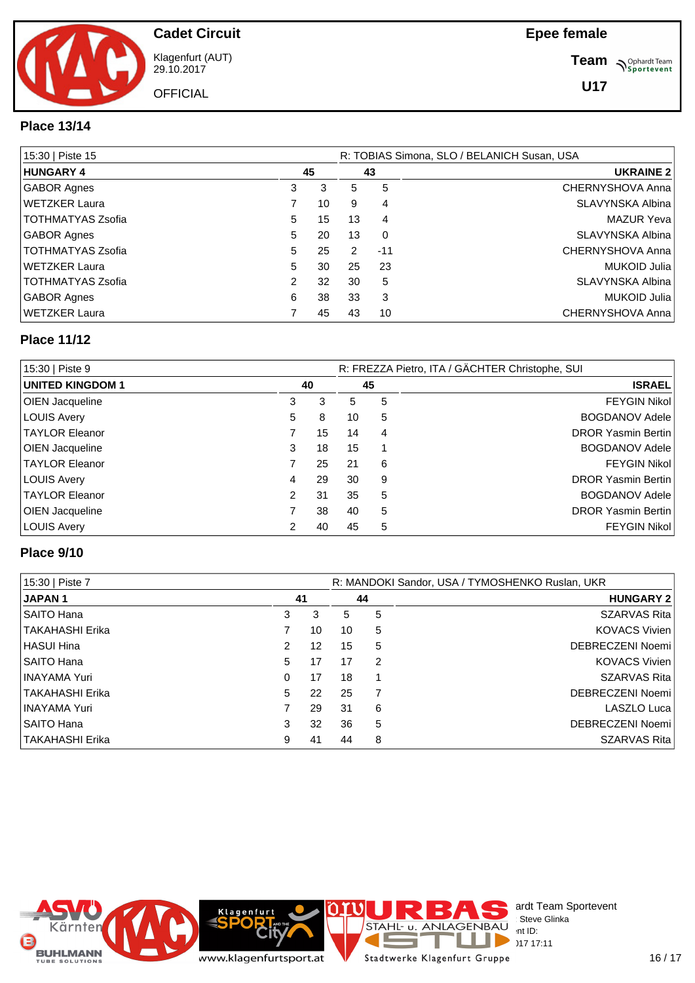

Klagenfurt (AUT) 29.10.2017

**OFFICIAL** 

**Team** *S<sup>Ophardt Team*<br> *S*<sup>P</sup> Sportevent</sup>

**U17**

#### **Place 13/14**

| 15:30   Piste 15         |   |    | R: TOBIAS Simona, SLO / BELANICH Susan, USA |          |                   |  |  |  |  |
|--------------------------|---|----|---------------------------------------------|----------|-------------------|--|--|--|--|
| <b>HUNGARY 4</b>         |   | 45 |                                             | 43       | <b>UKRAINE 2</b>  |  |  |  |  |
| GABOR Agnes              | 3 | 3  | 5                                           | 5        | CHERNYSHOVA Anna  |  |  |  |  |
| WETZKER Laura            |   | 10 | 9                                           | 4        | SLAVYNSKA Albina  |  |  |  |  |
| TOTHMATYAS Zsofia        | 5 | 15 | 13                                          | 4        | <b>MAZUR Yeva</b> |  |  |  |  |
| GABOR Agnes              | 5 | 20 | 13                                          | $\Omega$ | SLAVYNSKA Albina  |  |  |  |  |
| TOTHMATYAS Zsofia        | 5 | 25 | 2                                           | $-11$    | CHERNYSHOVA Anna  |  |  |  |  |
| WETZKER Laura            | 5 | 30 | 25                                          | 23       | MUKOID Julia      |  |  |  |  |
| <b>TOTHMATYAS Zsofia</b> | 2 | 32 | 30                                          | 5        | SLAVYNSKA Albina  |  |  |  |  |
| <b>GABOR Agnes</b>       | 6 | 38 | 33                                          | 3        | MUKOID Julia      |  |  |  |  |
| WETZKER Laura            |   | 45 | 43                                          | 10       | CHERNYSHOVA Anna  |  |  |  |  |

#### **Place 11/12**

| 15:30   Piste 9        |    |    | R: FREZZA Pietro, ITA / GÄCHTER Christophe, SUI |    |                           |  |  |  |  |
|------------------------|----|----|-------------------------------------------------|----|---------------------------|--|--|--|--|
| UNITED KINGDOM 1       |    | 40 |                                                 | 45 | <b>ISRAEL</b>             |  |  |  |  |
| OIEN Jacqueline        | 3  | 3  | 5                                               | 5  | <b>FEYGIN Nikol</b>       |  |  |  |  |
| <b>LOUIS Avery</b>     | 5. | 8  | 10                                              | 5  | <b>BOGDANOV Adele</b>     |  |  |  |  |
| <b>TAYLOR Eleanor</b>  |    | 15 | 14                                              | 4  | <b>DROR Yasmin Bertin</b> |  |  |  |  |
| <b>OIEN Jacqueline</b> | 3  | 18 | 15                                              |    | <b>BOGDANOV Adele</b>     |  |  |  |  |
| <b>TAYLOR Eleanor</b>  |    | 25 | 21                                              | 6  | <b>FEYGIN Nikol</b>       |  |  |  |  |
| LOUIS Avery            | 4  | 29 | 30                                              | 9  | <b>DROR Yasmin Bertin</b> |  |  |  |  |
| <b>TAYLOR Eleanor</b>  | 2  | 31 | 35                                              | 5  | <b>BOGDANOV Adele</b>     |  |  |  |  |
| <b>OIEN Jacqueline</b> |    | 38 | 40                                              | 5  | <b>DROR Yasmin Bertin</b> |  |  |  |  |
| LOUIS Avery            | 2  | 40 | 45                                              | 5  | <b>FEYGIN Nikol</b>       |  |  |  |  |

#### **Place 9/10**

| 15:30   Piste 7   |               |    | R: MANDOKI Sandor, USA / TYMOSHENKO Ruslan, UKR |    |                     |  |  |  |  |
|-------------------|---------------|----|-------------------------------------------------|----|---------------------|--|--|--|--|
| <b>JAPAN1</b>     |               | 41 |                                                 | 44 | <b>HUNGARY 2</b>    |  |  |  |  |
| SAITO Hana        | 3             | 3  | 5                                               | 5  | SZARVAS Rita        |  |  |  |  |
| TAKAHASHI Erika   |               | 10 | 10                                              | 5  | KOVACS Vivien       |  |  |  |  |
| <b>HASUI Hina</b> | $\mathcal{P}$ | 12 | 15                                              | 5  | DEBRECZENI Noemi    |  |  |  |  |
| SAITO Hana        | 5             | 17 | 17                                              | 2  | KOVACS Vivien       |  |  |  |  |
| INAYAMA Yuri      | 0             | 17 | 18                                              |    | SZARVAS Rita        |  |  |  |  |
| TAKAHASHI Erika   | 5             | 22 | 25                                              |    | DEBRECZENI Noemi    |  |  |  |  |
| INAYAMA Yuri      |               | 29 | 31                                              | 6  | LASZLO Luca         |  |  |  |  |
| SAITO Hana        | 3             | 32 | 36                                              | 5  | DEBRECZENI Noemi    |  |  |  |  |
| TAKAHASHI Erika   | 9             | 41 | 44                                              | 8  | <b>SZARVAS Rita</b> |  |  |  |  |

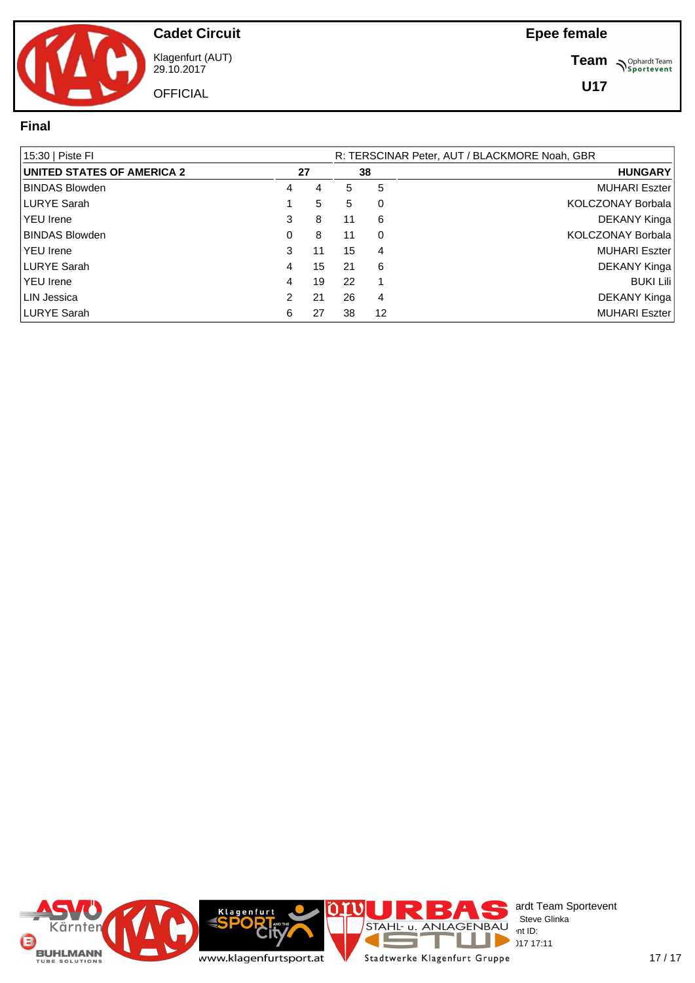

**Cadet Circuit** Klagenfurt (AUT)

29.10.2017 **OFFICIAL**  **Team** *S<sup>Ophardt Team*<br>*S*<sup>P</sup> *Sportevent*</sup>

### **Final**

| 15:30   Piste FI                  |   |    | R: TERSCINAR Peter, AUT / BLACKMORE Noah, GBR |    |                      |  |  |  |  |  |  |  |
|-----------------------------------|---|----|-----------------------------------------------|----|----------------------|--|--|--|--|--|--|--|
| <b>UNITED STATES OF AMERICA 2</b> |   | 27 |                                               | 38 | <b>HUNGARY</b>       |  |  |  |  |  |  |  |
| <b>BINDAS Blowden</b>             | 4 | 4  | 5                                             | 5  | <b>MUHARI Eszter</b> |  |  |  |  |  |  |  |
| LURYE Sarah                       |   | 5  | 5                                             | 0  | KOLCZONAY Borbala    |  |  |  |  |  |  |  |
| <b>YEU</b> Irene                  | 3 | 8  | 11                                            | 6  | DEKANY Kinga         |  |  |  |  |  |  |  |
| <b>BINDAS Blowden</b>             | 0 | 8  | 11                                            | 0  | KOLCZONAY Borbala    |  |  |  |  |  |  |  |
| l YEU Irene                       | 3 | 11 | 15                                            | 4  | <b>MUHARI Eszter</b> |  |  |  |  |  |  |  |
| LURYE Sarah                       | 4 | 15 | 21                                            | 6  | DEKANY Kinga         |  |  |  |  |  |  |  |
| l YEU Irene                       | 4 | 19 | 22                                            |    | <b>BUKI Lili</b>     |  |  |  |  |  |  |  |
| LIN Jessica                       | 2 | 21 | 26                                            | 4  | DEKANY Kinga         |  |  |  |  |  |  |  |
| LURYE Sarah                       | 6 | 27 | 38                                            | 12 | <b>MUHARI Eszter</b> |  |  |  |  |  |  |  |

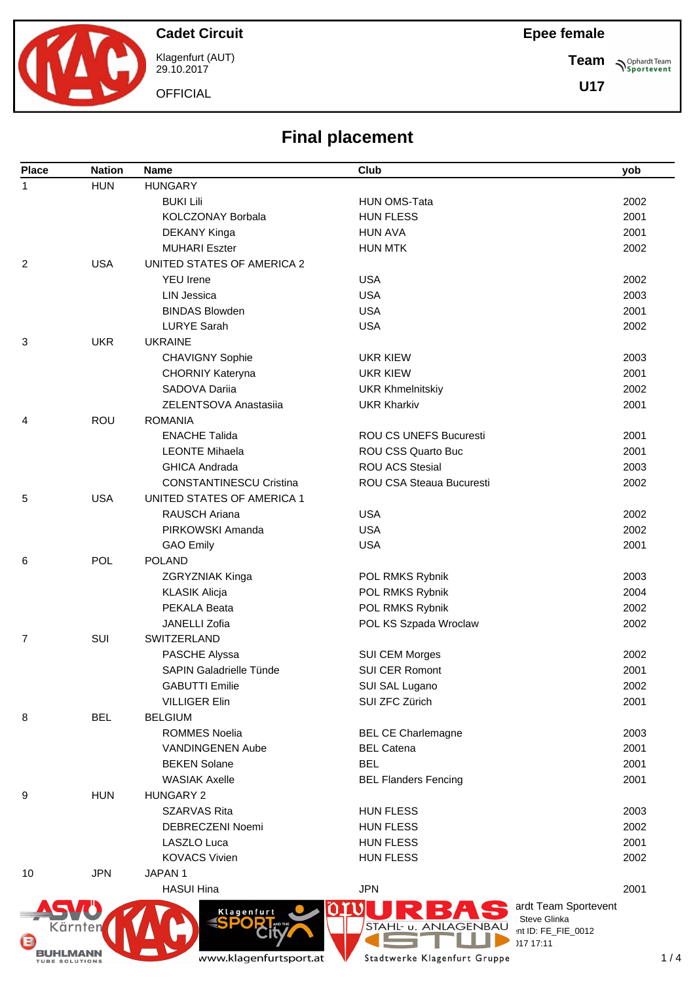**Cadet Circuit**

Klagenfurt (AUT) 29.10.2017

**OFFICIAL** 

**Team Sportevent** 

**U17**

| <b>Final placement</b> |  |
|------------------------|--|
| <b>Club</b>            |  |

| <b>Place</b>   | <b>Nation</b> | <b>Name</b>                    | Club                                        | yob                  |
|----------------|---------------|--------------------------------|---------------------------------------------|----------------------|
| $\mathbf{1}$   | <b>HUN</b>    | <b>HUNGARY</b>                 |                                             |                      |
|                |               | <b>BUKI Lili</b>               | <b>HUN OMS-Tata</b>                         | 2002                 |
|                |               | KOLCZONAY Borbala              | <b>HUN FLESS</b>                            | 2001                 |
|                |               | DEKANY Kinga                   | <b>HUN AVA</b>                              | 2001                 |
|                |               | <b>MUHARI Eszter</b>           | <b>HUN MTK</b>                              | 2002                 |
| 2              | <b>USA</b>    | UNITED STATES OF AMERICA 2     |                                             |                      |
|                |               | <b>YEU</b> Irene               | <b>USA</b>                                  | 2002                 |
|                |               | <b>LIN Jessica</b>             | <b>USA</b>                                  | 2003                 |
|                |               | <b>BINDAS Blowden</b>          | <b>USA</b>                                  | 2001                 |
|                |               | <b>LURYE Sarah</b>             | <b>USA</b>                                  | 2002                 |
| 3              | <b>UKR</b>    | <b>UKRAINE</b>                 |                                             |                      |
|                |               | <b>CHAVIGNY Sophie</b>         | <b>UKR KIEW</b>                             | 2003                 |
|                |               | CHORNIY Kateryna               | <b>UKR KIEW</b>                             | 2001                 |
|                |               | SADOVA Dariia                  | <b>UKR Khmelnitskiy</b>                     | 2002                 |
|                |               | ZELENTSOVA Anastasija          | <b>UKR Kharkiv</b>                          | 2001                 |
| 4              | ROU           | <b>ROMANIA</b>                 |                                             |                      |
|                |               | <b>ENACHE Talida</b>           | <b>ROU CS UNEFS Bucuresti</b>               | 2001                 |
|                |               | <b>LEONTE Mihaela</b>          | ROU CSS Quarto Buc                          | 2001                 |
|                |               | <b>GHICA Andrada</b>           | <b>ROU ACS Stesial</b>                      | 2003                 |
|                |               | <b>CONSTANTINESCU Cristina</b> | <b>ROU CSA Steaua Bucuresti</b>             | 2002                 |
| 5              | <b>USA</b>    | UNITED STATES OF AMERICA 1     |                                             |                      |
|                |               | <b>RAUSCH Ariana</b>           | <b>USA</b>                                  | 2002                 |
|                |               | PIRKOWSKI Amanda               | <b>USA</b>                                  | 2002                 |
|                |               | <b>GAO Emily</b>               | <b>USA</b>                                  | 2001                 |
| 6              | <b>POL</b>    | <b>POLAND</b>                  |                                             |                      |
|                |               | ZGRYZNIAK Kinga                | POL RMKS Rybnik                             | 2003                 |
|                |               | <b>KLASIK Alicja</b>           | POL RMKS Rybnik                             | 2004                 |
|                |               | PEKALA Beata                   | POL RMKS Rybnik                             | 2002                 |
|                |               | JANELLI Zofia                  | POL KS Szpada Wroclaw                       | 2002                 |
| $\overline{7}$ | SUI           | SWITZERLAND                    |                                             |                      |
|                |               | PASCHE Alyssa                  | SUI CEM Morges                              | 2002                 |
|                |               | SAPIN Galadrielle Tünde        | <b>SUI CER Romont</b>                       | 2001                 |
|                |               | <b>GABUTTI Emilie</b>          | SUI SAL Lugano                              | 2002                 |
|                |               | <b>VILLIGER Elin</b>           | SUI ZFC Zürich                              | 2001                 |
| 8              | <b>BEL</b>    | <b>BELGIUM</b>                 |                                             |                      |
|                |               | <b>ROMMES Noelia</b>           | <b>BEL CE Charlemagne</b>                   | 2003                 |
|                |               | <b>VANDINGENEN Aube</b>        | <b>BEL Catena</b>                           | 2001                 |
|                |               | <b>BEKEN Solane</b>            | <b>BEL</b>                                  | 2001                 |
|                |               | <b>WASIAK Axelle</b>           | <b>BEL Flanders Fencing</b>                 | 2001                 |
| 9              | <b>HUN</b>    | <b>HUNGARY 2</b>               |                                             |                      |
|                |               | <b>SZARVAS Rita</b>            | <b>HUN FLESS</b>                            | 2003                 |
|                |               | DEBRECZENI Noemi               | <b>HUN FLESS</b>                            | 2002                 |
|                |               | LASZLO Luca                    | <b>HUN FLESS</b>                            | 2001                 |
|                |               | <b>KOVACS Vivien</b>           | <b>HUN FLESS</b>                            | 2002                 |
| 10             | <b>JPN</b>    | JAPAN 1                        |                                             |                      |
|                |               | <b>HASUI Hina</b>              | <b>JPN</b>                                  | 2001                 |
|                |               |                                |                                             | ardt Team Sportevent |
|                |               | Klagenfurt                     | Steve Glinka                                |                      |
|                | Kärnter       |                                | STAHL- u. ANLAGENBAU<br>int ID: FE_FIE_0012 |                      |
|                |               |                                | 117.17.11                                   |                      |



29.10.2017 17:11

ı ä,

www.klagenfurtsport.at

BUHLMANN

Stadtwerke Klagenfurt Gruppe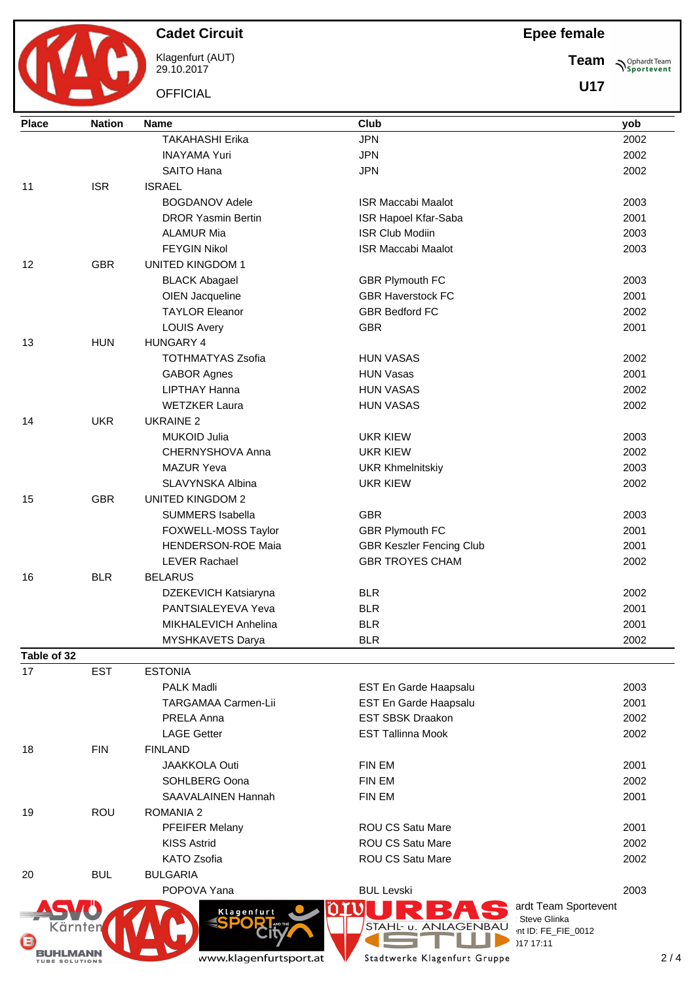$\mathbf{M}$ 

**Cadet Circuit**

Klagenfurt (AUT) 29.10.2017

**OFFICIAL** 

**Team**  $\bigwedge^{\text{Ophardt Team}}_{\text{Sportevent}}$ 

**U17**

| <b>Place</b> | <b>Nation</b> | <b>Name</b>                 | Club                                        |             |
|--------------|---------------|-----------------------------|---------------------------------------------|-------------|
|              |               | <b>TAKAHASHI Erika</b>      | <b>JPN</b>                                  | yob<br>2002 |
|              |               | <b>INAYAMA Yuri</b>         | <b>JPN</b>                                  | 2002        |
|              |               | SAITO Hana                  | <b>JPN</b>                                  | 2002        |
| 11           | <b>ISR</b>    | <b>ISRAEL</b>               |                                             |             |
|              |               | <b>BOGDANOV Adele</b>       | <b>ISR Maccabi Maalot</b>                   | 2003        |
|              |               | <b>DROR Yasmin Bertin</b>   | ISR Hapoel Kfar-Saba                        | 2001        |
|              |               | <b>ALAMUR Mia</b>           | <b>ISR Club Modiin</b>                      | 2003        |
|              |               | <b>FEYGIN Nikol</b>         | <b>ISR Maccabi Maalot</b>                   | 2003        |
| 12           | <b>GBR</b>    | <b>UNITED KINGDOM 1</b>     |                                             |             |
|              |               | <b>BLACK Abagael</b>        | <b>GBR Plymouth FC</b>                      | 2003        |
|              |               | OIEN Jacqueline             | <b>GBR Haverstock FC</b>                    | 2001        |
|              |               | <b>TAYLOR Eleanor</b>       | <b>GBR Bedford FC</b>                       | 2002        |
|              |               | <b>LOUIS Avery</b>          | <b>GBR</b>                                  | 2001        |
| 13           | <b>HUN</b>    | HUNGARY 4                   |                                             |             |
|              |               | <b>TOTHMATYAS Zsofia</b>    | <b>HUN VASAS</b>                            | 2002        |
|              |               | <b>GABOR Agnes</b>          | <b>HUN Vasas</b>                            | 2001        |
|              |               | LIPTHAY Hanna               | <b>HUN VASAS</b>                            | 2002        |
|              |               | <b>WETZKER Laura</b>        | <b>HUN VASAS</b>                            | 2002        |
| 14           | <b>UKR</b>    | <b>UKRAINE 2</b>            |                                             |             |
|              |               | <b>MUKOID Julia</b>         | <b>UKR KIEW</b>                             | 2003        |
|              |               | CHERNYSHOVA Anna            | <b>UKR KIEW</b>                             | 2002        |
|              |               | <b>MAZUR Yeva</b>           | <b>UKR Khmelnitskiy</b>                     | 2003        |
|              |               | SLAVYNSKA Albina            | <b>UKR KIEW</b>                             | 2002        |
| 15           | <b>GBR</b>    | <b>UNITED KINGDOM 2</b>     |                                             |             |
|              |               | SUMMERS Isabella            | <b>GBR</b>                                  | 2003        |
|              |               | FOXWELL-MOSS Taylor         | <b>GBR Plymouth FC</b>                      | 2001        |
|              |               | <b>HENDERSON-ROE Maia</b>   | <b>GBR Keszler Fencing Club</b>             | 2001        |
|              |               | <b>LEVER Rachael</b>        | <b>GBR TROYES CHAM</b>                      | 2002        |
| 16           | <b>BLR</b>    | <b>BELARUS</b>              |                                             |             |
|              |               | DZEKEVICH Katsiaryna        | <b>BLR</b>                                  | 2002        |
|              |               | PANTSIALEYEVA Yeva          | <b>BLR</b>                                  | 2001        |
|              |               | <b>MIKHALEVICH Anhelina</b> | <b>BLR</b>                                  | 2001        |
|              |               | MYSHKAVETS Darya            | <b>BLR</b>                                  | 2002        |
| Table of 32  |               |                             |                                             |             |
| 17           | <b>EST</b>    | <b>ESTONIA</b>              |                                             |             |
|              |               | <b>PALK Madli</b>           | EST En Garde Haapsalu                       | 2003        |
|              |               | <b>TARGAMAA Carmen-Lii</b>  | EST En Garde Haapsalu                       | 2001        |
|              |               | PRELA Anna                  | <b>EST SBSK Draakon</b>                     | 2002        |
|              |               | <b>LAGE Getter</b>          | <b>EST Tallinna Mook</b>                    | 2002        |
| 18           | <b>FIN</b>    | <b>FINLAND</b>              |                                             |             |
|              |               | <b>JAAKKOLA Outi</b>        | <b>FIN EM</b>                               | 2001        |
|              |               | SOHLBERG Oona               | FIN EM                                      | 2002        |
|              |               | <b>SAAVALAINEN Hannah</b>   | FIN EM                                      | 2001        |
| 19           | ROU           | <b>ROMANIA 2</b>            |                                             |             |
|              |               | PFEIFER Melany              | <b>ROU CS Satu Mare</b>                     | 2001        |
|              |               | <b>KISS Astrid</b>          | <b>ROU CS Satu Mare</b>                     | 2002        |
|              |               | <b>KATO Zsofia</b>          | <b>ROU CS Satu Mare</b>                     | 2002        |
| 20           | <b>BUL</b>    | <b>BULGARIA</b>             |                                             |             |
|              |               | POPOVA Yana                 | <b>BUL Levski</b>                           | 2003        |
|              |               | O                           | ardt Team Sportevent                        |             |
|              |               | Klagenfurt<br>AND THE       | Steve Glinka                                |             |
| Kärnten<br>G |               |                             | STAHL- u. ANLAGENBAU<br>int ID: FE_FIE_0012 |             |
|              |               |                             | )17 17:11                                   |             |
|              |               | www.klagenfurtsport.at      | Stadtwerke Klagenfurt Gruppe                | 2/          |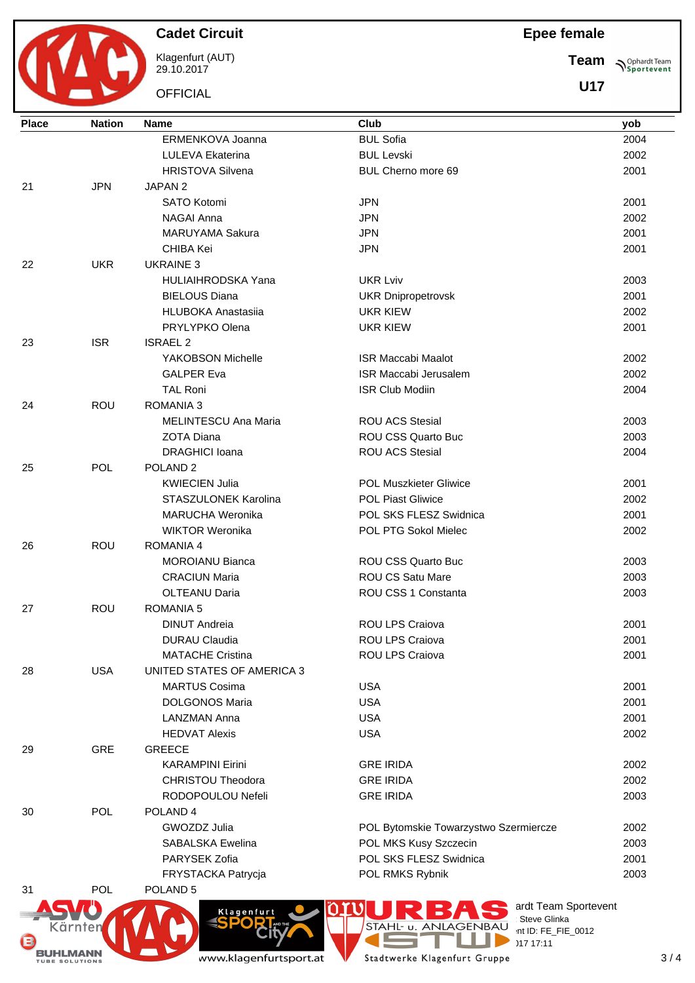BUHLMANN

Klagenfurt (AUT) 29.10.2017

**OFFICIAL** 

## **Epee female**

**Team Sportevent** 

**U17**

| <b>BUL Sofia</b><br>ERMENKOVA Joanna<br>2004<br>LULEVA Ekaterina<br><b>BUL Levski</b><br>2002<br><b>HRISTOVA Silvena</b><br>BUL Cherno more 69<br>2001<br><b>JPN</b><br>21<br>JAPAN <sub>2</sub><br>SATO Kotomi<br><b>JPN</b><br>2001<br><b>NAGAI Anna</b><br><b>JPN</b><br>2002<br><b>MARUYAMA Sakura</b><br><b>JPN</b><br>2001<br>2001<br>CHIBA Kei<br><b>JPN</b><br>22<br><b>UKR</b><br><b>UKRAINE 3</b><br>HULIAIHRODSKA Yana<br><b>UKR Lviv</b><br>2003 |  |
|--------------------------------------------------------------------------------------------------------------------------------------------------------------------------------------------------------------------------------------------------------------------------------------------------------------------------------------------------------------------------------------------------------------------------------------------------------------|--|
|                                                                                                                                                                                                                                                                                                                                                                                                                                                              |  |
|                                                                                                                                                                                                                                                                                                                                                                                                                                                              |  |
|                                                                                                                                                                                                                                                                                                                                                                                                                                                              |  |
|                                                                                                                                                                                                                                                                                                                                                                                                                                                              |  |
|                                                                                                                                                                                                                                                                                                                                                                                                                                                              |  |
|                                                                                                                                                                                                                                                                                                                                                                                                                                                              |  |
|                                                                                                                                                                                                                                                                                                                                                                                                                                                              |  |
|                                                                                                                                                                                                                                                                                                                                                                                                                                                              |  |
|                                                                                                                                                                                                                                                                                                                                                                                                                                                              |  |
|                                                                                                                                                                                                                                                                                                                                                                                                                                                              |  |
| <b>BIELOUS Diana</b><br>2001<br><b>UKR Dnipropetrovsk</b>                                                                                                                                                                                                                                                                                                                                                                                                    |  |
| <b>HLUBOKA Anastasija</b><br><b>UKR KIEW</b><br>2002                                                                                                                                                                                                                                                                                                                                                                                                         |  |
| PRYLYPKO Olena<br><b>UKR KIEW</b><br>2001                                                                                                                                                                                                                                                                                                                                                                                                                    |  |
| <b>ISR</b><br>23<br><b>ISRAEL 2</b>                                                                                                                                                                                                                                                                                                                                                                                                                          |  |
| YAKOBSON Michelle<br><b>ISR Maccabi Maalot</b><br>2002                                                                                                                                                                                                                                                                                                                                                                                                       |  |
| <b>GALPER Eva</b><br><b>ISR Maccabi Jerusalem</b><br>2002                                                                                                                                                                                                                                                                                                                                                                                                    |  |
| 2004<br><b>TAL Roni</b><br><b>ISR Club Modiin</b>                                                                                                                                                                                                                                                                                                                                                                                                            |  |
| 24<br><b>ROU</b><br><b>ROMANIA 3</b>                                                                                                                                                                                                                                                                                                                                                                                                                         |  |
| <b>ROU ACS Stesial</b><br>MELINTESCU Ana Maria<br>2003                                                                                                                                                                                                                                                                                                                                                                                                       |  |
| <b>ROU CSS Quarto Buc</b><br><b>ZOTA Diana</b><br>2003                                                                                                                                                                                                                                                                                                                                                                                                       |  |
| <b>ROU ACS Stesial</b><br><b>DRAGHICI Ioana</b><br>2004                                                                                                                                                                                                                                                                                                                                                                                                      |  |
| <b>POL</b><br>POLAND <sub>2</sub><br>25                                                                                                                                                                                                                                                                                                                                                                                                                      |  |
| <b>KWIECIEN Julia</b><br><b>POL Muszkieter Gliwice</b><br>2001                                                                                                                                                                                                                                                                                                                                                                                               |  |
| <b>STASZULONEK Karolina</b><br><b>POL Piast Gliwice</b><br>2002                                                                                                                                                                                                                                                                                                                                                                                              |  |
| <b>MARUCHA Weronika</b><br>POL SKS FLESZ Swidnica<br>2001                                                                                                                                                                                                                                                                                                                                                                                                    |  |
| POL PTG Sokol Mielec<br><b>WIKTOR Weronika</b><br>2002                                                                                                                                                                                                                                                                                                                                                                                                       |  |
| <b>ROU</b><br>26<br><b>ROMANIA 4</b>                                                                                                                                                                                                                                                                                                                                                                                                                         |  |
| <b>ROU CSS Quarto Buc</b><br><b>MOROIANU Bianca</b><br>2003                                                                                                                                                                                                                                                                                                                                                                                                  |  |
| <b>ROU CS Satu Mare</b><br><b>CRACIUN Maria</b><br>2003                                                                                                                                                                                                                                                                                                                                                                                                      |  |
| ROU CSS 1 Constanta<br><b>OLTEANU Daria</b><br>2003                                                                                                                                                                                                                                                                                                                                                                                                          |  |
| <b>ROU</b><br><b>ROMANIA 5</b><br>27                                                                                                                                                                                                                                                                                                                                                                                                                         |  |
| <b>DINUT Andreia</b><br><b>ROU LPS Craiova</b><br>2001                                                                                                                                                                                                                                                                                                                                                                                                       |  |
| <b>DURAU Claudia</b><br>ROU LPS Craiova<br>2001                                                                                                                                                                                                                                                                                                                                                                                                              |  |
| <b>MATACHE Cristina</b><br>ROU LPS Craiova<br>2001                                                                                                                                                                                                                                                                                                                                                                                                           |  |
| <b>USA</b><br>UNITED STATES OF AMERICA 3<br>28                                                                                                                                                                                                                                                                                                                                                                                                               |  |
| <b>MARTUS Cosima</b><br><b>USA</b><br>2001                                                                                                                                                                                                                                                                                                                                                                                                                   |  |
| <b>USA</b><br><b>DOLGONOS Maria</b><br>2001                                                                                                                                                                                                                                                                                                                                                                                                                  |  |
| <b>USA</b><br><b>LANZMAN Anna</b><br>2001                                                                                                                                                                                                                                                                                                                                                                                                                    |  |
| <b>USA</b><br>2002<br><b>HEDVAT Alexis</b>                                                                                                                                                                                                                                                                                                                                                                                                                   |  |
| <b>GRE</b><br><b>GREECE</b><br>29                                                                                                                                                                                                                                                                                                                                                                                                                            |  |
| <b>GRE IRIDA</b><br><b>KARAMPINI Eirini</b><br>2002                                                                                                                                                                                                                                                                                                                                                                                                          |  |
| <b>CHRISTOU Theodora</b><br><b>GRE IRIDA</b><br>2002                                                                                                                                                                                                                                                                                                                                                                                                         |  |
| <b>GRE IRIDA</b><br>RODOPOULOU Nefeli<br>2003                                                                                                                                                                                                                                                                                                                                                                                                                |  |
| POL<br>POLAND <sub>4</sub><br>30                                                                                                                                                                                                                                                                                                                                                                                                                             |  |
| GWOZDZ Julia<br>POL Bytomskie Towarzystwo Szermiercze<br>2002                                                                                                                                                                                                                                                                                                                                                                                                |  |
| 2003<br><b>SABALSKA Ewelina</b><br>POL MKS Kusy Szczecin                                                                                                                                                                                                                                                                                                                                                                                                     |  |
| POL SKS FLESZ Swidnica<br>2001<br>PARYSEK Zofia                                                                                                                                                                                                                                                                                                                                                                                                              |  |
| FRYSTACKA Patrycja<br>POL RMKS Rybnik<br>2003                                                                                                                                                                                                                                                                                                                                                                                                                |  |
| <b>POL</b><br>POLAND <sub>5</sub><br>31                                                                                                                                                                                                                                                                                                                                                                                                                      |  |
| ardt Team Sportevent                                                                                                                                                                                                                                                                                                                                                                                                                                         |  |
| Klagenfurt<br>SPORT<br>Steve Glinka                                                                                                                                                                                                                                                                                                                                                                                                                          |  |
| STAHL-<br><b>u. ANLAGEN</b><br>Kärnten<br>int ID: FE_FIE_0012<br>(E)<br>)17 17:11                                                                                                                                                                                                                                                                                                                                                                            |  |

www.klagenfurtsport.at

Stadtwerke Klagenfurt Gruppe

 $29.1717$  17:11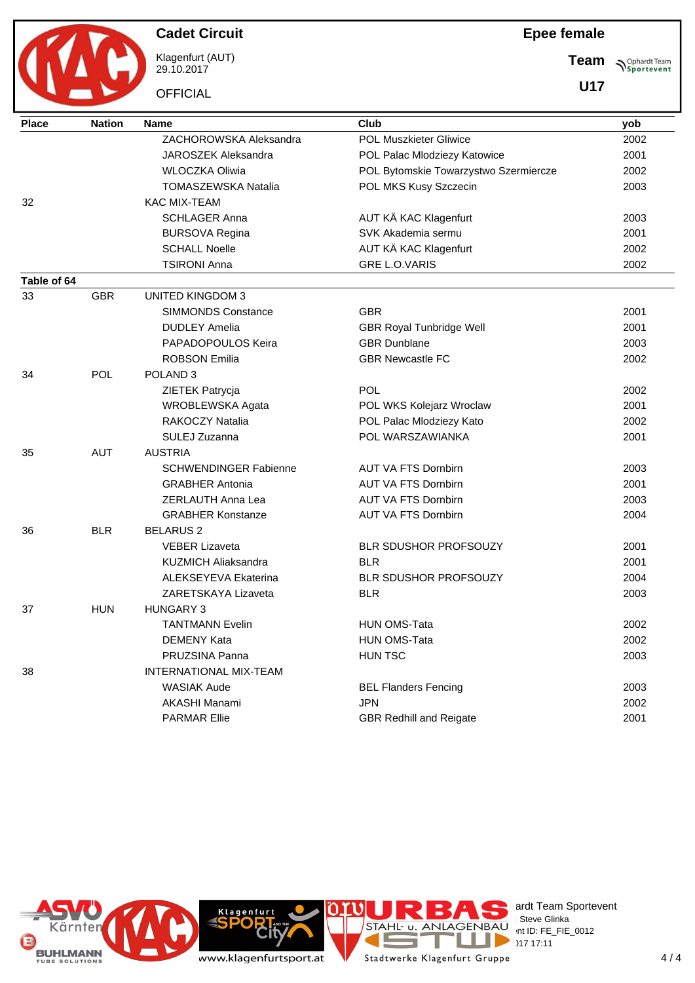Klagenfurt (AUT) 29.10.2017

**OFFICIAL** 

## **Epee female**

**Team Sportevent** 

**U17**

| <b>Place</b> | <b>Nation</b> | <b>Name</b>                  | Club                                  | yob  |
|--------------|---------------|------------------------------|---------------------------------------|------|
|              |               | ZACHOROWSKA Aleksandra       | <b>POL Muszkieter Gliwice</b>         | 2002 |
|              |               | JAROSZEK Aleksandra          | POL Palac Mlodziezy Katowice          | 2001 |
|              |               | <b>WLOCZKA Oliwia</b>        | POL Bytomskie Towarzystwo Szermiercze | 2002 |
|              |               | <b>TOMASZEWSKA Natalia</b>   | POL MKS Kusy Szczecin                 | 2003 |
| 32           |               | <b>KAC MIX-TEAM</b>          |                                       |      |
|              |               | <b>SCHLAGER Anna</b>         | AUT KÄ KAC Klagenfurt                 | 2003 |
|              |               | <b>BURSOVA Regina</b>        | SVK Akademia sermu                    | 2001 |
|              |               | <b>SCHALL Noelle</b>         | AUT KÄ KAC Klagenfurt                 | 2002 |
|              |               | <b>TSIRONI Anna</b>          | <b>GRE L.O.VARIS</b>                  | 2002 |
| Table of 64  |               |                              |                                       |      |
| 33           | <b>GBR</b>    | <b>UNITED KINGDOM 3</b>      |                                       |      |
|              |               | <b>SIMMONDS Constance</b>    | <b>GBR</b>                            | 2001 |
|              |               | <b>DUDLEY Amelia</b>         | <b>GBR Royal Tunbridge Well</b>       | 2001 |
|              |               | PAPADOPOULOS Keira           | <b>GBR Dunblane</b>                   | 2003 |
|              |               | <b>ROBSON Emilia</b>         | <b>GBR Newcastle FC</b>               | 2002 |
| 34           | POL           | POLAND <sub>3</sub>          |                                       |      |
|              |               | ZIETEK Patrycja              | <b>POL</b>                            | 2002 |
|              |               | WROBLEWSKA Agata             | POL WKS Kolejarz Wroclaw              | 2001 |
|              |               | <b>RAKOCZY Natalia</b>       | POL Palac Mlodziezy Kato              | 2002 |
|              |               | SULEJ Zuzanna                | POL WARSZAWIANKA                      | 2001 |
| 35           | <b>AUT</b>    | <b>AUSTRIA</b>               |                                       |      |
|              |               | <b>SCHWENDINGER Fabienne</b> | <b>AUT VA FTS Dornbirn</b>            | 2003 |
|              |               | <b>GRABHER Antonia</b>       | <b>AUT VA FTS Dornbirn</b>            | 2001 |
|              |               | <b>ZERLAUTH Anna Lea</b>     | <b>AUT VA FTS Dornbirn</b>            | 2003 |
|              |               | <b>GRABHER Konstanze</b>     | <b>AUT VA FTS Dornbirn</b>            | 2004 |
| 36           | <b>BLR</b>    | <b>BELARUS 2</b>             |                                       |      |
|              |               | <b>VEBER Lizaveta</b>        | <b>BLR SDUSHOR PROFSOUZY</b>          | 2001 |
|              |               | <b>KUZMICH Aliaksandra</b>   | <b>BLR</b>                            | 2001 |
|              |               | <b>ALEKSEYEVA Ekaterina</b>  | BLR SDUSHOR PROFSOUZY                 | 2004 |
|              |               | ZARETSKAYA Lizaveta          | <b>BLR</b>                            | 2003 |
| 37           | <b>HUN</b>    | <b>HUNGARY 3</b>             |                                       |      |
|              |               | <b>TANTMANN Evelin</b>       | <b>HUN OMS-Tata</b>                   | 2002 |
|              |               | <b>DEMENY Kata</b>           | <b>HUN OMS-Tata</b>                   | 2002 |
|              |               | PRUZSINA Panna               | HUN TSC                               | 2003 |
| 38           |               | INTERNATIONAL MIX-TEAM       |                                       |      |
|              |               | <b>WASIAK Aude</b>           | <b>BEL Flanders Fencing</b>           | 2003 |
|              |               | <b>AKASHI Manami</b>         | <b>JPN</b>                            | 2002 |
|              |               | <b>PARMAR Ellie</b>          | <b>GBR Redhill and Reigate</b>        | 2001 |
|              |               |                              |                                       |      |





Klagenfurt



erdt Team Sportevent **License:** Steve Glinka  $P^{\sim}$  nt ID: FE\_FIE\_0012  $\sum_{\text{2017}}$  29.17.17:11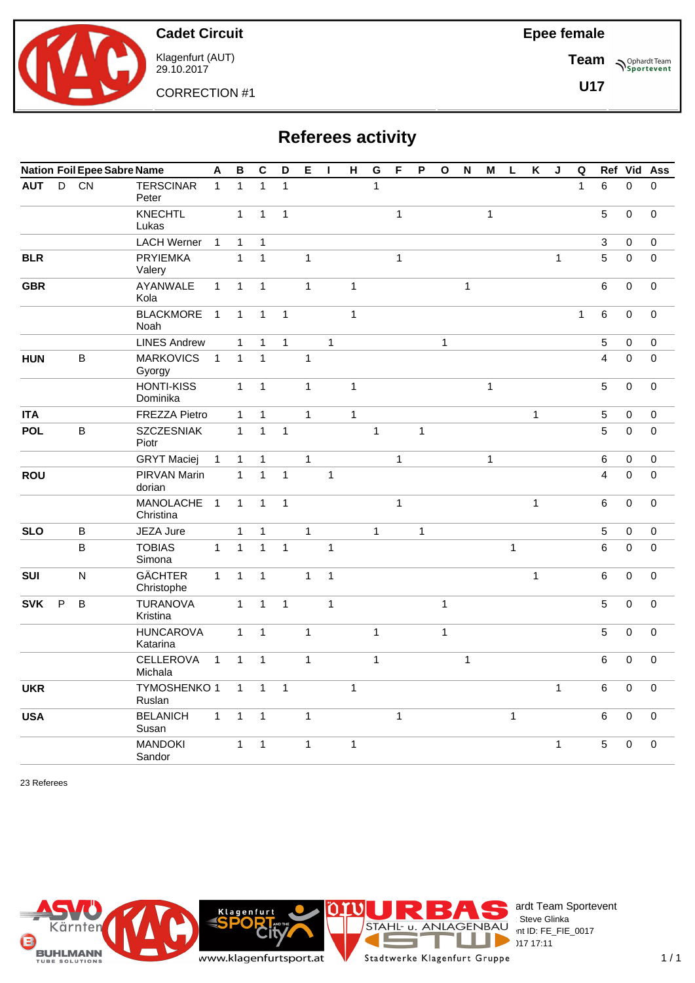

Klagenfurt (AUT) 29.10.2017

CORRECTION #1

**Epee female**

**Team Sportevent** 

**U17**

| <b>Referees activity</b> |  |
|--------------------------|--|
|--------------------------|--|

|            |   |         | <b>Nation Foil Epee Sabre Name</b> | $\overline{A}$ | $\, {\bf B}$ | $\mathbf C$  | D            | E            | п            | H            | G            | F            | $\mathsf P$  | $\mathbf{o}$ | $\mathsf{N}$ | M            | L            | $\pmb{\mathsf{K}}$ | J            | $\mathbf Q$  | Ref                     | Vid                 | Ass         |
|------------|---|---------|------------------------------------|----------------|--------------|--------------|--------------|--------------|--------------|--------------|--------------|--------------|--------------|--------------|--------------|--------------|--------------|--------------------|--------------|--------------|-------------------------|---------------------|-------------|
| <b>AUT</b> | D | CN      | <b>TERSCINAR</b><br>Peter          | $\mathbf{1}$   | $\mathbf{1}$ | $\mathbf{1}$ | $\mathbf{1}$ |              |              |              | $\mathbf{1}$ |              |              |              |              |              |              |                    |              | $\mathbf{1}$ | 6                       | $\Omega$            | $\Omega$    |
|            |   |         | <b>KNECHTL</b><br>Lukas            |                | $\mathbf{1}$ | $\mathbf{1}$ | $\mathbf{1}$ |              |              |              |              | $\mathbf{1}$ |              |              |              | $\mathbf{1}$ |              |                    |              |              | 5                       | $\mathbf 0$         | $\pmb{0}$   |
|            |   |         | <b>LACH Werner</b>                 | $\mathbf{1}$   | $\mathbf{1}$ | $\mathbf{1}$ |              |              |              |              |              |              |              |              |              |              |              |                    |              |              | 3                       | $\mathbf 0$         | $\mathbf 0$ |
| <b>BLR</b> |   |         | <b>PRYIEMKA</b><br>Valery          |                | $\mathbf{1}$ | $\mathbf{1}$ |              | $\mathbf{1}$ |              |              |              | $\mathbf{1}$ |              |              |              |              |              |                    | $\mathbf{1}$ |              | 5                       | $\mathbf{0}$        | $\mathbf 0$ |
| <b>GBR</b> |   |         | AYANWALE<br>Kola                   | $\mathbf{1}$   | $\mathbf{1}$ | $\mathbf{1}$ |              | $\mathbf{1}$ |              | $\mathbf{1}$ |              |              |              |              | $\mathbf{1}$ |              |              |                    |              |              | 6                       | $\Omega$            | 0           |
|            |   |         | <b>BLACKMORE</b><br>Noah           | $\mathbf{1}$   | $\mathbf{1}$ | $\mathbf{1}$ | $\mathbf{1}$ |              |              | 1            |              |              |              |              |              |              |              |                    |              | $\mathbf{1}$ | 6                       | $\mathbf 0$         | $\pmb{0}$   |
|            |   |         | <b>LINES Andrew</b>                |                | $\mathbf{1}$ | $\mathbf{1}$ | $\mathbf{1}$ |              | $\mathbf{1}$ |              |              |              |              | $\mathbf{1}$ |              |              |              |                    |              |              | 5                       | $\mathbf 0$         | $\mathbf 0$ |
| <b>HUN</b> |   | $\sf B$ | <b>MARKOVICS</b><br>Gyorgy         | $\mathbf{1}$   | $\mathbf{1}$ | $\mathbf{1}$ |              | $\mathbf{1}$ |              |              |              |              |              |              |              |              |              |                    |              |              | $\overline{\mathbf{4}}$ | $\mathbf 0$         | $\mathbf 0$ |
|            |   |         | <b>HONTI-KISS</b><br>Dominika      |                | $\mathbf{1}$ | $\mathbf{1}$ |              | $\mathbf{1}$ |              | $\mathbf{1}$ |              |              |              |              |              | $\mathbf{1}$ |              |                    |              |              | 5                       | $\mathsf{O}\xspace$ | 0           |
| <b>ITA</b> |   |         | <b>FREZZA Pietro</b>               |                | $\mathbf{1}$ | $\mathbf{1}$ |              | $\mathbf{1}$ |              | $\mathbf{1}$ |              |              |              |              |              |              |              | $\mathbf{1}$       |              |              | $\sqrt{5}$              | 0                   | 0           |
| <b>POL</b> |   | $\sf B$ | <b>SZCZESNIAK</b><br>Piotr         |                | $\mathbf{1}$ | $\mathbf{1}$ | $\mathbf{1}$ |              |              |              | $\mathbf{1}$ |              | $\mathbf{1}$ |              |              |              |              |                    |              |              | 5                       | $\mathbf 0$         | $\mathbf 0$ |
|            |   |         | <b>GRYT Maciej</b>                 | $\mathbf{1}$   | $\mathbf{1}$ | $\mathbf{1}$ |              | $\mathbf{1}$ |              |              |              | $\mathbf{1}$ |              |              |              | $\mathbf{1}$ |              |                    |              |              | 6                       | $\mathbf 0$         | $\mathbf 0$ |
| <b>ROU</b> |   |         | PIRVAN Marin<br>dorian             |                | $\mathbf{1}$ | $\mathbf{1}$ | $\mathbf{1}$ |              | $\mathbf{1}$ |              |              |              |              |              |              |              |              |                    |              |              | 4                       | $\mathbf 0$         | $\mathbf 0$ |
|            |   |         | MANOLACHE<br>Christina             | $\overline{1}$ | $\mathbf{1}$ | $\mathbf{1}$ | $\mathbf{1}$ |              |              |              |              | $\mathbf{1}$ |              |              |              |              |              | $\mathbf{1}$       |              |              | 6                       | 0                   | 0           |
| <b>SLO</b> |   | $\sf B$ | JEZA Jure                          |                | $\mathbf{1}$ | $\mathbf{1}$ |              | $\mathbf{1}$ |              |              | $\mathbf{1}$ |              | $\mathbf{1}$ |              |              |              |              |                    |              |              | $\sqrt{5}$              | 0                   | 0           |
|            |   | $\sf B$ | <b>TOBIAS</b><br>Simona            | $\mathbf{1}$   | $\mathbf{1}$ | $\mathbf{1}$ | $\mathbf{1}$ |              | $\mathbf{1}$ |              |              |              |              |              |              |              | $\mathbf{1}$ |                    |              |              | 6                       | $\mathbf 0$         | $\mathbf 0$ |
| <b>SUI</b> |   | N       | <b>GÄCHTER</b><br>Christophe       | $\mathbf{1}$   | $\mathbf{1}$ | $\mathbf{1}$ |              | $\mathbf{1}$ | $\mathbf{1}$ |              |              |              |              |              |              |              |              | $\mathbf{1}$       |              |              | 6                       | $\mathbf 0$         | $\mathbf 0$ |
| <b>SVK</b> | P | В       | <b>TURANOVA</b><br>Kristina        |                | $\mathbf{1}$ | $\mathbf{1}$ | $\mathbf{1}$ |              | $\mathbf{1}$ |              |              |              |              | $\mathbf{1}$ |              |              |              |                    |              |              | 5                       | $\mathbf 0$         | 0           |
|            |   |         | <b>HUNCAROVA</b><br>Katarina       |                | $\mathbf{1}$ | $\mathbf{1}$ |              | $\mathbf{1}$ |              |              | $\mathbf{1}$ |              |              | $\mathbf{1}$ |              |              |              |                    |              |              | 5                       | $\mathbf 0$         | 0           |
|            |   |         | <b>CELLEROVA</b><br>Michala        | $\mathbf{1}$   | $\mathbf{1}$ | $\mathbf{1}$ |              | $\mathbf{1}$ |              |              | $\mathbf{1}$ |              |              |              | $\mathbf{1}$ |              |              |                    |              |              | 6                       | $\pmb{0}$           | 0           |
| <b>UKR</b> |   |         | TYMOSHENKO 1<br>Ruslan             |                | $\mathbf{1}$ | $\mathbf{1}$ | $\mathbf{1}$ |              |              | $\mathbf{1}$ |              |              |              |              |              |              |              |                    | $\mathbf{1}$ |              | 6                       | $\mathbf 0$         | 0           |
| <b>USA</b> |   |         | <b>BELANICH</b><br>Susan           | $\mathbf{1}$   | $\mathbf{1}$ | $\mathbf{1}$ |              | $\mathbf{1}$ |              |              |              | $\mathbf{1}$ |              |              |              |              | $\mathbf{1}$ |                    |              |              | 6                       | $\Omega$            | $\mathbf 0$ |
|            |   |         | <b>MANDOKI</b><br>Sandor           |                | $\mathbf{1}$ | $\mathbf{1}$ |              | $\mathbf{1}$ |              | $\mathbf{1}$ |              |              |              |              |              |              |              |                    | $\mathbf{1}$ |              | 5                       | $\pmb{0}$           | $\mathbf 0$ |

23 Referees



 $1/1$